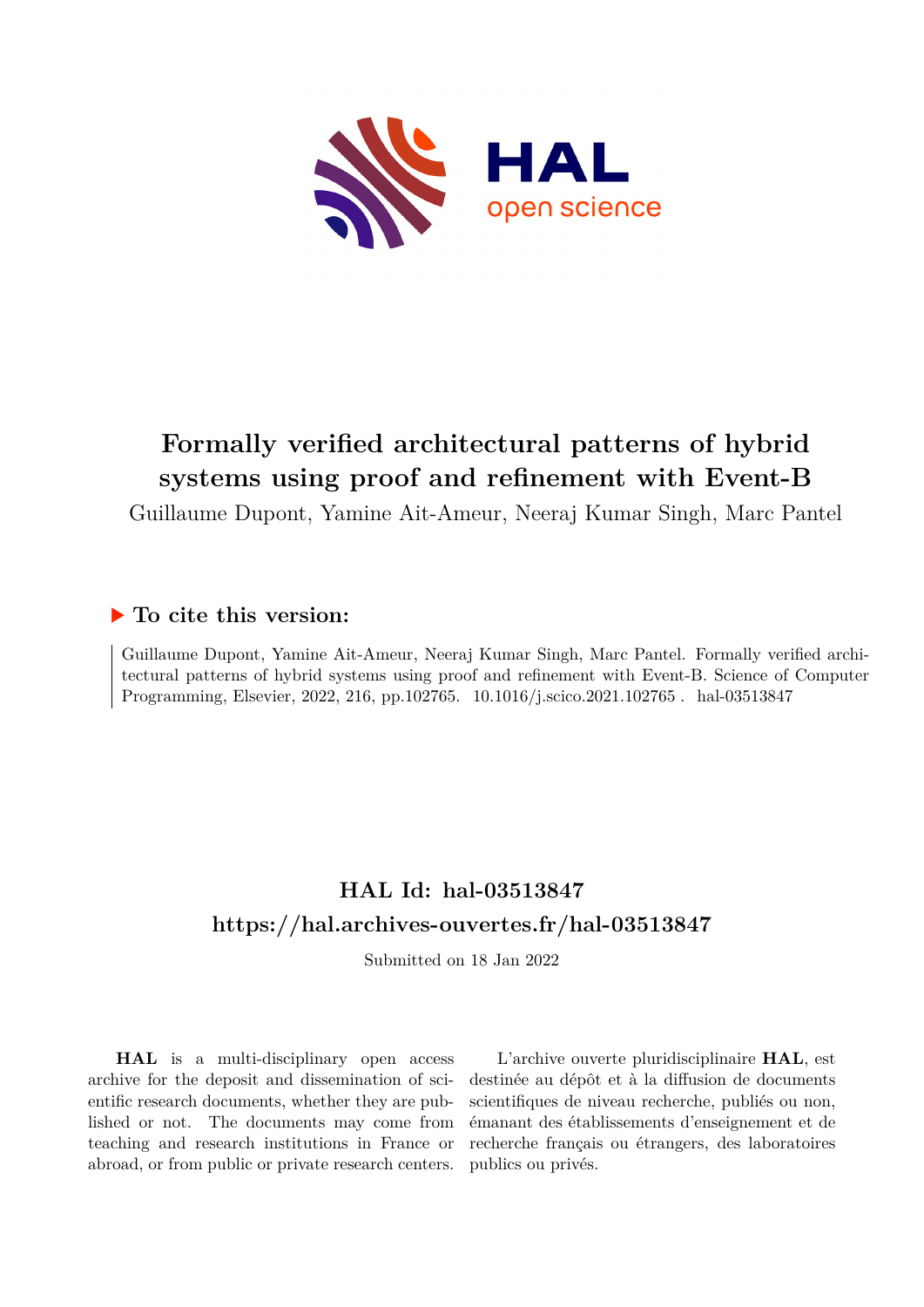

# **Formally verified architectural patterns of hybrid systems using proof and refinement with Event-B**

Guillaume Dupont, Yamine Ait-Ameur, Neeraj Kumar Singh, Marc Pantel

## **To cite this version:**

Guillaume Dupont, Yamine Ait-Ameur, Neeraj Kumar Singh, Marc Pantel. Formally verified architectural patterns of hybrid systems using proof and refinement with Event-B. Science of Computer Programming, Elsevier, 2022, 216, pp.102765. 10.1016/j.scico.2021.102765. hal-03513847

## **HAL Id: hal-03513847 <https://hal.archives-ouvertes.fr/hal-03513847>**

Submitted on 18 Jan 2022

**HAL** is a multi-disciplinary open access archive for the deposit and dissemination of scientific research documents, whether they are published or not. The documents may come from teaching and research institutions in France or abroad, or from public or private research centers.

L'archive ouverte pluridisciplinaire **HAL**, est destinée au dépôt et à la diffusion de documents scientifiques de niveau recherche, publiés ou non, émanant des établissements d'enseignement et de recherche français ou étrangers, des laboratoires publics ou privés.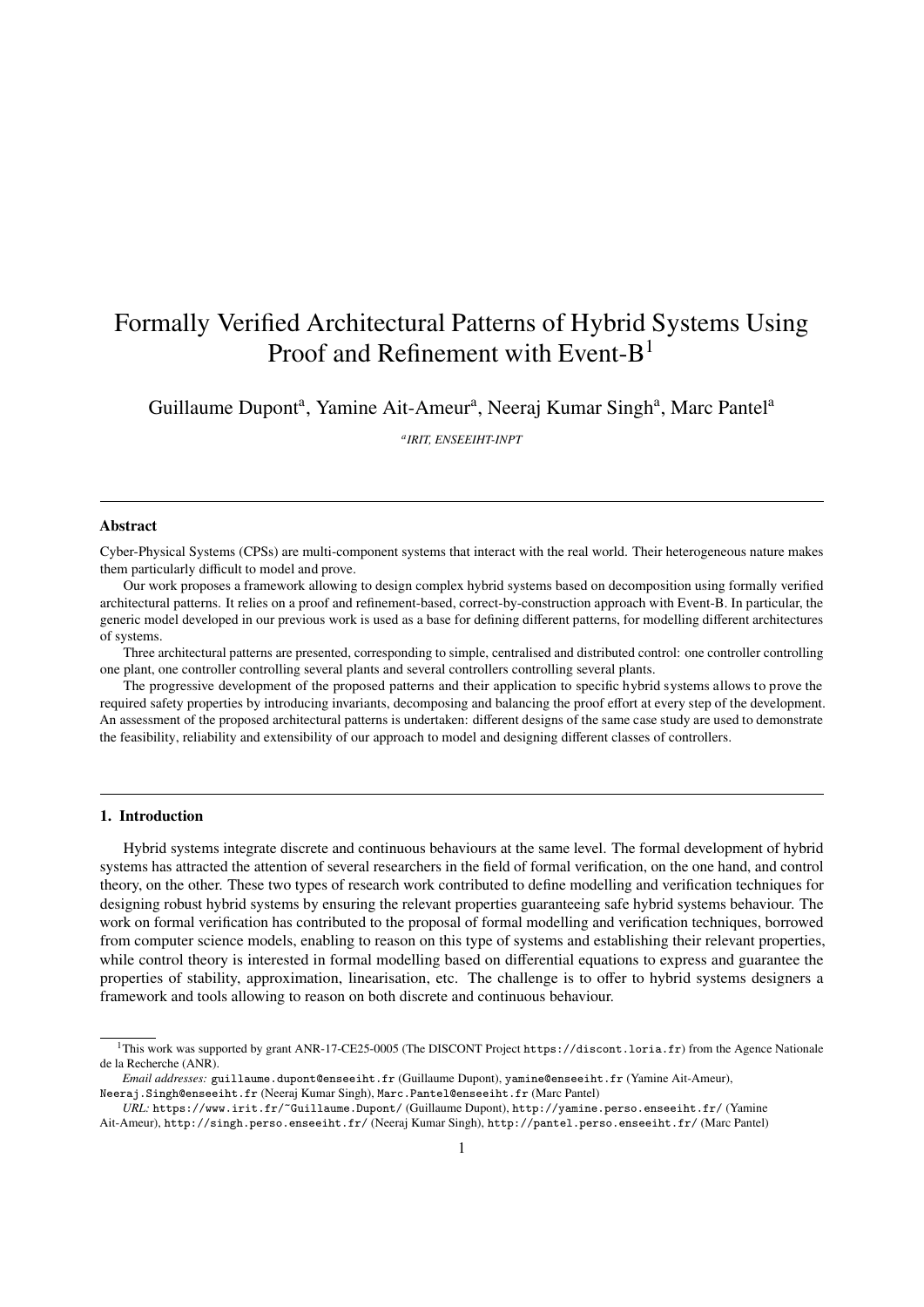## Formally Verified Architectural Patterns of Hybrid Systems Using Proof and Refinement with Event- $B<sup>1</sup>$

Guillaume Dupont<sup>a</sup>, Yamine Ait-Ameur<sup>a</sup>, Neeraj Kumar Singh<sup>a</sup>, Marc Pantel<sup>a</sup>

*a IRIT, ENSEEIHT-INPT*

#### Abstract

Cyber-Physical Systems (CPSs) are multi-component systems that interact with the real world. Their heterogeneous nature makes them particularly difficult to model and prove.

Our work proposes a framework allowing to design complex hybrid systems based on decomposition using formally verified architectural patterns. It relies on a proof and refinement-based, correct-by-construction approach with Event-B. In particular, the generic model developed in our previous work is used as a base for defining different patterns, for modelling different architectures of systems.

Three architectural patterns are presented, corresponding to simple, centralised and distributed control: one controller controlling one plant, one controller controlling several plants and several controllers controlling several plants.

The progressive development of the proposed patterns and their application to specific hybrid systems allows to prove the required safety properties by introducing invariants, decomposing and balancing the proof effort at every step of the development. An assessment of the proposed architectural patterns is undertaken: different designs of the same case study are used to demonstrate the feasibility, reliability and extensibility of our approach to model and designing different classes of controllers.

### 1. Introduction

Hybrid systems integrate discrete and continuous behaviours at the same level. The formal development of hybrid systems has attracted the attention of several researchers in the field of formal verification, on the one hand, and control theory, on the other. These two types of research work contributed to define modelling and verification techniques for designing robust hybrid systems by ensuring the relevant properties guaranteeing safe hybrid systems behaviour. The work on formal verification has contributed to the proposal of formal modelling and verification techniques, borrowed from computer science models, enabling to reason on this type of systems and establishing their relevant properties, while control theory is interested in formal modelling based on differential equations to express and guarantee the properties of stability, approximation, linearisation, etc. The challenge is to offer to hybrid systems designers a framework and tools allowing to reason on both discrete and continuous behaviour.

<sup>&</sup>lt;sup>1</sup>This work was supported by grant ANR-17-CE25-0005 (The DISCONT Project https://discont.loria.fr) from the Agence Nationale de la Recherche (ANR).

*Email addresses:* guillaume.dupont@enseeiht.fr (Guillaume Dupont), yamine@enseeiht.fr (Yamine Ait-Ameur),

Neeraj.Singh@enseeiht.fr (Neeraj Kumar Singh), Marc.Pantel@enseeiht.fr (Marc Pantel)

*URL:* https://www.irit.fr/~Guillaume.Dupont/ (Guillaume Dupont), http://yamine.perso.enseeiht.fr/ (Yamine Ait-Ameur), http://singh.perso.enseeiht.fr/ (Neeraj Kumar Singh), http://pantel.perso.enseeiht.fr/ (Marc Pantel)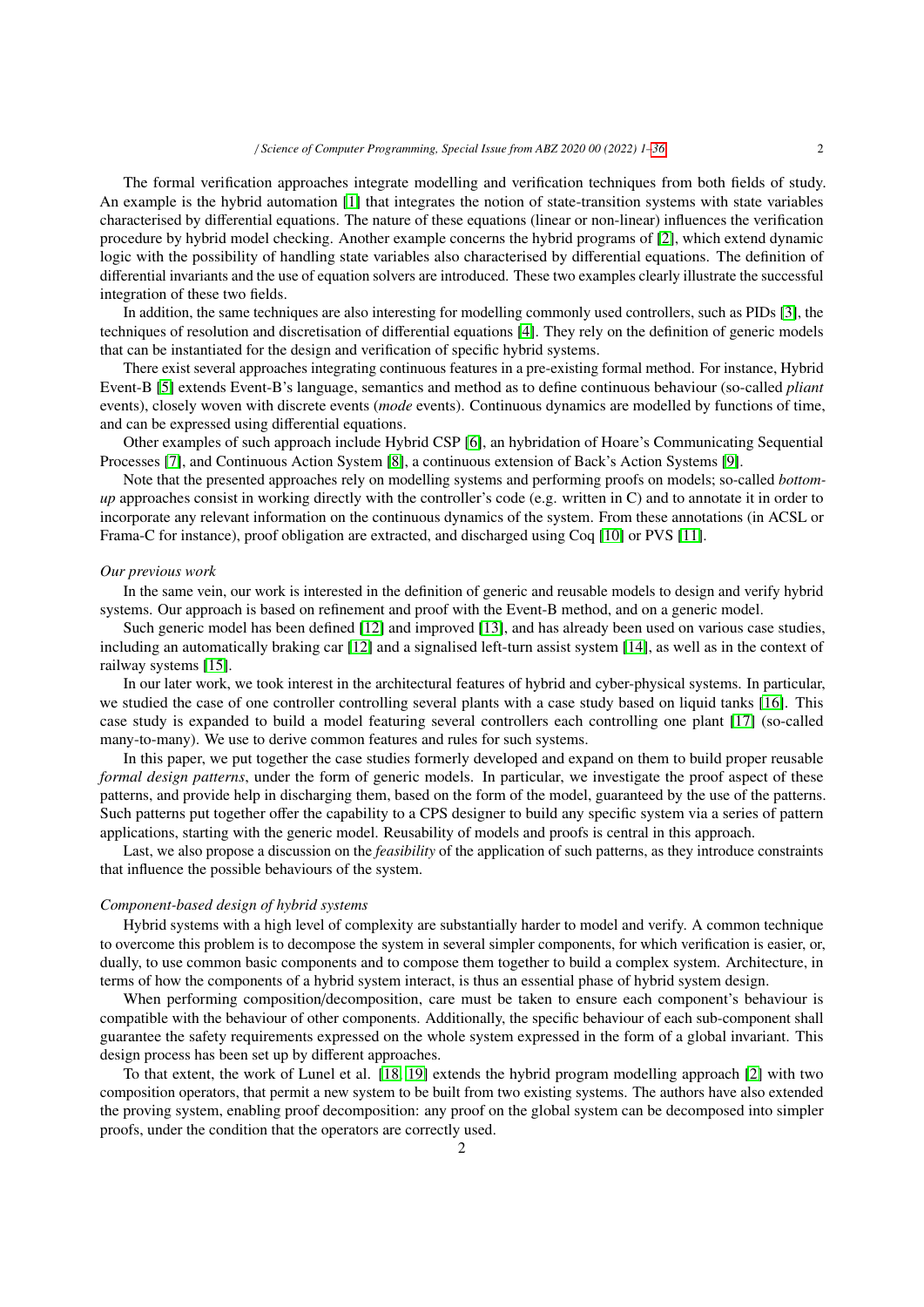The formal verification approaches integrate modelling and verification techniques from both fields of study. An example is the hybrid automation [1] that integrates the notion of state-transition systems with state variables characterised by differential equations. The nature of these equations (linear or non-linear) influences the verification procedure by hybrid model checking. Another example concerns the hybrid programs of [2], which extend dynamic logic with the possibility of handling state variables also characterised by differential equations. The definition of differential invariants and the use of equation solvers are introduced. These two examples clearly illustrate the successful integration of these two fields.

In addition, the same techniques are also interesting for modelling commonly used controllers, such as PIDs [3], the techniques of resolution and discretisation of differential equations [4]. They rely on the definition of generic models that can be instantiated for the design and verification of specific hybrid systems.

There exist several approaches integrating continuous features in a pre-existing formal method. For instance, Hybrid Event-B [5] extends Event-B's language, semantics and method as to define continuous behaviour (so-called *pliant* events), closely woven with discrete events (*mode* events). Continuous dynamics are modelled by functions of time, and can be expressed using differential equations.

Other examples of such approach include Hybrid CSP [6], an hybridation of Hoare's Communicating Sequential Processes [7], and Continuous Action System [8], a continuous extension of Back's Action Systems [9].

Note that the presented approaches rely on modelling systems and performing proofs on models; so-called *bottomup* approaches consist in working directly with the controller's code (e.g. written in C) and to annotate it in order to incorporate any relevant information on the continuous dynamics of the system. From these annotations (in ACSL or Frama-C for instance), proof obligation are extracted, and discharged using Coq [10] or PVS [11].

#### *Our previous work*

In the same vein, our work is interested in the definition of generic and reusable models to design and verify hybrid systems. Our approach is based on refinement and proof with the Event-B method, and on a generic model.

Such generic model has been defined [12] and improved [13], and has already been used on various case studies, including an automatically braking car [12] and a signalised left-turn assist system [14], as well as in the context of railway systems [15].

In our later work, we took interest in the architectural features of hybrid and cyber-physical systems. In particular, we studied the case of one controller controlling several plants with a case study based on liquid tanks [16]. This case study is expanded to build a model featuring several controllers each controlling one plant [17] (so-called many-to-many). We use to derive common features and rules for such systems.

In this paper, we put together the case studies formerly developed and expand on them to build proper reusable *formal design patterns*, under the form of generic models. In particular, we investigate the proof aspect of these patterns, and provide help in discharging them, based on the form of the model, guaranteed by the use of the patterns. Such patterns put together offer the capability to a CPS designer to build any specific system via a series of pattern applications, starting with the generic model. Reusability of models and proofs is central in this approach.

Last, we also propose a discussion on the *feasibility* of the application of such patterns, as they introduce constraints that influence the possible behaviours of the system.

## *Component-based design of hybrid systems*

Hybrid systems with a high level of complexity are substantially harder to model and verify. A common technique to overcome this problem is to decompose the system in several simpler components, for which verification is easier, or, dually, to use common basic components and to compose them together to build a complex system. Architecture, in terms of how the components of a hybrid system interact, is thus an essential phase of hybrid system design.

When performing composition/decomposition, care must be taken to ensure each component's behaviour is compatible with the behaviour of other components. Additionally, the specific behaviour of each sub-component shall guarantee the safety requirements expressed on the whole system expressed in the form of a global invariant. This design process has been set up by different approaches.

To that extent, the work of Lunel et al. [18, 19] extends the hybrid program modelling approach [2] with two composition operators, that permit a new system to be built from two existing systems. The authors have also extended the proving system, enabling proof decomposition: any proof on the global system can be decomposed into simpler proofs, under the condition that the operators are correctly used.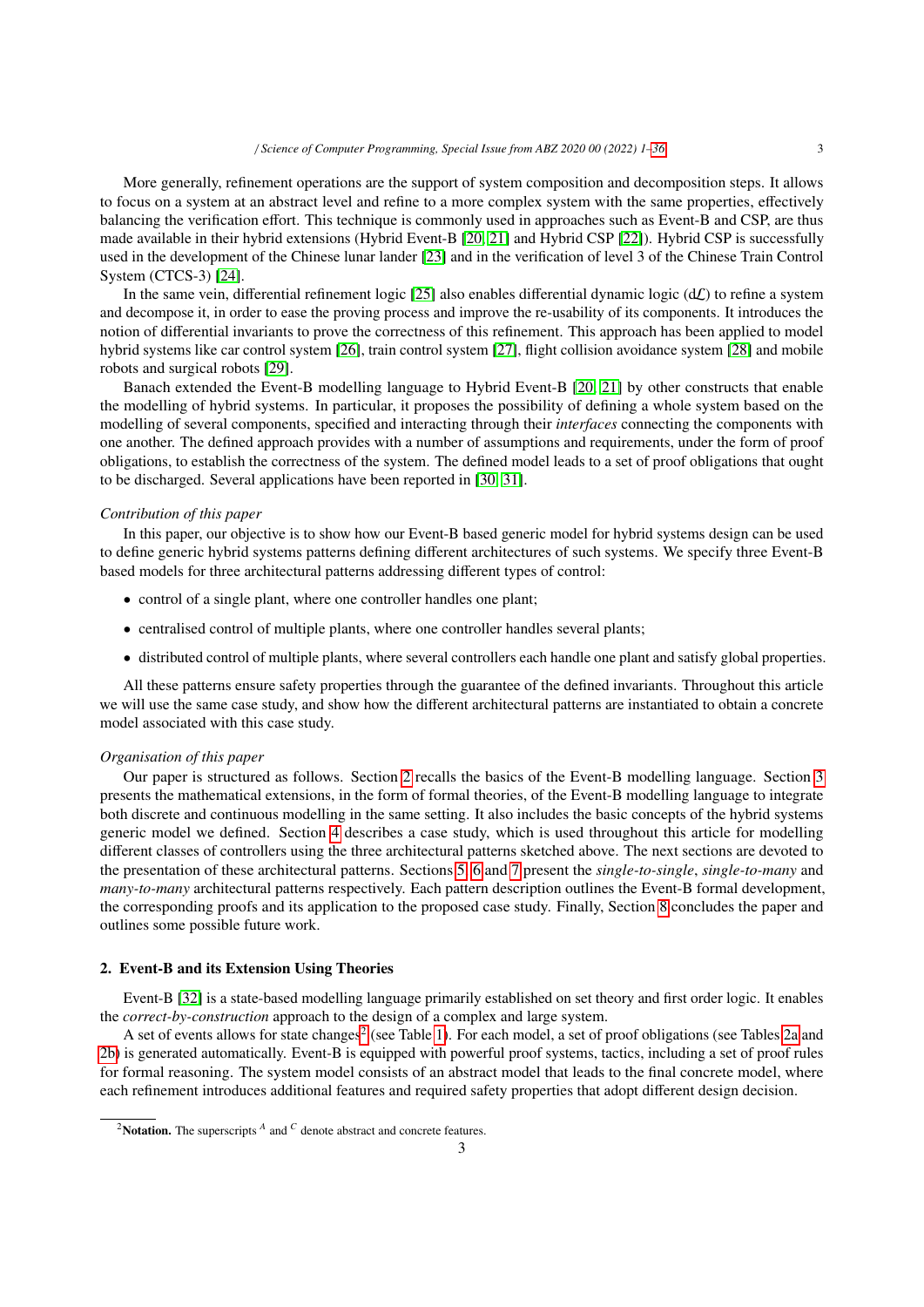## / *Science of Computer Programming, Special Issue from ABZ 2020 00 (2022) 1–36* 3

More generally, refinement operations are the support of system composition and decomposition steps. It allows to focus on a system at an abstract level and refine to a more complex system with the same properties, effectively balancing the verification effort. This technique is commonly used in approaches such as Event-B and CSP, are thus made available in their hybrid extensions (Hybrid Event-B [20, 21] and Hybrid CSP [22]). Hybrid CSP is successfully used in the development of the Chinese lunar lander [23] and in the verification of level 3 of the Chinese Train Control System (CTCS-3) [24].

In the same vein, differential refinement logic  $[25]$  also enables differential dynamic logic  $(d\mathcal{L})$  to refine a system and decompose it, in order to ease the proving process and improve the re-usability of its components. It introduces the notion of differential invariants to prove the correctness of this refinement. This approach has been applied to model hybrid systems like car control system [26], train control system [27], flight collision avoidance system [28] and mobile robots and surgical robots [29].

Banach extended the Event-B modelling language to Hybrid Event-B [20, 21] by other constructs that enable the modelling of hybrid systems. In particular, it proposes the possibility of defining a whole system based on the modelling of several components, specified and interacting through their *interfaces* connecting the components with one another. The defined approach provides with a number of assumptions and requirements, under the form of proof obligations, to establish the correctness of the system. The defined model leads to a set of proof obligations that ought to be discharged. Several applications have been reported in [30, 31].

#### *Contribution of this paper*

In this paper, our objective is to show how our Event-B based generic model for hybrid systems design can be used to define generic hybrid systems patterns defining different architectures of such systems. We specify three Event-B based models for three architectural patterns addressing different types of control:

- control of a single plant, where one controller handles one plant;
- centralised control of multiple plants, where one controller handles several plants;
- distributed control of multiple plants, where several controllers each handle one plant and satisfy global properties.

All these patterns ensure safety properties through the guarantee of the defined invariants. Throughout this article we will use the same case study, and show how the different architectural patterns are instantiated to obtain a concrete model associated with this case study.

#### *Organisation of this paper*

Our paper is structured as follows. Section 2 recalls the basics of the Event-B modelling language. Section 3 presents the mathematical extensions, in the form of formal theories, of the Event-B modelling language to integrate both discrete and continuous modelling in the same setting. It also includes the basic concepts of the hybrid systems generic model we defined. Section 4 describes a case study, which is used throughout this article for modelling different classes of controllers using the three architectural patterns sketched above. The next sections are devoted to the presentation of these architectural patterns. Sections 5, 6 and 7 present the *single-to-single*, *single-to-many* and *many-to-many* architectural patterns respectively. Each pattern description outlines the Event-B formal development, the corresponding proofs and its application to the proposed case study. Finally, Section 8 concludes the paper and outlines some possible future work.

#### 2. Event-B and its Extension Using Theories

Event-B [32] is a state-based modelling language primarily established on set theory and first order logic. It enables the *correct-by-construction* approach to the design of a complex and large system.

A set of events allows for state changes<sup>2</sup> (see Table 1). For each model, a set of proof obligations (see Tables 2a and 2b) is generated automatically. Event-B is equipped with powerful proof systems, tactics, including a set of proof rules for formal reasoning. The system model consists of an abstract model that leads to the final concrete model, where each refinement introduces additional features and required safety properties that adopt different design decision.

<sup>&</sup>lt;sup>2</sup>Notation. The superscripts  $^A$  and  $^C$  denote abstract and concrete features.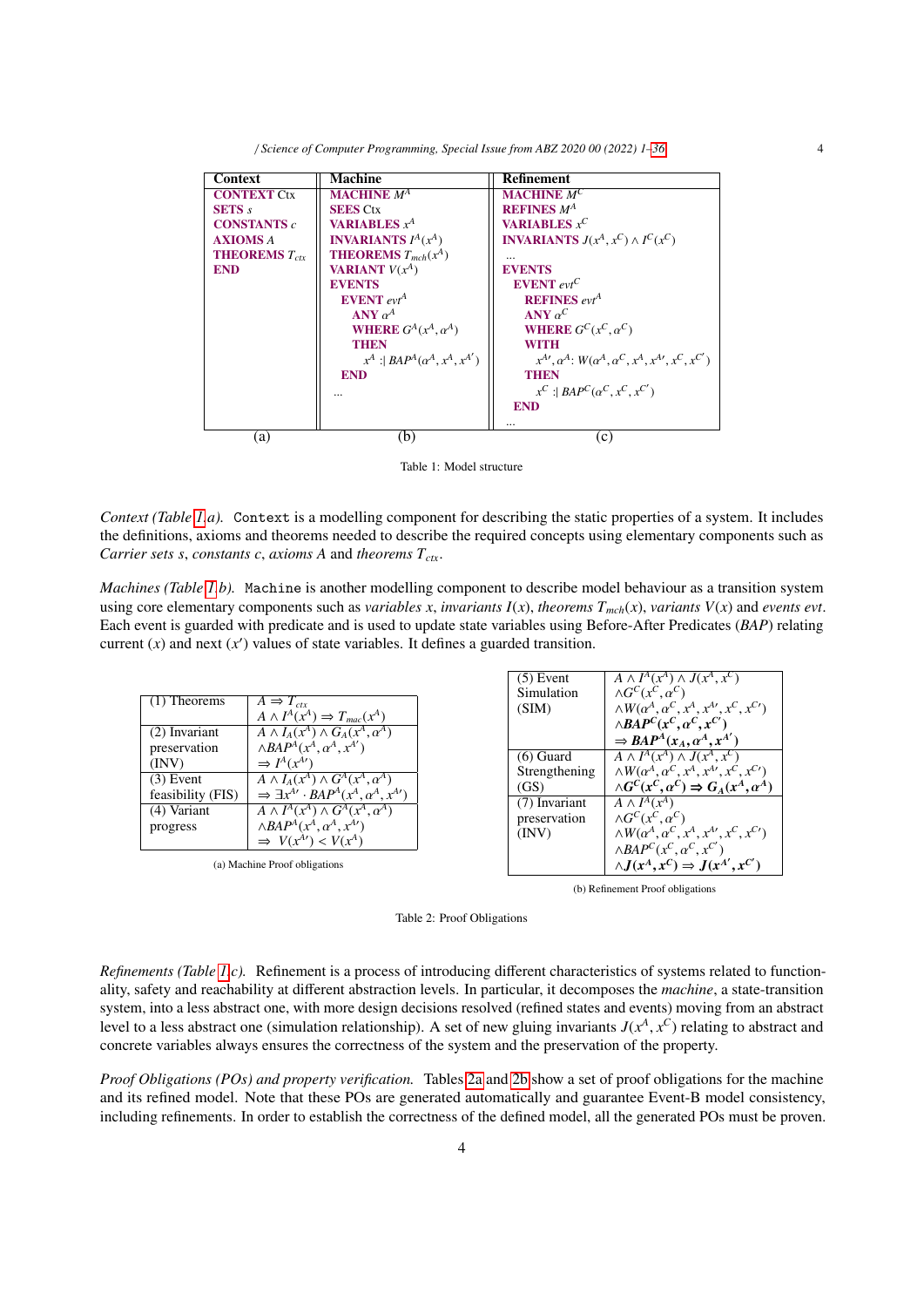| <b>Context</b>            | <b>Machine</b>                         | <b>Refinement</b>                                                                  |
|---------------------------|----------------------------------------|------------------------------------------------------------------------------------|
| <b>CONTEXT Ctx</b>        | <b>MACHINE</b> $M^A$                   | <b>MACHINE</b> $M^C$                                                               |
| <b>SETS</b> s             | <b>SEES Ctx</b>                        | <b>REFINES</b> $M^A$                                                               |
| <b>CONSTANTS</b> c        | <b>VARIABLES</b> $x^A$                 | <b>VARIABLES</b> $x^C$                                                             |
| <b>AXIOMS A</b>           | <b>INVARIANTS</b> $I^A(x^A)$           | <b>INVARIANTS</b> $J(x^A, x^C) \wedge I^C(x^C)$                                    |
| <b>THEOREMS</b> $T_{ctr}$ | <b>THEOREMS</b> $T_{mch}(x^A)$         | $\cdots$                                                                           |
| <b>END</b>                | <b>VARIANT</b> $V(x^A)$                | <b>EVENTS</b>                                                                      |
|                           | <b>EVENTS</b>                          | <b>EVENT</b> $evt^C$                                                               |
|                           | <b>EVENT</b> $evt^A$                   | <b>REFINES</b> $evt^A$                                                             |
|                           | ANY $\alpha^A$                         | ANY $\alpha^C$                                                                     |
|                           | WHERE $G^A(x^A, \alpha^A)$             | WHERE $G^C(x^C, \alpha^C)$                                                         |
|                           | <b>THEN</b>                            | <b>WITH</b>                                                                        |
|                           | $x^A$ : $BAP^A(\alpha^A, x^A, x^{A'})$ | $x^{A\prime}, \alpha^A: W(\alpha^A, \alpha^C, x^A, x^{A\prime}, x^C, x^{C\prime})$ |
|                           | <b>END</b>                             | <b>THEN</b>                                                                        |
|                           |                                        | $x^C$ : $BAP^C(\alpha^C, x^C, x^{C'})$                                             |
|                           |                                        | <b>END</b>                                                                         |
|                           |                                        |                                                                                    |
| (a)                       | (b)                                    | $\mathcal{C}$ )                                                                    |

Table 1: Model structure

*Context (Table 1.a).* Context is a modelling component for describing the static properties of a system. It includes the definitions, axioms and theorems needed to describe the required concepts using elementary components such as *Carrier sets s*, *constants c*, *axioms A* and *theorems Tctx*.

*Machines (Table 1.b).* Machine is another modelling component to describe model behaviour as a transition system using core elementary components such as *variables*  $x$ , *invariants*  $I(x)$ , *theorems*  $T_{mch}(x)$ , *variants*  $V(x)$  and *events evt*. Each event is guarded with predicate and is used to update state variables using Before-After Predicates (*BAP*) relating current  $(x)$  and next  $(x')$  values of state variables. It defines a guarded transition.

| $(1)$ Theorems                                                                                          | $A \Rightarrow T_{ctr}$                                                                                                                                                                                                                                                                                                                                                                                                                                  | $(5)$ Event<br>Simulation                                                               | $A \wedge I^A(x^A) \wedge J(x^A, x^C)$<br>$\wedge G^C(x^C, \alpha^C)$                                                                                                                                                                                                                                                                                                                                                                                                                                                                                                         |
|---------------------------------------------------------------------------------------------------------|----------------------------------------------------------------------------------------------------------------------------------------------------------------------------------------------------------------------------------------------------------------------------------------------------------------------------------------------------------------------------------------------------------------------------------------------------------|-----------------------------------------------------------------------------------------|-------------------------------------------------------------------------------------------------------------------------------------------------------------------------------------------------------------------------------------------------------------------------------------------------------------------------------------------------------------------------------------------------------------------------------------------------------------------------------------------------------------------------------------------------------------------------------|
| (2) Invariant<br>preservation<br>(INV)<br>$(3)$ Event<br>feasibility (FIS)<br>$(4)$ Variant<br>progress | $A \wedge I^A(x^A) \Rightarrow T_{mac}(x^A)$<br>$A \wedge I_A(x^A) \wedge G_A(x^A, \alpha^A)$<br>$\wedge BAP^A(x^A, \alpha^A, x^{A'})$<br>$\Rightarrow I^A(x^{A'})$<br>$A \wedge I_A(x^A) \wedge G^A(x^A, \alpha^A)$<br>$\Rightarrow \exists x^{A'} \cdot BAP^A(x^A, \alpha^A, x^{A'})$<br>$A \wedge I^A(x^A) \wedge G^A(x^A, \alpha^A)$<br>$\wedge BAP^A(x^A, \alpha^A, x^{A'})$<br>$\Rightarrow V(x^{A'}) < V(x^{A})$<br>(a) Machine Proof obligations | (SIM)<br>$(6)$ Guard<br>Strengthening<br>(GS)<br>(7) Invariant<br>preservation<br>(INV) | $\wedge W(\alpha^A, \alpha^C, x^A, x^{A\prime}, x^C, x^{C\prime})$<br>$\wedge BAP^C(x^C, \alpha^C, x^{C'})$<br>$\Rightarrow BAP^A(x_A, \alpha^A, x^{A'})$<br>$\overline{A \wedge I^A(x^A)} \wedge J(x^A, x^C)$<br>$\wedge W(\alpha^A, \alpha^C, x^A, x^{A\prime}, x^C, x^{C\prime})$<br>$\wedge G^C(x^C, \alpha^C) \Rightarrow G_A(x^A, \alpha^A)$<br>$A \wedge I^A(x^A)$<br>$\wedge G^C(x^C, \alpha^C)$<br>$\wedge W(\alpha^A, \alpha^C, x^A, x^{A\prime}, x^C, x^{C\prime})$<br>$\wedge BAP^C(x^C, \alpha^C, x^{C'})$<br>$\wedge J(x^A, x^C) \Rightarrow J(x^{A'}, x^{C'})$ |
|                                                                                                         |                                                                                                                                                                                                                                                                                                                                                                                                                                                          |                                                                                         | (b) Refinement Proof obligations                                                                                                                                                                                                                                                                                                                                                                                                                                                                                                                                              |

Table 2: Proof Obligations

*Refinements (Table 1.c).* Refinement is a process of introducing different characteristics of systems related to functionality, safety and reachability at different abstraction levels. In particular, it decomposes the *machine*, a state-transition system, into a less abstract one, with more design decisions resolved (refined states and events) moving from an abstract level to a less abstract one (simulation relationship). A set of new gluing invariants  $J(x^A, x^C)$  relating to abstract and concrete variables always ensures the correctness of the system and the preservation of the prope concrete variables always ensures the correctness of the system and the preservation of the property.

*Proof Obligations (POs) and property verification.* Tables 2a and 2b show a set of proof obligations for the machine and its refined model. Note that these POs are generated automatically and guarantee Event-B model consistency, including refinements. In order to establish the correctness of the defined model, all the generated POs must be proven.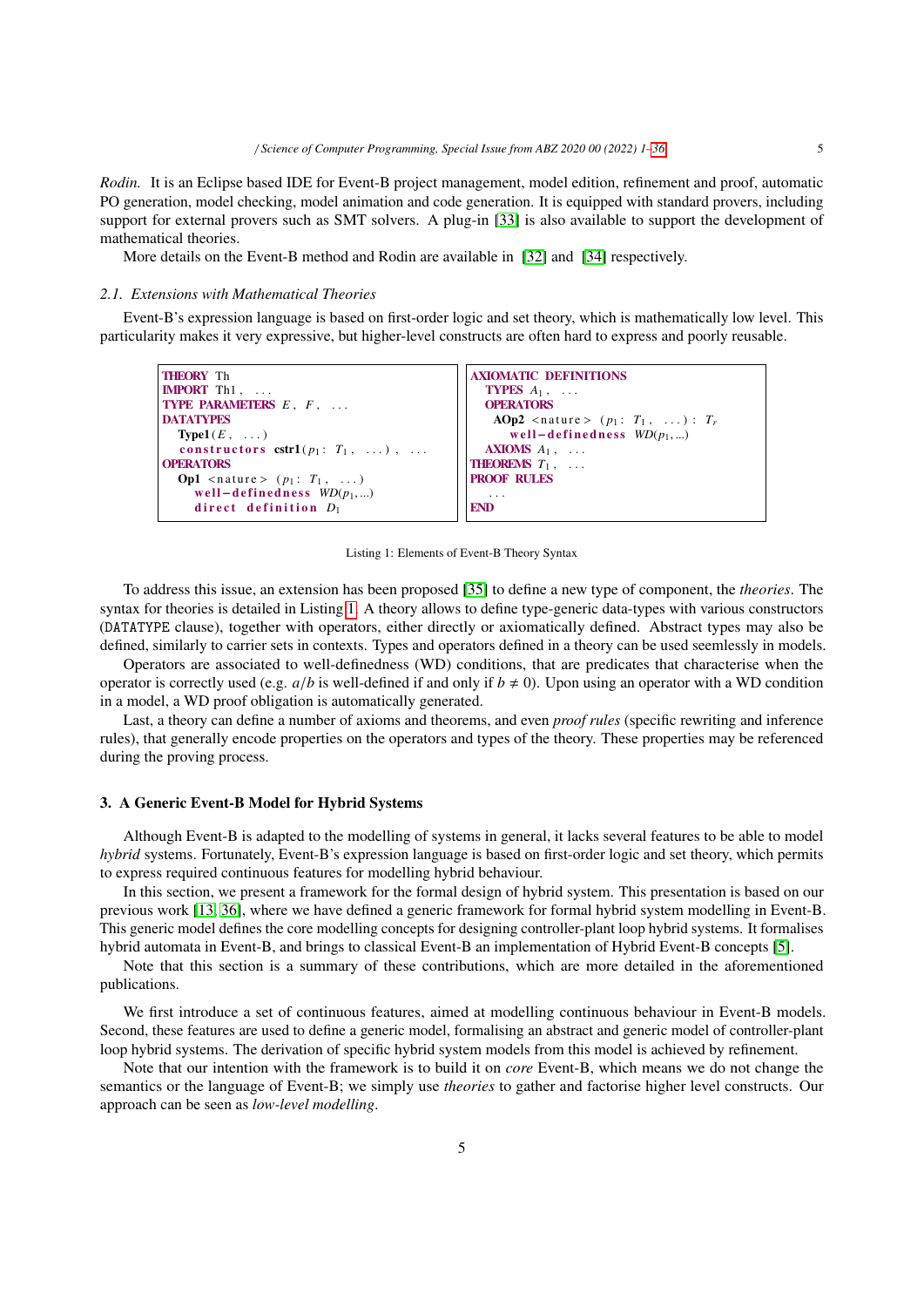*Rodin.* It is an Eclipse based IDE for Event-B project management, model edition, refinement and proof, automatic PO generation, model checking, model animation and code generation. It is equipped with standard provers, including support for external provers such as SMT solvers. A plug-in [33] is also available to support the development of mathematical theories.

More details on the Event-B method and Rodin are available in [32] and [34] respectively.

#### *2.1. Extensions with Mathematical Theories*

Event-B's expression language is based on first-order logic and set theory, which is mathematically low level. This particularity makes it very expressive, but higher-level constructs are often hard to express and poorly reusable.

```
THEORY Th
IMPORT Th1, ...
TYPE PARAMETERS E , F , . . .
DATATYPES
  Type1 (E, ...)
  constructors \text{cstr1}(p_1: T_1, \ldots), ...
OPERATORS
  Op1 <nature > (p_1: T_1, ...)w e l l−d e f i n e d n e s s WD(p1, ...)
     direct definition D_1AXIOMATIC DEFINITIONS
                                                      TYPES A_1, ...
                                                      OPERATORS
                                                       AOp2 <nature > (p_1: T_1, ...): T_rw e l l−d e f i n e d n e s s WD(p1, ...)
                                                      AXIOMS A_1, ...
                                                    THEOREMS T_1,
                                                   PROOF RULES
                                                       . . .
                                                   END
```
Listing 1: Elements of Event-B Theory Syntax

To address this issue, an extension has been proposed [35] to define a new type of component, the *theories*. The syntax for theories is detailed in Listing 1. A theory allows to define type-generic data-types with various constructors (DATATYPE clause), together with operators, either directly or axiomatically defined. Abstract types may also be defined, similarly to carrier sets in contexts. Types and operators defined in a theory can be used seemlessly in models.

Operators are associated to well-definedness (WD) conditions, that are predicates that characterise when the operator is correctly used (e.g.  $a/b$  is well-defined if and only if  $b \neq 0$ ). Upon using an operator with a WD condition in a model, a WD proof obligation is automatically generated.

Last, a theory can define a number of axioms and theorems, and even *proof rules* (specific rewriting and inference rules), that generally encode properties on the operators and types of the theory. These properties may be referenced during the proving process.

## 3. A Generic Event-B Model for Hybrid Systems

Although Event-B is adapted to the modelling of systems in general, it lacks several features to be able to model *hybrid* systems. Fortunately, Event-B's expression language is based on first-order logic and set theory, which permits to express required continuous features for modelling hybrid behaviour.

In this section, we present a framework for the formal design of hybrid system. This presentation is based on our previous work [13, 36], where we have defined a generic framework for formal hybrid system modelling in Event-B. This generic model defines the core modelling concepts for designing controller-plant loop hybrid systems. It formalises hybrid automata in Event-B, and brings to classical Event-B an implementation of Hybrid Event-B concepts [5].

Note that this section is a summary of these contributions, which are more detailed in the aforementioned publications.

We first introduce a set of continuous features, aimed at modelling continuous behaviour in Event-B models. Second, these features are used to define a generic model, formalising an abstract and generic model of controller-plant loop hybrid systems. The derivation of specific hybrid system models from this model is achieved by refinement.

Note that our intention with the framework is to build it on *core* Event-B, which means we do not change the semantics or the language of Event-B; we simply use *theories* to gather and factorise higher level constructs. Our approach can be seen as *low-level modelling*.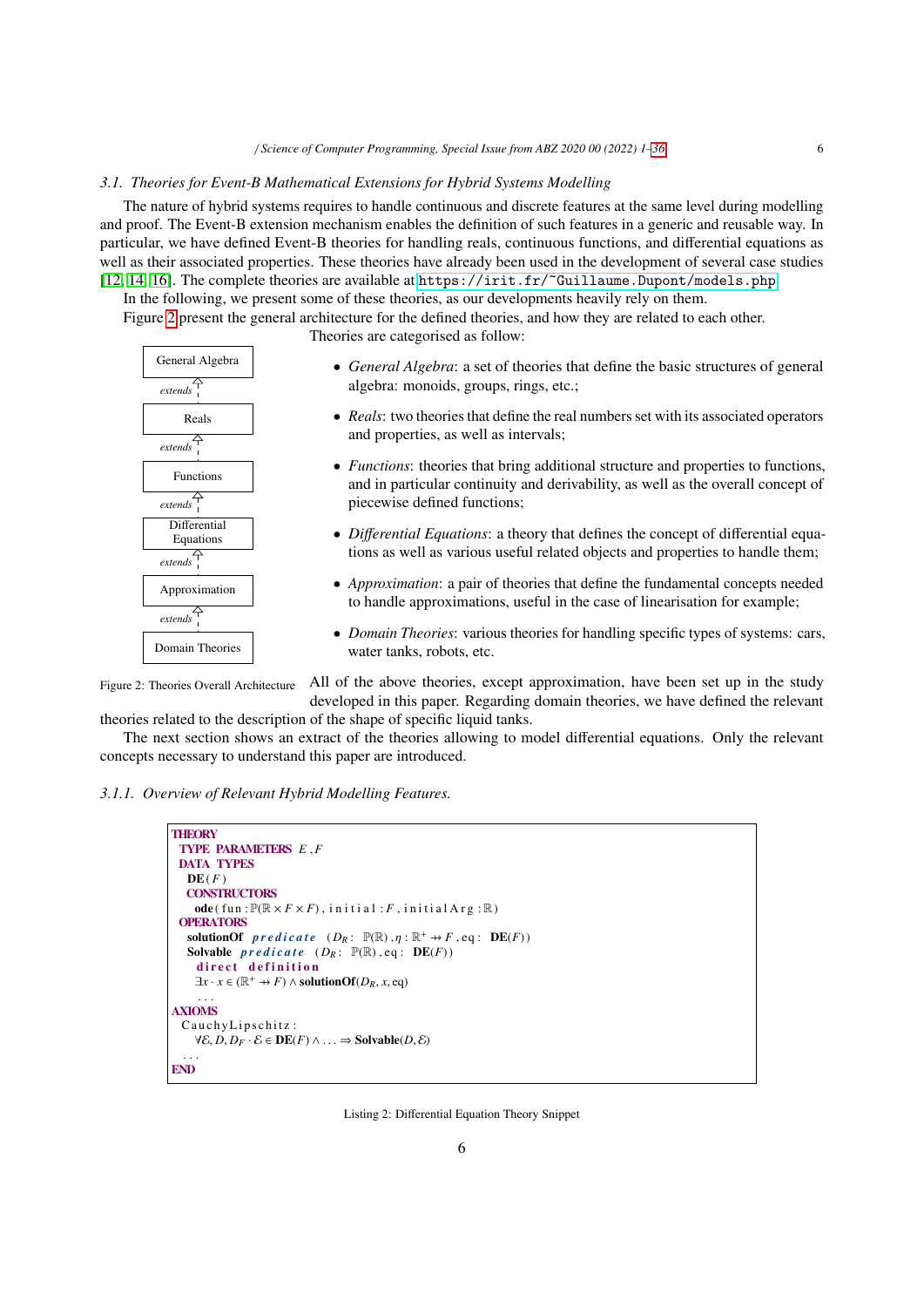#### *3.1. Theories for Event-B Mathematical Extensions for Hybrid Systems Modelling*

The nature of hybrid systems requires to handle continuous and discrete features at the same level during modelling and proof. The Event-B extension mechanism enables the definition of such features in a generic and reusable way. In particular, we have defined Event-B theories for handling reals, continuous functions, and differential equations as well as their associated properties. These theories have already been used in the development of several case studies [12, 14, 16]. The complete theories are available at <https://irit.fr/~Guillaume.Dupont/models.php>.

In the following, we present some of these theories, as our developments heavily rely on them.

Figure 2 present the general architecture for the defined theories, and how they are related to each other.

Theories are categorised as follow:



- *General Algebra*: a set of theories that define the basic structures of general algebra: monoids, groups, rings, etc.;
- *Reals*: two theories that define the real numbers set with its associated operators and properties, as well as intervals;
- *Functions*: theories that bring additional structure and properties to functions, and in particular continuity and derivability, as well as the overall concept of piecewise defined functions;
- *Di*ff*erential Equations*: a theory that defines the concept of differential equations as well as various useful related objects and properties to handle them;
- *Approximation*: a pair of theories that define the fundamental concepts needed to handle approximations, useful in the case of linearisation for example;
- *Domain Theories*: various theories for handling specific types of systems: cars, water tanks, robots, etc.

Figure 2: Theories Overall Architecture All of the above theories, except approximation, have been set up in the study developed in this paper. Regarding domain theories, we have defined the relevant theories related to the description of the shape of specific liquid tanks.

The next section shows an extract of the theories allowing to model differential equations. Only the relevant concepts necessary to understand this paper are introduced.

*3.1.1. Overview of Relevant Hybrid Modelling Features.*

```
THEORY
  TYPE PARAMETERS E ,F
  DATA TYPES
    DE(F)CONSTRUCTORS
       ode( fun: <math>\mathbb{P}(\mathbb{R} \times F \times F)</math>, initial: <math>F</math>, initialArg: <math>\mathbb{R}</math>)OPERATORS
     solutionOf \text{predicate} (D_R: \mathbb{P}(\mathbb{R}), \eta: \mathbb{R}^+ \to F, \text{eq}: \mathbf{DE}(F))<br>Solvable predicate (D_R: \mathbb{P}(\mathbb{R}) \text{ eq}: \mathbf{DE}(F))Solvable predicate (D_R: \mathbb{P}(\mathbb{R}), eq: \mathbb{D}E(F))direct definition
       \exists x \cdot x \in (\mathbb{R}^+ \to F) \land solutionOf(D<sub>R</sub>, x, eq)
        . . .
AXIOMS
  CauchyLipschitz:
       \forall \mathcal{E}, D, D_F \cdot \mathcal{E} \in \mathbf{DE}(F) \land \dots \Rightarrow Solvable(D, \mathcal{E})
    . . .
END
```
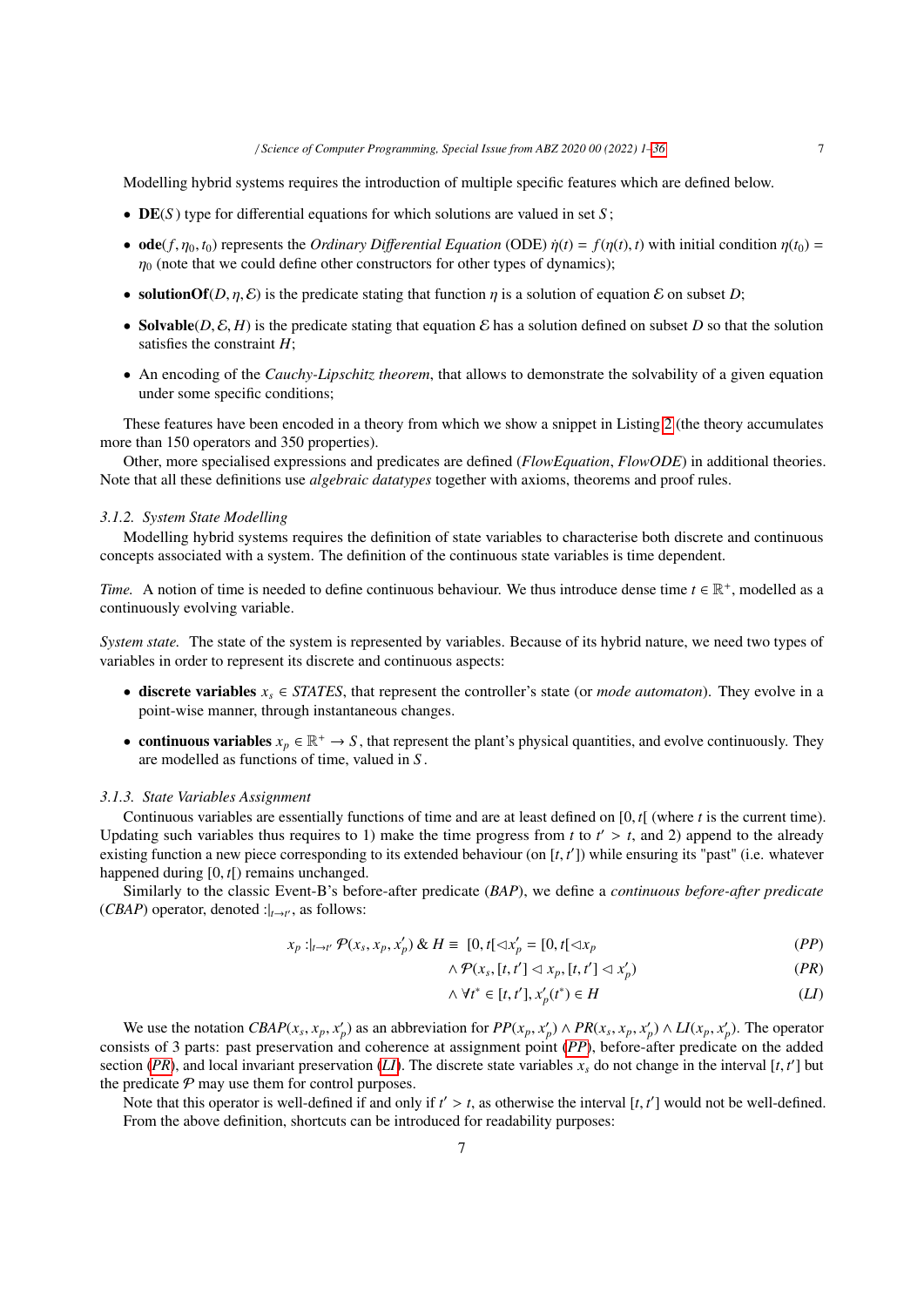Modelling hybrid systems requires the introduction of multiple specific features which are defined below.

- **DE**(S) type for differential equations for which solutions are valued in set S;
- **ode**( $f$ ,  $\eta$ <sub>0</sub>,  $t$ <sub>0</sub>) represents the *Ordinary Differential Equation* (ODE)  $\dot{\eta}(t) = f(\eta(t), t)$  with initial condition  $\eta(t_0) =$  $\eta_0$  (note that we could define other constructors for other types of dynamics);
- solutionOf(*D*,  $\eta$ , *E*) is the predicate stating that function  $\eta$  is a solution of equation *E* on subset *D*;
- Solvable(*D*,  $E$ ,  $H$ ) is the predicate stating that equation  $E$  has a solution defined on subset *D* so that the solution satisfies the constraint *H*;
- An encoding of the *Cauchy-Lipschitz theorem*, that allows to demonstrate the solvability of a given equation under some specific conditions;

These features have been encoded in a theory from which we show a snippet in Listing 2 (the theory accumulates more than 150 operators and 350 properties).

Other, more specialised expressions and predicates are defined (*FlowEquation*, *FlowODE*) in additional theories. Note that all these definitions use *algebraic datatypes* together with axioms, theorems and proof rules.

## *3.1.2. System State Modelling*

Modelling hybrid systems requires the definition of state variables to characterise both discrete and continuous concepts associated with a system. The definition of the continuous state variables is time dependent.

*Time.* A notion of time is needed to define continuous behaviour. We thus introduce dense time  $t \in \mathbb{R}^+$ , modelled as a continuously evolving variable.

*System state.* The state of the system is represented by variables. Because of its hybrid nature, we need two types of variables in order to represent its discrete and continuous aspects:

- discrete variables  $x_s \in STATES$ , that represent the controller's state (or *mode automaton*). They evolve in a point-wise manner, through instantaneous changes.
- continuous variables  $x_p \in \mathbb{R}^+ \to S$ , that represent the plant's physical quantities, and evolve continuously. They are modelled as functions of time, valued in *S* .

#### *3.1.3. State Variables Assignment*

Continuous variables are essentially functions of time and are at least defined on [0, *<sup>t</sup>*[ (where *<sup>t</sup>* is the current time). Updating such variables thus requires to 1) make the time progress from *t* to  $t' > t$ , and 2) append to the already existing function a new piece corresponding to its extended behaviour (on  $[t, t']$ ) while ensuring its "nas existing function a new piece corresponding to its extended behaviour (on [*t*, *t'*]) while ensuring its "past" (i.e. whatever<br>happened during [0, *t*]) remains unchanged happened during [0, *<sup>t</sup>*[) remains unchanged.

Similarly to the classic Event-B's before-after predicate (*BAP*), we define a *continuous before-after predicate* (*CBAP*) operator, denoted : $|_{t \to t'}$ , as follows:

$$
x_p :_{t \to t'} \mathcal{P}(x_s, x_p, x'_p) \& H \equiv [0, t] \lhd x'_p = [0, t] \lhd x_p \tag{PP}
$$

$$
\wedge \mathcal{P}(x_s, [t, t'] \lhd x_p, [t, t'] \lhd x'_p) \tag{PR}
$$

$$
\wedge \forall t^* \in [t, t'], x_p'(t^*) \in H \tag{L1}
$$

We use the notation  $CBAP(x_s, x_p, x_p')$  as an abbreviation for  $PP(x_p, x_p') \wedge PR(x_s, x_p, x_p') \wedge LI(x_p, x_p')$ . The operator<br>sists of 3 parts: past preservation and coherence at assignment point (*PP*) before-after predicate on the added consists of 3 parts: past preservation and coherence at assignment point (*PP*), before-after predicate on the added section (*PR*), and local invariant preservation (*LI*). The discrete state variables  $x_s$  do not change in the interval [*t*, *t'*] but<br>the predicate  $\varphi$  may use them for control purposes the predicate  $P$  may use them for control purposes.

Note that this operator is well-defined if and only if  $t' > t$ , as otherwise the interval  $[t, t']$  would not be well-defined.<br>From the above definition, shortcuts can be introduced for readability purposes: From the above definition, shortcuts can be introduced for readability purposes: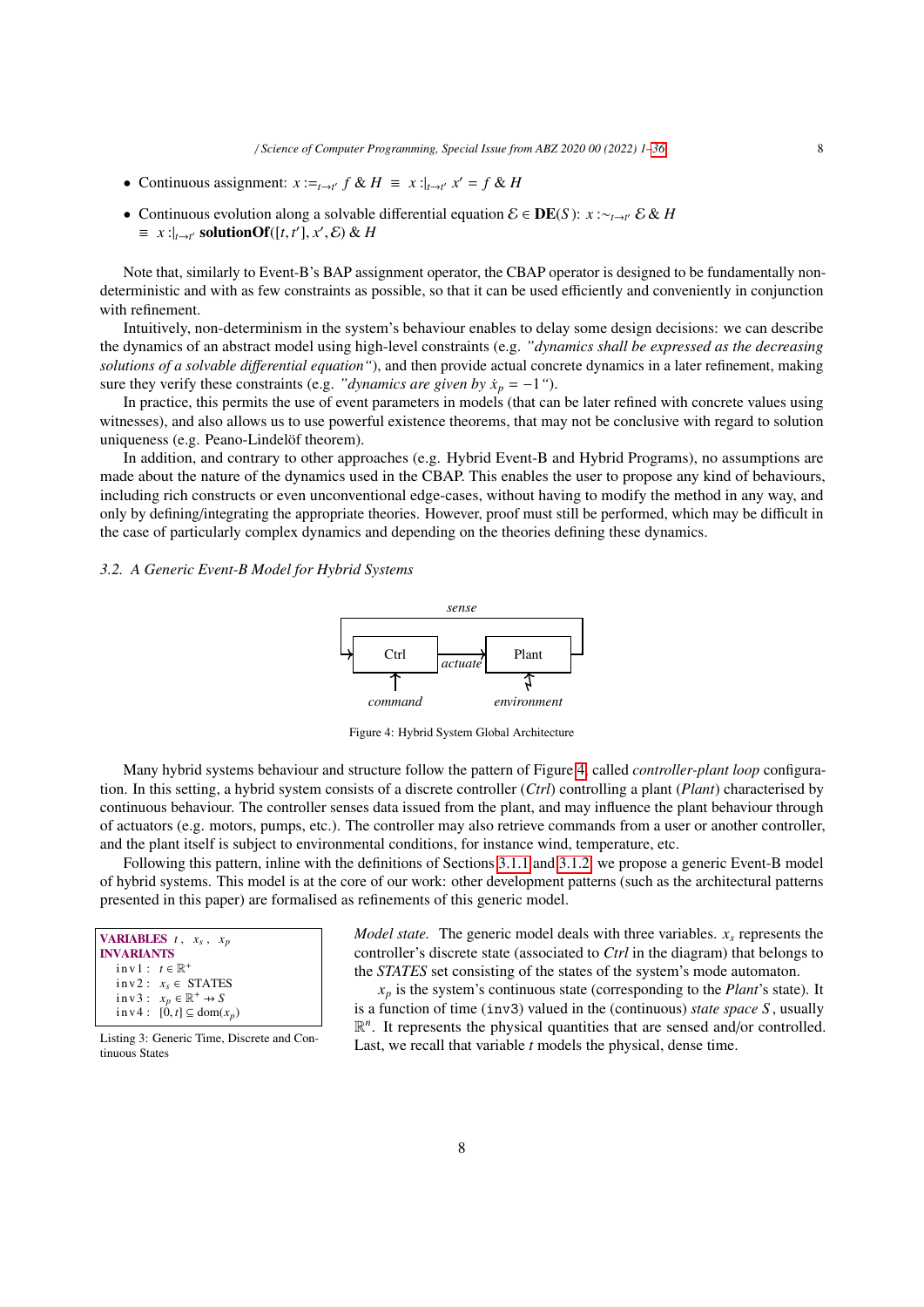- Continuous assignment:  $x :=_{t \to t'} f \& H \equiv x : \big|_{t \to t'} x' = f \& H$
- Continuous evolution along a solvable differential equation E ∈ DE(*S* ): *x* :∼*t*→*<sup>t</sup>* ′ E & *H*  $\equiv x :_{t \to t'} \text{ solutionOf}([t, t'], x', \mathcal{E}) \& H$

Note that, similarly to Event-B's BAP assignment operator, the CBAP operator is designed to be fundamentally nondeterministic and with as few constraints as possible, so that it can be used efficiently and conveniently in conjunction with refinement.

Intuitively, non-determinism in the system's behaviour enables to delay some design decisions: we can describe the dynamics of an abstract model using high-level constraints (e.g. *"dynamics shall be expressed as the decreasing solutions of a solvable di*ff*erential equation"*), and then provide actual concrete dynamics in a later refinement, making sure they verify these constraints (e.g. *"dynamics are given by*  $\dot{x}_p = -1$ ").

In practice, this permits the use of event parameters in models (that can be later refined with concrete values using witnesses), and also allows us to use powerful existence theorems, that may not be conclusive with regard to solution uniqueness (e.g. Peano-Lindelöf theorem).

In addition, and contrary to other approaches (e.g. Hybrid Event-B and Hybrid Programs), no assumptions are made about the nature of the dynamics used in the CBAP. This enables the user to propose any kind of behaviours, including rich constructs or even unconventional edge-cases, without having to modify the method in any way, and only by defining/integrating the appropriate theories. However, proof must still be performed, which may be difficult in the case of particularly complex dynamics and depending on the theories defining these dynamics.

## *3.2. A Generic Event-B Model for Hybrid Systems*



Figure 4: Hybrid System Global Architecture

Many hybrid systems behaviour and structure follow the pattern of Figure 4, called *controller-plant loop* configuration. In this setting, a hybrid system consists of a discrete controller (*Ctrl*) controlling a plant (*Plant*) characterised by continuous behaviour. The controller senses data issued from the plant, and may influence the plant behaviour through of actuators (e.g. motors, pumps, etc.). The controller may also retrieve commands from a user or another controller, and the plant itself is subject to environmental conditions, for instance wind, temperature, etc.

Following this pattern, inline with the definitions of Sections 3.1.1 and 3.1.2, we propose a generic Event-B model of hybrid systems. This model is at the core of our work: other development patterns (such as the architectural patterns presented in this paper) are formalised as refinements of this generic model.

| <b>VARIABLES</b> $t$ , $x_s$ , $x_p$<br><b>INVARIANTS</b> |
|-----------------------------------------------------------|
| inv $1: t \in \mathbb{R}^+$                               |
| $inv2: x_s \in STATES$                                    |
| $inv3: x_p \in \mathbb{R}^+ \rightarrow S$                |
| $inv4: [0, t] \subseteq dom(x_p)$                         |
|                                                           |

Listing 3: Generic Time, Discrete and Continuous States

*Model state.* The generic model deals with three variables. *x<sup>s</sup>* represents the controller's discrete state (associated to *Ctrl* in the diagram) that belongs to the *STATES* set consisting of the states of the system's mode automaton.

 $x_p$  is the system's continuous state (corresponding to the *Plant*'s state). It is a function of time (inv3) valued in the (continuous) *state space S* , usually  $\mathbb{R}^n$ . It represents the physical quantities that are sensed and/or controlled. Last, we recall that variable *t* models the physical, dense time.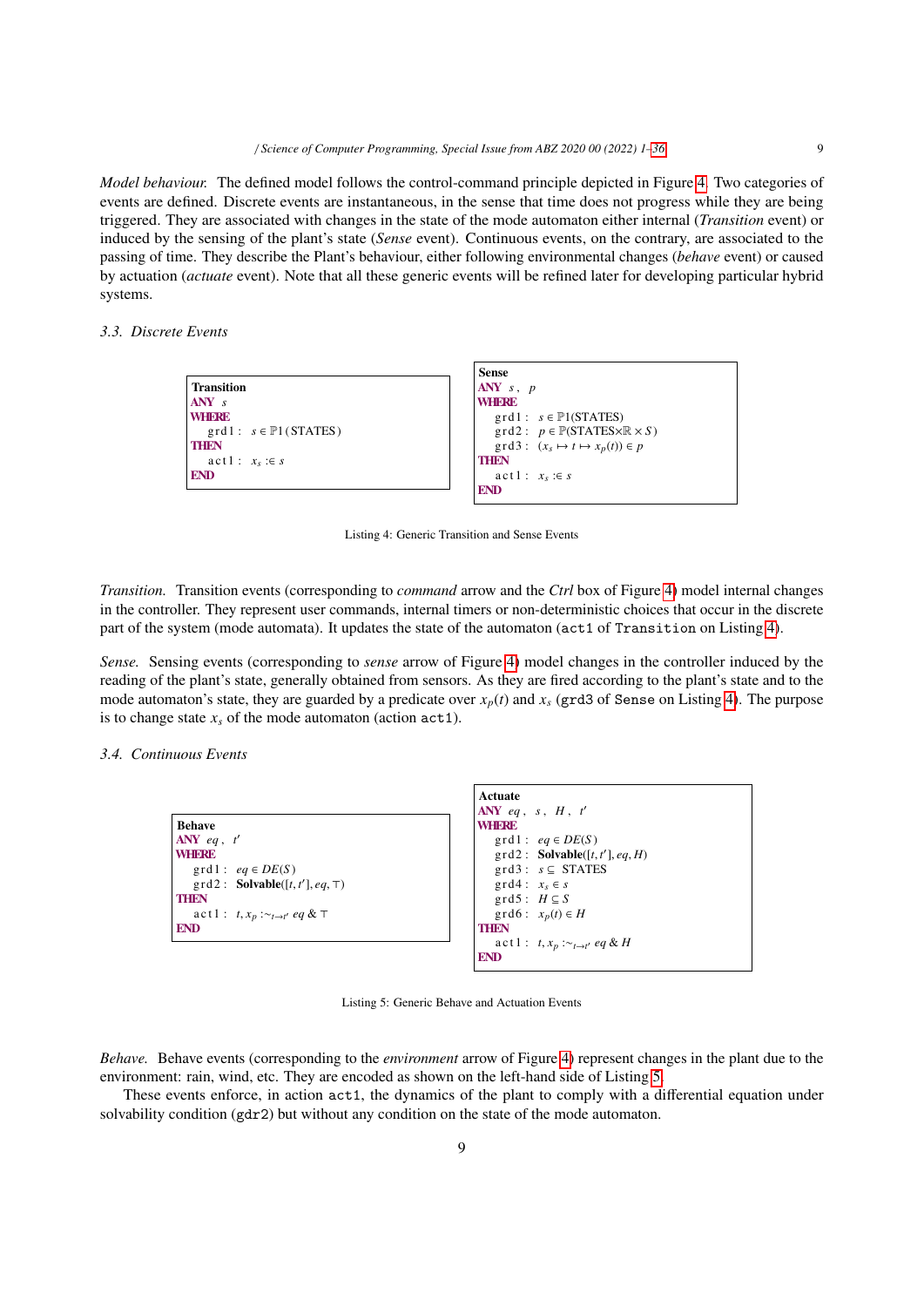*Model behaviour.* The defined model follows the control-command principle depicted in Figure 4. Two categories of events are defined. Discrete events are instantaneous, in the sense that time does not progress while they are being triggered. They are associated with changes in the state of the mode automaton either internal (*Transition* event) or induced by the sensing of the plant's state (*Sense* event). Continuous events, on the contrary, are associated to the passing of time. They describe the Plant's behaviour, either following environmental changes (*behave* event) or caused by actuation (*actuate* event). Note that all these generic events will be refined later for developing particular hybrid systems.

## *3.3. Discrete Events*

|                                    | <b>Sense</b>                                                              |
|------------------------------------|---------------------------------------------------------------------------|
| <b>Transition</b>                  | $ANY \, s, p$                                                             |
| $ANY$ s                            | <b>WHERE</b>                                                              |
| <b>WHFRE</b>                       | $grd1: s \in \mathbb{P}1(STATES)$                                         |
| $grd1: s \in \mathbb{P}1$ (STATES) | $\text{grd2}: p \in \mathbb{P}(\text{STATES} \times \mathbb{R} \times S)$ |
| <b>THEN</b>                        | $\text{grd}3: (x_s \mapsto t \mapsto x_p(t)) \in p$                       |
| $act1: x_s : \in s$                | <b>THEN</b>                                                               |
| <b>END</b>                         | $act1: x_s : \in s$                                                       |
|                                    | <b>END</b>                                                                |

Listing 4: Generic Transition and Sense Events

*Transition.* Transition events (corresponding to *command* arrow and the *Ctrl* box of Figure 4) model internal changes in the controller. They represent user commands, internal timers or non-deterministic choices that occur in the discrete part of the system (mode automata). It updates the state of the automaton (act1 of Transition on Listing 4).

*Sense.* Sensing events (corresponding to *sense* arrow of Figure 4) model changes in the controller induced by the reading of the plant's state, generally obtained from sensors. As they are fired according to the plant's state and to the mode automaton's state, they are guarded by a predicate over  $x_p(t)$  and  $x_s$  (grd3 of Sense on Listing 4). The purpose is to change state  $x<sub>s</sub>$  of the mode automaton (action  $act1$ ).

## *3.4. Continuous Events*

|                                                       | Actuate                                         |
|-------------------------------------------------------|-------------------------------------------------|
|                                                       | ANY eq. s, $H$ , $t'$                           |
| <b>Behave</b>                                         | <b>WHERE</b>                                    |
| $ANY$ eq. t'                                          | $grd1: eq \in DE(S)$                            |
| <b>WHERE</b>                                          | $\text{grd2}:$ Solvable([t, t'], eq, H)         |
| $grd1: eq \in DE(S)$                                  | $grd3: s \subseteq STATES$                      |
| $\text{grd2}:$ <b>Solvable</b> ([t, t'], eq, $\top$ ) | $grd4: x_s \in s$                               |
| <b>THEN</b>                                           | $grd5: H \subseteq S$                           |
| $\text{act} 1: t, x_p : \sim_{t \to t'} eq \& \top$   | $\text{grd}6: x_p(t) \in H$                     |
| <b>END</b>                                            | <b>THEN</b>                                     |
|                                                       | $\text{act1}: t, x_p : \sim_{t \to t'} eq \& H$ |
|                                                       | <b>END</b>                                      |

Listing 5: Generic Behave and Actuation Events

*Behave.* Behave events (corresponding to the *environment* arrow of Figure 4) represent changes in the plant due to the environment: rain, wind, etc. They are encoded as shown on the left-hand side of Listing 5.

These events enforce, in action act1, the dynamics of the plant to comply with a differential equation under solvability condition (gdr2) but without any condition on the state of the mode automaton.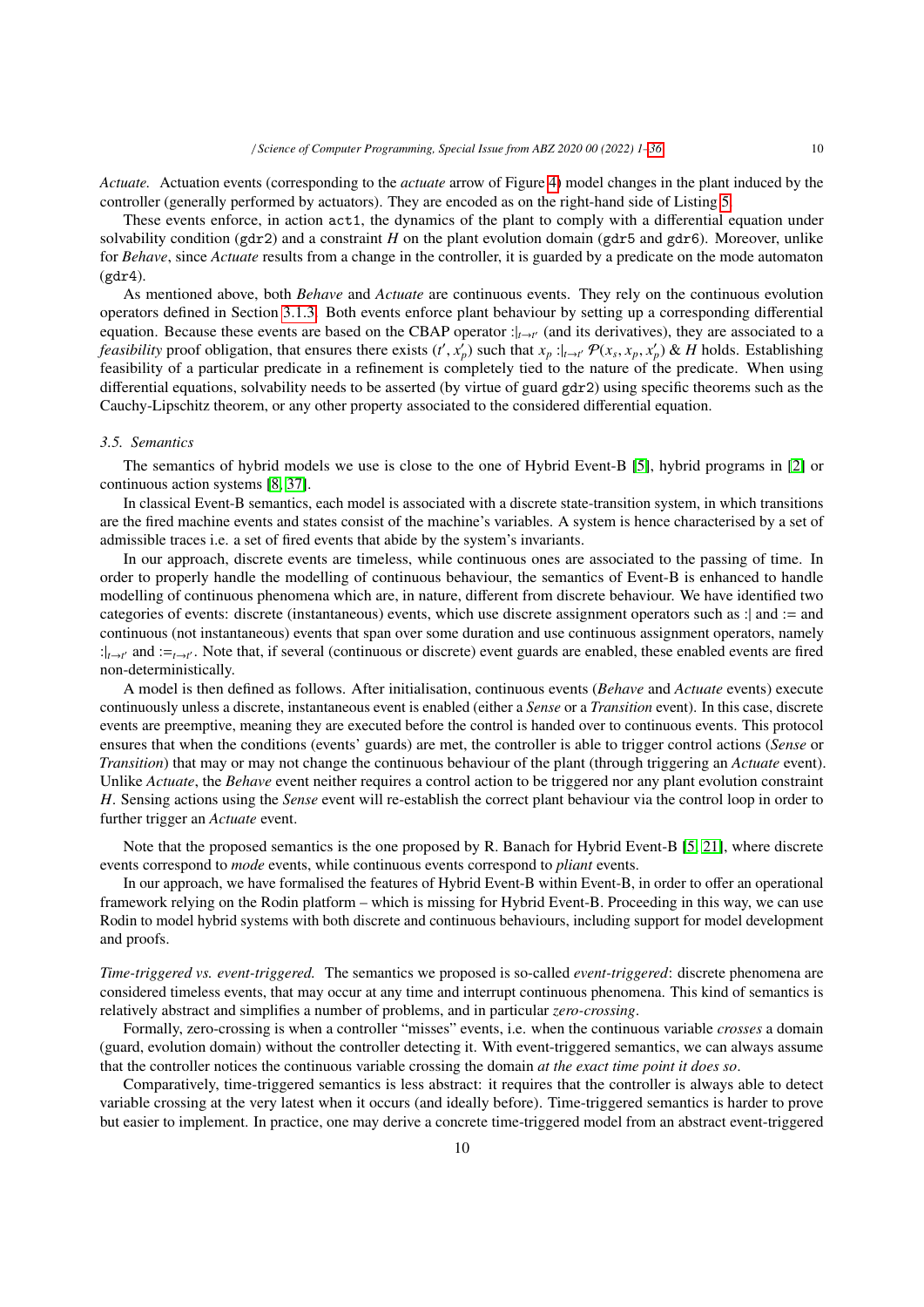*Actuate.* Actuation events (corresponding to the *actuate* arrow of Figure 4) model changes in the plant induced by the controller (generally performed by actuators). They are encoded as on the right-hand side of Listing 5.

These events enforce, in action act1, the dynamics of the plant to comply with a differential equation under solvability condition (gdr2) and a constraint *H* on the plant evolution domain (gdr5 and gdr6). Moreover, unlike for *Behave*, since *Actuate* results from a change in the controller, it is guarded by a predicate on the mode automaton (gdr4).

As mentioned above, both *Behave* and *Actuate* are continuous events. They rely on the continuous evolution operators defined in Section 3.1.3. Both events enforce plant behaviour by setting up a corresponding differential equation. Because these events are based on the CBAP operator :|*t*→*<sup>t</sup>* ′ (and its derivatives), they are associated to a *feasibility* proof obligation, that ensures there exists  $(t', x'_p)$  such that  $x_p :_{t \to t'} \mathcal{P}(x_s, x_p, x'_p)$  & H holds. Establishing feasibility of a particular predicate in a refinement is completely tied to the nature of the predicate. When using differential equations, solvability needs to be asserted (by virtue of guard gdr2) using specific theorems such as the Cauchy-Lipschitz theorem, or any other property associated to the considered differential equation.

#### *3.5. Semantics*

The semantics of hybrid models we use is close to the one of Hybrid Event-B [5], hybrid programs in [2] or continuous action systems [8, 37].

In classical Event-B semantics, each model is associated with a discrete state-transition system, in which transitions are the fired machine events and states consist of the machine's variables. A system is hence characterised by a set of admissible traces i.e. a set of fired events that abide by the system's invariants.

In our approach, discrete events are timeless, while continuous ones are associated to the passing of time. In order to properly handle the modelling of continuous behaviour, the semantics of Event-B is enhanced to handle modelling of continuous phenomena which are, in nature, different from discrete behaviour. We have identified two categories of events: discrete (instantaneous) events, which use discrete assignment operators such as :| and := and continuous (not instantaneous) events that span over some duration and use continuous assignment operators, namely : $|_{t\to t'}$  and :=<sub>*t*→*t'*</sub>. Note that, if several (continuous or discrete) event guards are enabled, these enabled events are fired non-deterministically.

A model is then defined as follows. After initialisation, continuous events (*Behave* and *Actuate* events) execute continuously unless a discrete, instantaneous event is enabled (either a *Sense* or a *Transition* event). In this case, discrete events are preemptive, meaning they are executed before the control is handed over to continuous events. This protocol ensures that when the conditions (events' guards) are met, the controller is able to trigger control actions (*Sense* or *Transition*) that may or may not change the continuous behaviour of the plant (through triggering an *Actuate* event). Unlike *Actuate*, the *Behave* event neither requires a control action to be triggered nor any plant evolution constraint *H*. Sensing actions using the *Sense* event will re-establish the correct plant behaviour via the control loop in order to further trigger an *Actuate* event.

Note that the proposed semantics is the one proposed by R. Banach for Hybrid Event-B [5, 21], where discrete events correspond to *mode* events, while continuous events correspond to *pliant* events.

In our approach, we have formalised the features of Hybrid Event-B within Event-B, in order to offer an operational framework relying on the Rodin platform – which is missing for Hybrid Event-B. Proceeding in this way, we can use Rodin to model hybrid systems with both discrete and continuous behaviours, including support for model development and proofs.

*Time-triggered vs. event-triggered.* The semantics we proposed is so-called *event-triggered*: discrete phenomena are considered timeless events, that may occur at any time and interrupt continuous phenomena. This kind of semantics is relatively abstract and simplifies a number of problems, and in particular *zero-crossing*.

Formally, zero-crossing is when a controller "misses" events, i.e. when the continuous variable *crosses* a domain (guard, evolution domain) without the controller detecting it. With event-triggered semantics, we can always assume that the controller notices the continuous variable crossing the domain *at the exact time point it does so*.

Comparatively, time-triggered semantics is less abstract: it requires that the controller is always able to detect variable crossing at the very latest when it occurs (and ideally before). Time-triggered semantics is harder to prove but easier to implement. In practice, one may derive a concrete time-triggered model from an abstract event-triggered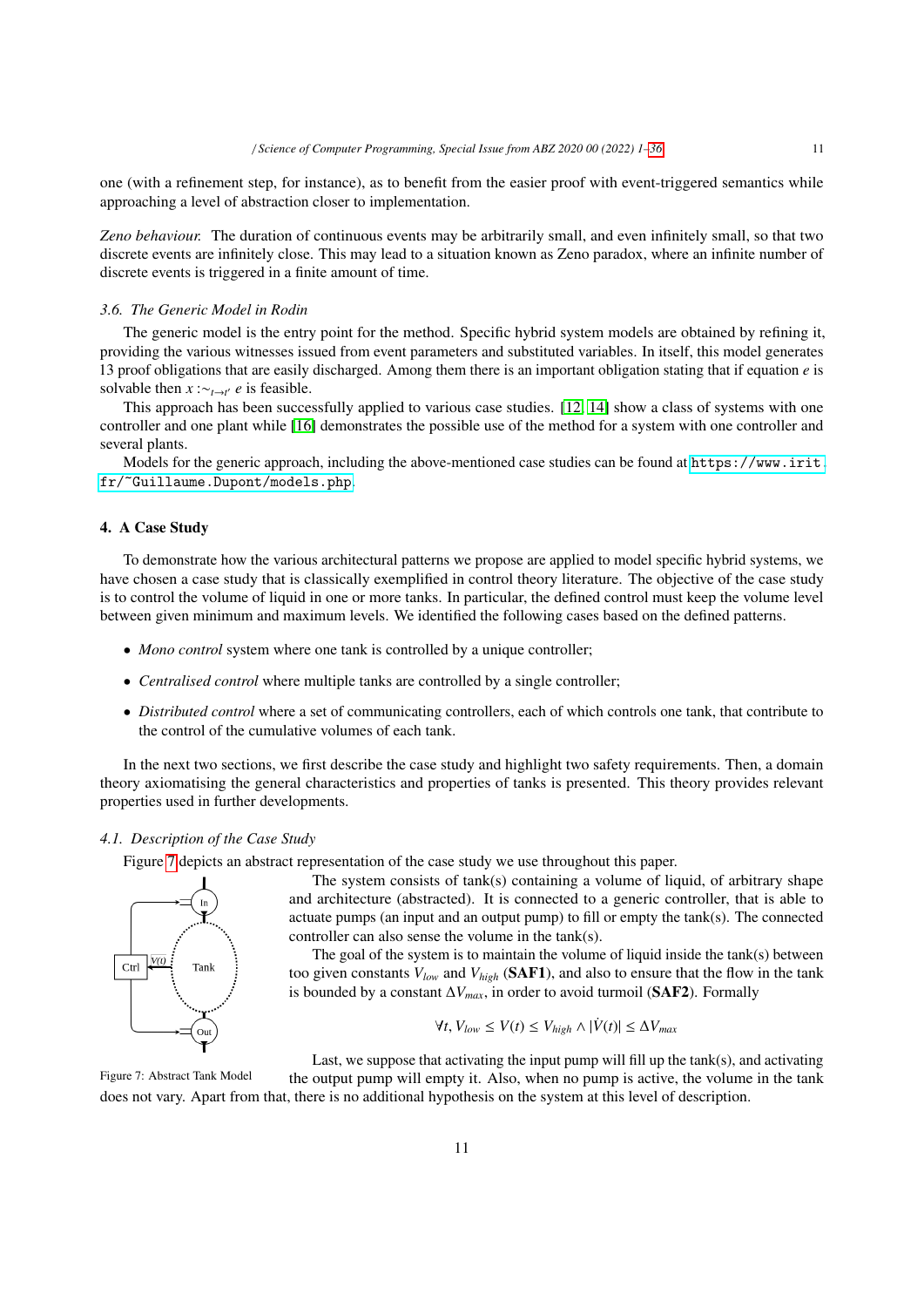one (with a refinement step, for instance), as to benefit from the easier proof with event-triggered semantics while approaching a level of abstraction closer to implementation.

*Zeno behaviour.* The duration of continuous events may be arbitrarily small, and even infinitely small, so that two discrete events are infinitely close. This may lead to a situation known as Zeno paradox, where an infinite number of discrete events is triggered in a finite amount of time.

## *3.6. The Generic Model in Rodin*

The generic model is the entry point for the method. Specific hybrid system models are obtained by refining it, providing the various witnesses issued from event parameters and substituted variables. In itself, this model generates 13 proof obligations that are easily discharged. Among them there is an important obligation stating that if equation *e* is solvable then  $x : \sim_{t \to t'} e$  is feasible.

This approach has been successfully applied to various case studies. [12, 14] show a class of systems with one controller and one plant while [16] demonstrates the possible use of the method for a system with one controller and several plants.

Models for the generic approach, including the above-mentioned case studies can be found at [https://www.irit.](https://www.irit.fr/~Guillaume.Dupont/models.php) [fr/~Guillaume.Dupont/models.php](https://www.irit.fr/~Guillaume.Dupont/models.php).

## 4. A Case Study

To demonstrate how the various architectural patterns we propose are applied to model specific hybrid systems, we have chosen a case study that is classically exemplified in control theory literature. The objective of the case study is to control the volume of liquid in one or more tanks. In particular, the defined control must keep the volume level between given minimum and maximum levels. We identified the following cases based on the defined patterns.

- *Mono control* system where one tank is controlled by a unique controller;
- *Centralised control* where multiple tanks are controlled by a single controller;
- *Distributed control* where a set of communicating controllers, each of which controls one tank, that contribute to the control of the cumulative volumes of each tank.

In the next two sections, we first describe the case study and highlight two safety requirements. Then, a domain theory axiomatising the general characteristics and properties of tanks is presented. This theory provides relevant properties used in further developments.

## *4.1. Description of the Case Study*

Figure 7 depicts an abstract representation of the case study we use throughout this paper.



The system consists of tank(s) containing a volume of liquid, of arbitrary shape and architecture (abstracted). It is connected to a generic controller, that is able to actuate pumps (an input and an output pump) to fill or empty the tank(s). The connected controller can also sense the volume in the tank(s).

The goal of the system is to maintain the volume of liquid inside the tank(s) between too given constants *Vlow* and *Vhigh* (SAF1), and also to ensure that the flow in the tank is bounded by a constant  $\Delta V_{max}$ , in order to avoid turmoil (SAF2). Formally

$$
\forall t, V_{low} \le V(t) \le V_{high} \land |\dot{V}(t)| \le \Delta V_{max}
$$

Figure 7: Abstract Tank Model Last, we suppose that activating the input pump will fill up the tank(s), and activating the output pump will empty it. Also, when no pump is active, the volume in the tank does not vary. Apart from that, there is no additional hypothesis on the system at this level of description.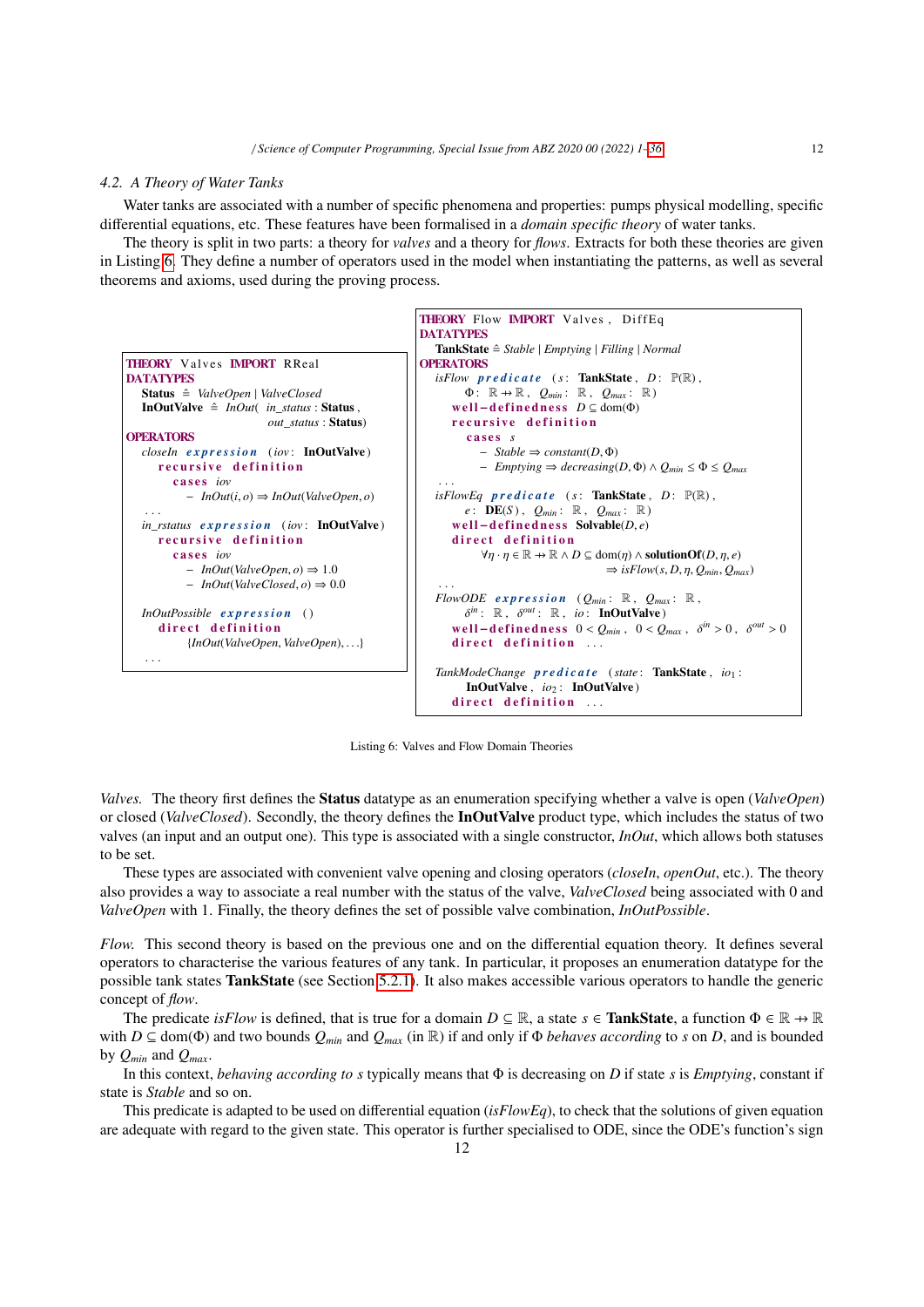#### *4.2. A Theory of Water Tanks*

Water tanks are associated with a number of specific phenomena and properties: pumps physical modelling, specific differential equations, etc. These features have been formalised in a *domain specific theory* of water tanks.

The theory is split in two parts: a theory for *valves* and a theory for *flows*. Extracts for both these theories are given in Listing 6. They define a number of operators used in the model when instantiating the patterns, as well as several theorems and axioms, used during the proving process.



Listing 6: Valves and Flow Domain Theories

*Valves.* The theory first defines the Status datatype as an enumeration specifying whether a valve is open (*ValveOpen*) or closed (*ValveClosed*). Secondly, the theory defines the InOutValve product type, which includes the status of two valves (an input and an output one). This type is associated with a single constructor, *InOut*, which allows both statuses to be set.

These types are associated with convenient valve opening and closing operators (*closeIn*, *openOut*, etc.). The theory also provides a way to associate a real number with the status of the valve, *ValveClosed* being associated with 0 and *ValveOpen* with 1. Finally, the theory defines the set of possible valve combination, *InOutPossible*.

*Flow.* This second theory is based on the previous one and on the differential equation theory. It defines several operators to characterise the various features of any tank. In particular, it proposes an enumeration datatype for the possible tank states TankState (see Section 5.2.1). It also makes accessible various operators to handle the generic concept of *flow*.

The predicate *isFlow* is defined, that is true for a domain  $D \subseteq \mathbb{R}$ , a state  $s \in$  **TankState**, a function  $\Phi \in \mathbb{R} \to \mathbb{R}$ with  $D \subseteq \text{dom}(\Phi)$  and two bounds  $Q_{min}$  and  $Q_{max}$  (in R) if and only if  $\Phi$  *behaves according* to *s* on *D*, and is bounded by  $Q_{min}$  and  $Q_{max}$ .

In this context, *behaving according to s* typically means that Φ is decreasing on *D* if state *s* is *Emptying*, constant if state is *Stable* and so on.

This predicate is adapted to be used on differential equation (*isFlowEq*), to check that the solutions of given equation are adequate with regard to the given state. This operator is further specialised to ODE, since the ODE's function's sign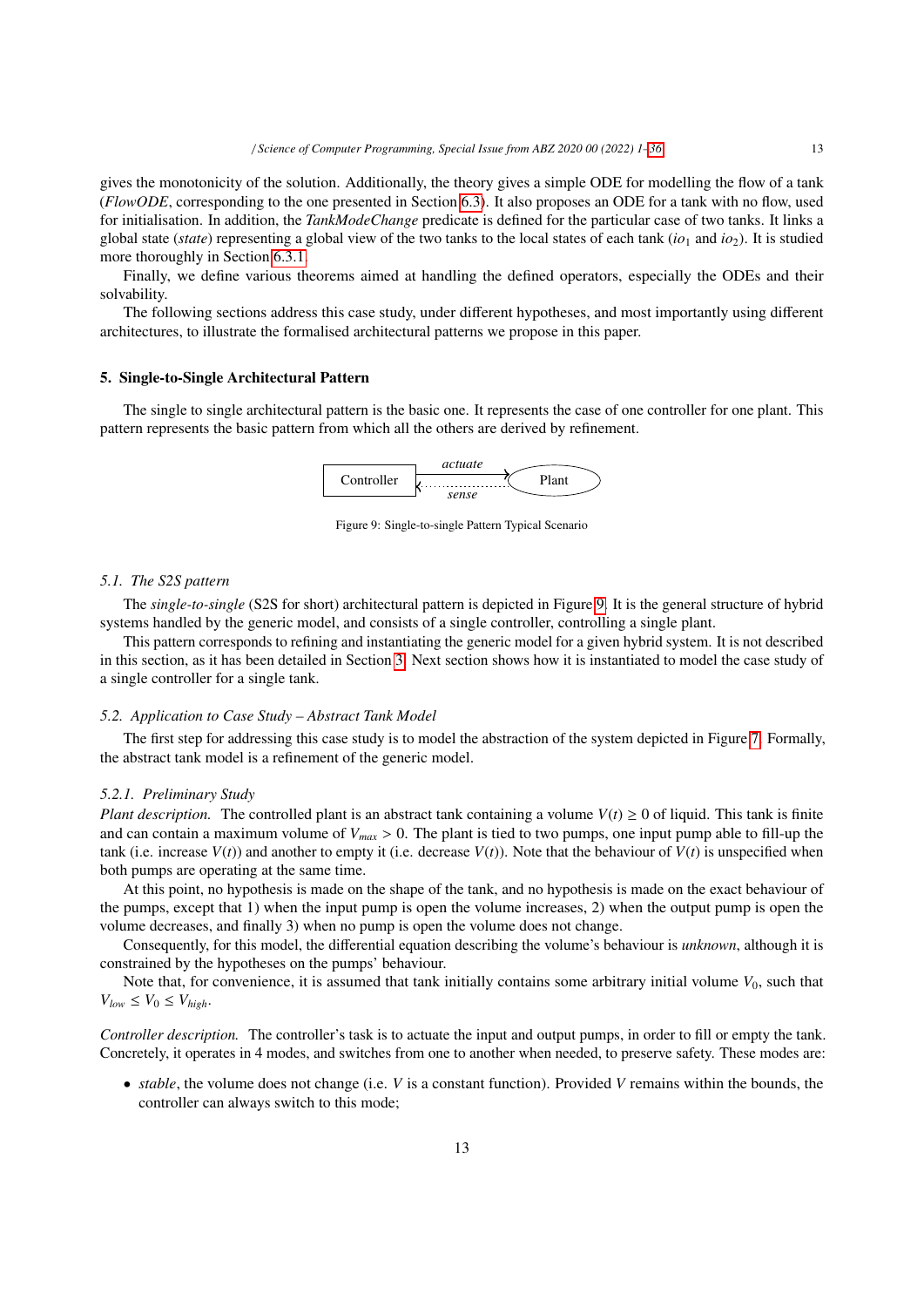gives the monotonicity of the solution. Additionally, the theory gives a simple ODE for modelling the flow of a tank (*FlowODE*, corresponding to the one presented in Section 6.3). It also proposes an ODE for a tank with no flow, used for initialisation. In addition, the *TankModeChange* predicate is defined for the particular case of two tanks. It links a global state (*state*) representing a global view of the two tanks to the local states of each tank (*io*<sup>1</sup> and *io*2). It is studied more thoroughly in Section 6.3.1.

Finally, we define various theorems aimed at handling the defined operators, especially the ODEs and their solvability.

The following sections address this case study, under different hypotheses, and most importantly using different architectures, to illustrate the formalised architectural patterns we propose in this paper.

#### 5. Single-to-Single Architectural Pattern

The single to single architectural pattern is the basic one. It represents the case of one controller for one plant. This pattern represents the basic pattern from which all the others are derived by refinement.



Figure 9: Single-to-single Pattern Typical Scenario

#### *5.1. The S2S pattern*

The *single-to-single* (S2S for short) architectural pattern is depicted in Figure 9. It is the general structure of hybrid systems handled by the generic model, and consists of a single controller, controlling a single plant.

This pattern corresponds to refining and instantiating the generic model for a given hybrid system. It is not described in this section, as it has been detailed in Section 3. Next section shows how it is instantiated to model the case study of a single controller for a single tank.

#### *5.2. Application to Case Study – Abstract Tank Model*

The first step for addressing this case study is to model the abstraction of the system depicted in Figure 7. Formally, the abstract tank model is a refinement of the generic model.

#### *5.2.1. Preliminary Study*

*Plant description.* The controlled plant is an abstract tank containing a volume  $V(t) \ge 0$  of liquid. This tank is finite and can contain a maximum volume of  $V_{max} > 0$ . The plant is tied to two pumps, one input pump able to fill-up the tank (i.e. increase  $V(t)$ ) and another to empty it (i.e. decrease  $V(t)$ ). Note that the behaviour of  $V(t)$  is unspecified when both pumps are operating at the same time.

At this point, no hypothesis is made on the shape of the tank, and no hypothesis is made on the exact behaviour of the pumps, except that 1) when the input pump is open the volume increases, 2) when the output pump is open the volume decreases, and finally 3) when no pump is open the volume does not change.

Consequently, for this model, the differential equation describing the volume's behaviour is *unknown*, although it is constrained by the hypotheses on the pumps' behaviour.

Note that, for convenience, it is assumed that tank initially contains some arbitrary initial volume  $V_0$ , such that  $V_{low} \leq V_0 \leq V_{high}$ .

*Controller description.* The controller's task is to actuate the input and output pumps, in order to fill or empty the tank. Concretely, it operates in 4 modes, and switches from one to another when needed, to preserve safety. These modes are:

• *stable*, the volume does not change (i.e. *V* is a constant function). Provided *V* remains within the bounds, the controller can always switch to this mode;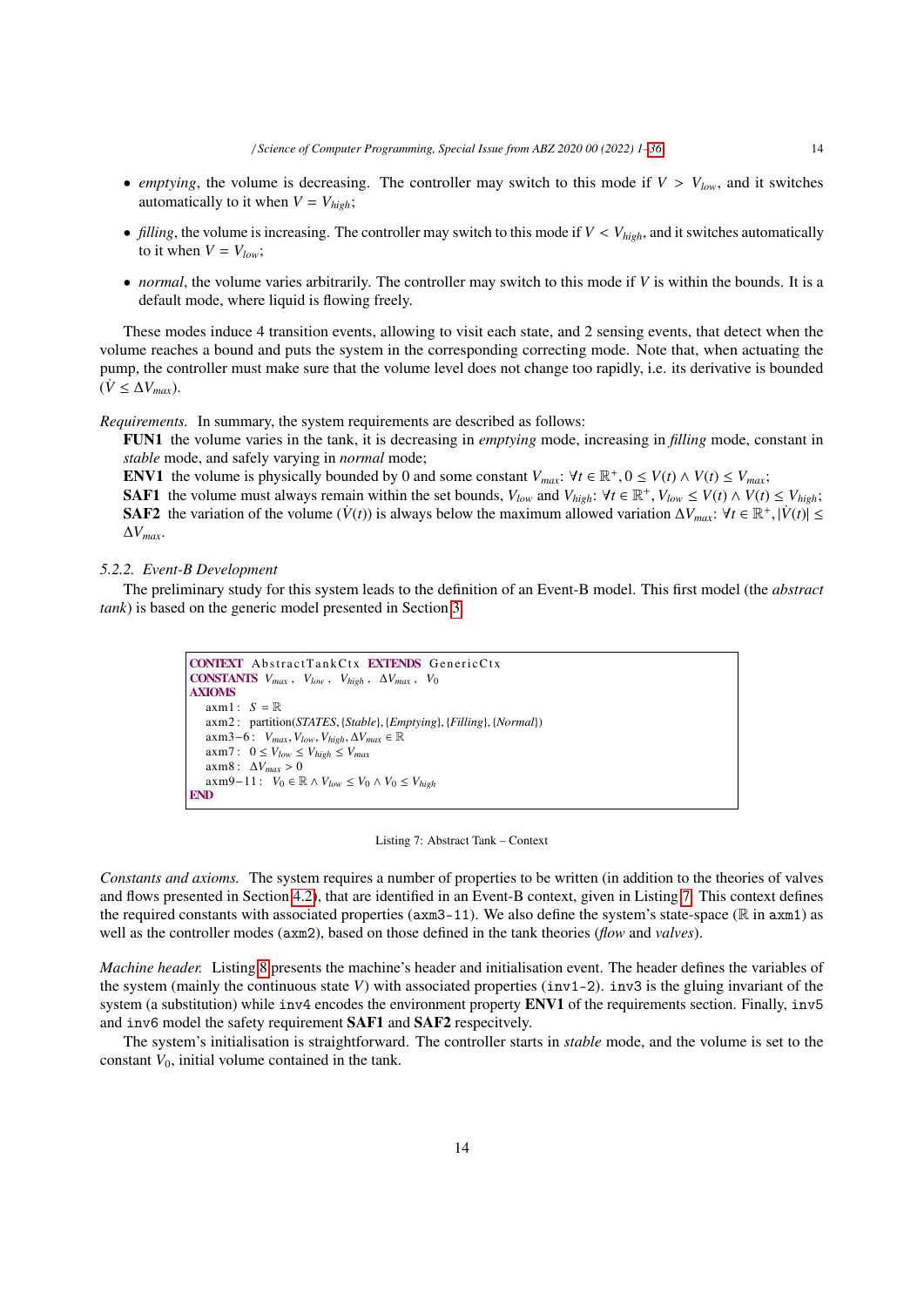- *emptying*, the volume is decreasing. The controller may switch to this mode if  $V > V_{low}$ , and it switches automatically to it when  $V = V_{high}$ ;
- *filling*, the volume is increasing. The controller may switch to this mode if  $V < V_{high}$ , and it switches automatically to it when  $V = V_{low}$ ;
- *normal*, the volume varies arbitrarily. The controller may switch to this mode if *V* is within the bounds. It is a default mode, where liquid is flowing freely.

These modes induce 4 transition events, allowing to visit each state, and 2 sensing events, that detect when the volume reaches a bound and puts the system in the corresponding correcting mode. Note that, when actuating the pump, the controller must make sure that the volume level does not change too rapidly, i.e. its derivative is bounded  $(\dot{V} \leq \Delta V_{max})$ .

*Requirements.* In summary, the system requirements are described as follows:

FUN1 the volume varies in the tank, it is decreasing in *emptying* mode, increasing in *filling* mode, constant in *stable* mode, and safely varying in *normal* mode;

ENV1 the volume is physically bounded by 0 and some constant  $V_{max}$ :  $\forall t \in \mathbb{R}^+, 0 \le V(t) \land V(t) \le V_{max}$ ;<br>SAE1 the volume must always remain within the set bounds  $V_{tot}$  and  $V_{tot}$ :  $\forall t \in \mathbb{R}^+$ ,  $V_{tot} \le V(t) \land V(t)$ 

SAF1 the volume must always remain within the set bounds,  $V_{low}$  and  $V_{high}$ :  $\forall t \in \mathbb{R}^+$ ,  $V_{low} \le V(t) \wedge V(t) \le V_{high}$ ;<br>SAF2 the variation of the volume  $(V(t))$  is always below the maximum allowed variation  $\Delta V$   $\cdot$   $\forall t \in$ SAF2 the variation of the volume ( $\dot{V}(t)$ ) is always below the maximum allowed variation  $\Delta V_{max}$ :  $\forall t \in \mathbb{R}^+, |\dot{V}(t)| \le \Delta V$ ∆*Vmax*.

## *5.2.2. Event-B Development*

The preliminary study for this system leads to the definition of an Event-B model. This first model (the *abstract tank*) is based on the generic model presented in Section 3.

```
CONTEXT AbstractTankCtx EXTENDS GenericCtx
CONSTANTS V_{max}, V_{low}, V_{high}, \Delta V_{max}, V_0AXIOMS
   axm1 : S = \mathbb{R}axm2 : partition(STATES, {Stable}, {Emptying}, {Filling}, {Normal})
   axm3−6 : Vmax, Vlow, Vhigh, ∆Vmax ∈ R
   axm7: 0 \leq V_{low} \leq V_{high} \leq V_{max}axm8 : ∆Vmax > 0
axm9−11 : V0 ∈ R ∧ Vlow ≤ V0 ∧ V0 ≤ Vhigh
END
```
#### Listing 7: Abstract Tank – Context

*Constants and axioms.* The system requires a number of properties to be written (in addition to the theories of valves and flows presented in Section 4.2), that are identified in an Event-B context, given in Listing 7. This context defines the required constants with associated properties ( $a$ xm3-11). We also define the system's state-space ( $\mathbb R$  in  $a$ xm1) as well as the controller modes (axm2), based on those defined in the tank theories (*flow* and *valves*).

*Machine header.* Listing 8 presents the machine's header and initialisation event. The header defines the variables of the system (mainly the continuous state *V*) with associated properties (inv1-2). inv3 is the gluing invariant of the system (a substitution) while inv4 encodes the environment property ENV1 of the requirements section. Finally, inv5 and inv6 model the safety requirement SAF1 and SAF2 respecitvely.

The system's initialisation is straightforward. The controller starts in *stable* mode, and the volume is set to the constant  $V_0$ , initial volume contained in the tank.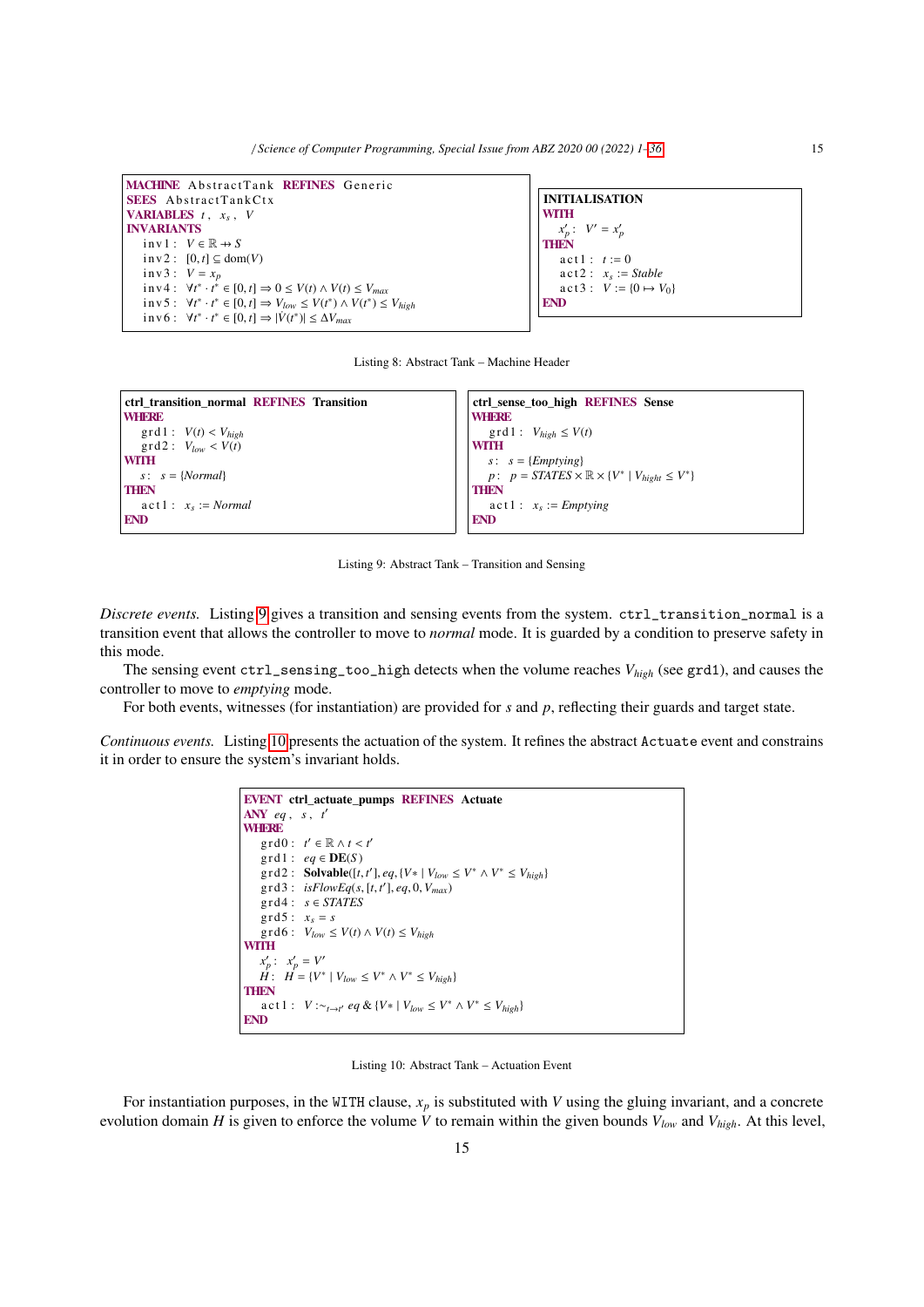MACHINE AbstractTank REFINES Generic SEES AbstractTankCtx **VARIABLES**  $t$ ,  $x_s$ ,  $V$ INVARIANTS  $inv1: V \in \mathbb{R} \rightarrow S$  $inv2$  :  $[0, t] \subseteq dom(V)$  $inv3: V = x_p$ in v 4 :  $\forall t^* \cdot t^* \in [0, t] \Rightarrow 0 \le V(t) \land V(t) \le V_{max}$ <br>in v 5 :  $\forall t^* \cdot t^* \in [0, t] \rightarrow V_t$ , <  $V(t^*) \land V(t^*) \le$  $\exists$  in v 6 :  $\forall t^* \cdot t^* \in [0, t] \Rightarrow V_{low} \leq V(t^*) \wedge V(t^*) \leq V_{high}$ <br>  $\exists$  in v 6 :  $\forall t^* \cdot t^* \in [0, t] \rightarrow |V(t^*)| \leq \Delta V$  $\text{if } V_0 : \forall t^* \cdot t^* \in [0, t] \Rightarrow |\dot{V}(t^*)| \leq \Delta V_{\text{max}}$ 

```
INITIALISATION
WITH
    x'_p: V' = x'_pTHEN
   \text{act 1}: t := 0\text{act } 2: x_s := \text{Stable}act3: V := \{0 \mapsto V_0\}END
```
Listing 8: Abstract Tank – Machine Header

```
ctrl_transition_normal REFINES Transition
WHERE
   \text{grd1}: V(t) < V_{high}\text{grad } 2: V_{low} < V(t)WITH
  s: s = {Normal}
THEN
    \text{act 1}: \quad x_s := \text{Normal}END
                                                                                ctrl sense too high REFINES Sense
                                                                                WHERE
                                                                                   \text{grd1}: V_{high} \leq V(t)WITH
                                                                                   s: s = {Emptying}
                                                                                    p: p = STATES \times \mathbb{R} \times \{V^* \mid V_{hight} \leq V^*\}THEN
                                                                                    \text{act 1}: x_s := \text{Emptying}END
```
Listing 9: Abstract Tank – Transition and Sensing

*Discrete events.* Listing 9 gives a transition and sensing events from the system. ctrl\_transition\_normal is a transition event that allows the controller to move to *normal* mode. It is guarded by a condition to preserve safety in this mode.

The sensing event ctrl\_sensing\_too\_high detects when the volume reaches *Vhigh* (see grd1), and causes the controller to move to *emptying* mode.

For both events, witnesses (for instantiation) are provided for *s* and *p*, reflecting their guards and target state.

*Continuous events.* Listing 10 presents the actuation of the system. It refines the abstract Actuate event and constrains it in order to ensure the system's invariant holds.

```
EVENT ctrl_actuate_pumps REFINES Actuate
ANY eq , s , t
′
WHERE
      grd0: t' \in \mathbb{R} \wedge t < t'<br>ord1: e_a \in \mathbf{DF}(S)\text{grd1}: \text{ } eq \in \text{DE}(S)\gcd{2}: \textbf{Solvable}([t, t'], eq, \{V * | V_{low} \leq V^* \land V^* \leq V_{high}\})\text{grd3}: \text{ is} \text{FlowEq}(s, [t, t'], eq, 0, V_{max})<br>\text{ord4}: s \in \text{STATES}grd4: s \in STATESgrd5: x<sub>s</sub> = s\int \text{grad } \theta: V_{low} \leq V(t) \wedge V(t) \leq V_{high}WITH
     x'_p: x'_p = V'H: H = \{V^* \mid V_{low} \leq V^* \wedge V^* \leq V_{high}\}THEN
      a c t 1 : V :∼t→t' eq & {V * | V<sub>low</sub> ≤ V<sup>*</sup> ∧ V<sup>*</sup> ≤ V<sub>high</sub>}
END
```
Listing 10: Abstract Tank – Actuation Event

For instantiation purposes, in the WITH clause, *x<sup>p</sup>* is substituted with *V* using the gluing invariant, and a concrete evolution domain *H* is given to enforce the volume *V* to remain within the given bounds  $V_{low}$  and  $V_{high}$ . At this level,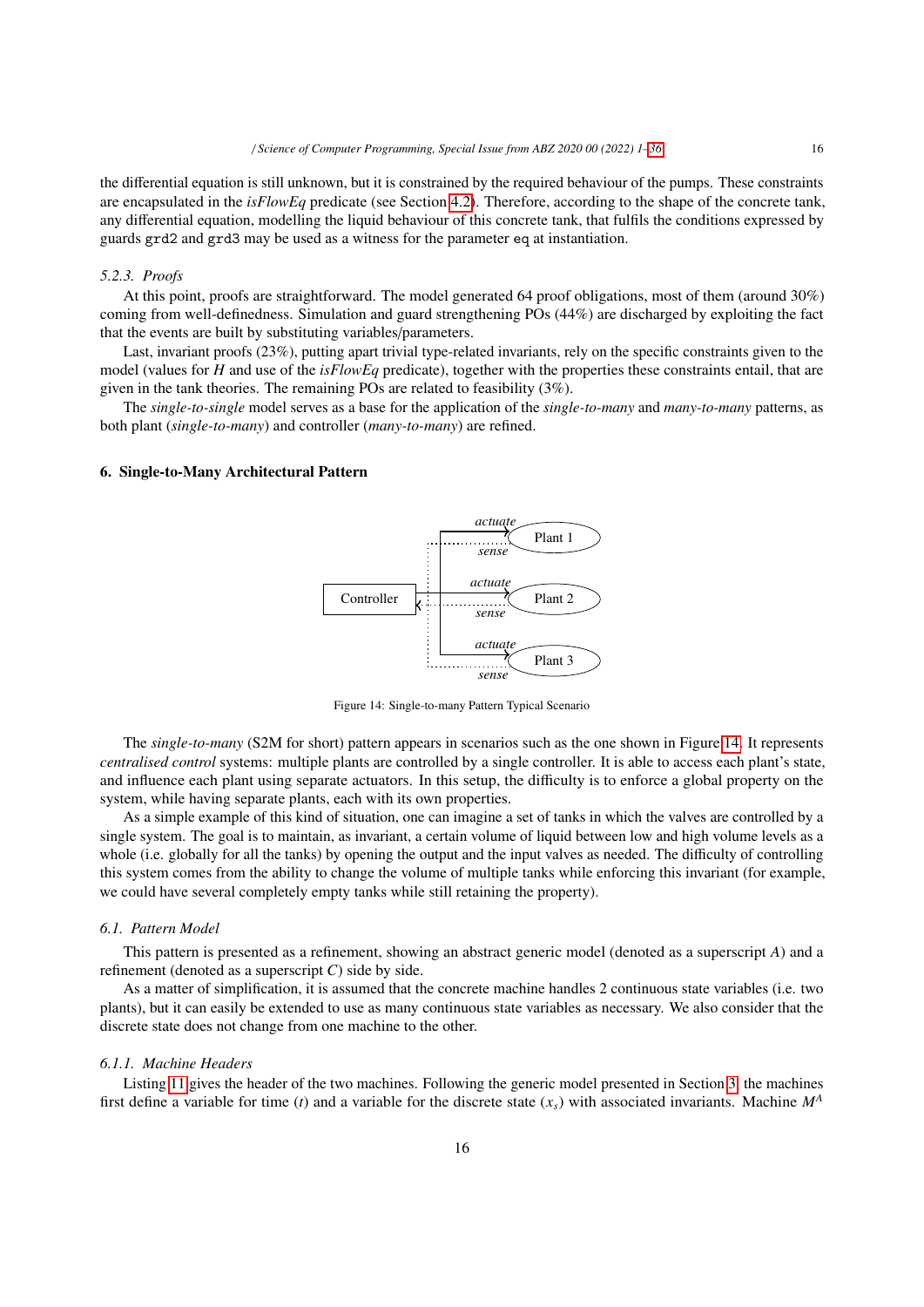the differential equation is still unknown, but it is constrained by the required behaviour of the pumps. These constraints are encapsulated in the *isFlowEq* predicate (see Section 4.2). Therefore, according to the shape of the concrete tank, any differential equation, modelling the liquid behaviour of this concrete tank, that fulfils the conditions expressed by guards grd2 and grd3 may be used as a witness for the parameter eq at instantiation.

#### *5.2.3. Proofs*

At this point, proofs are straightforward. The model generated 64 proof obligations, most of them (around 30%) coming from well-definedness. Simulation and guard strengthening POs (44%) are discharged by exploiting the fact that the events are built by substituting variables/parameters.

Last, invariant proofs (23%), putting apart trivial type-related invariants, rely on the specific constraints given to the model (values for *H* and use of the *isFlowEq* predicate), together with the properties these constraints entail, that are given in the tank theories. The remaining POs are related to feasibility (3%).

The *single-to-single* model serves as a base for the application of the *single-to-many* and *many-to-many* patterns, as both plant (*single-to-many*) and controller (*many-to-many*) are refined.

#### 6. Single-to-Many Architectural Pattern



Figure 14: Single-to-many Pattern Typical Scenario

The *single-to-many* (S2M for short) pattern appears in scenarios such as the one shown in Figure 14. It represents *centralised control* systems: multiple plants are controlled by a single controller. It is able to access each plant's state, and influence each plant using separate actuators. In this setup, the difficulty is to enforce a global property on the system, while having separate plants, each with its own properties.

As a simple example of this kind of situation, one can imagine a set of tanks in which the valves are controlled by a single system. The goal is to maintain, as invariant, a certain volume of liquid between low and high volume levels as a whole (i.e. globally for all the tanks) by opening the output and the input valves as needed. The difficulty of controlling this system comes from the ability to change the volume of multiple tanks while enforcing this invariant (for example, we could have several completely empty tanks while still retaining the property).

### *6.1. Pattern Model*

This pattern is presented as a refinement, showing an abstract generic model (denoted as a superscript *A*) and a refinement (denoted as a superscript  $C$ ) side by side.

As a matter of simplification, it is assumed that the concrete machine handles 2 continuous state variables (i.e. two plants), but it can easily be extended to use as many continuous state variables as necessary. We also consider that the discrete state does not change from one machine to the other.

#### *6.1.1. Machine Headers*

Listing 11 gives the header of the two machines. Following the generic model presented in Section 3, the machines first define a variable for time (*t*) and a variable for the discrete state  $(x<sub>s</sub>)$  with associated invariants. Machine  $M<sup>A</sup>$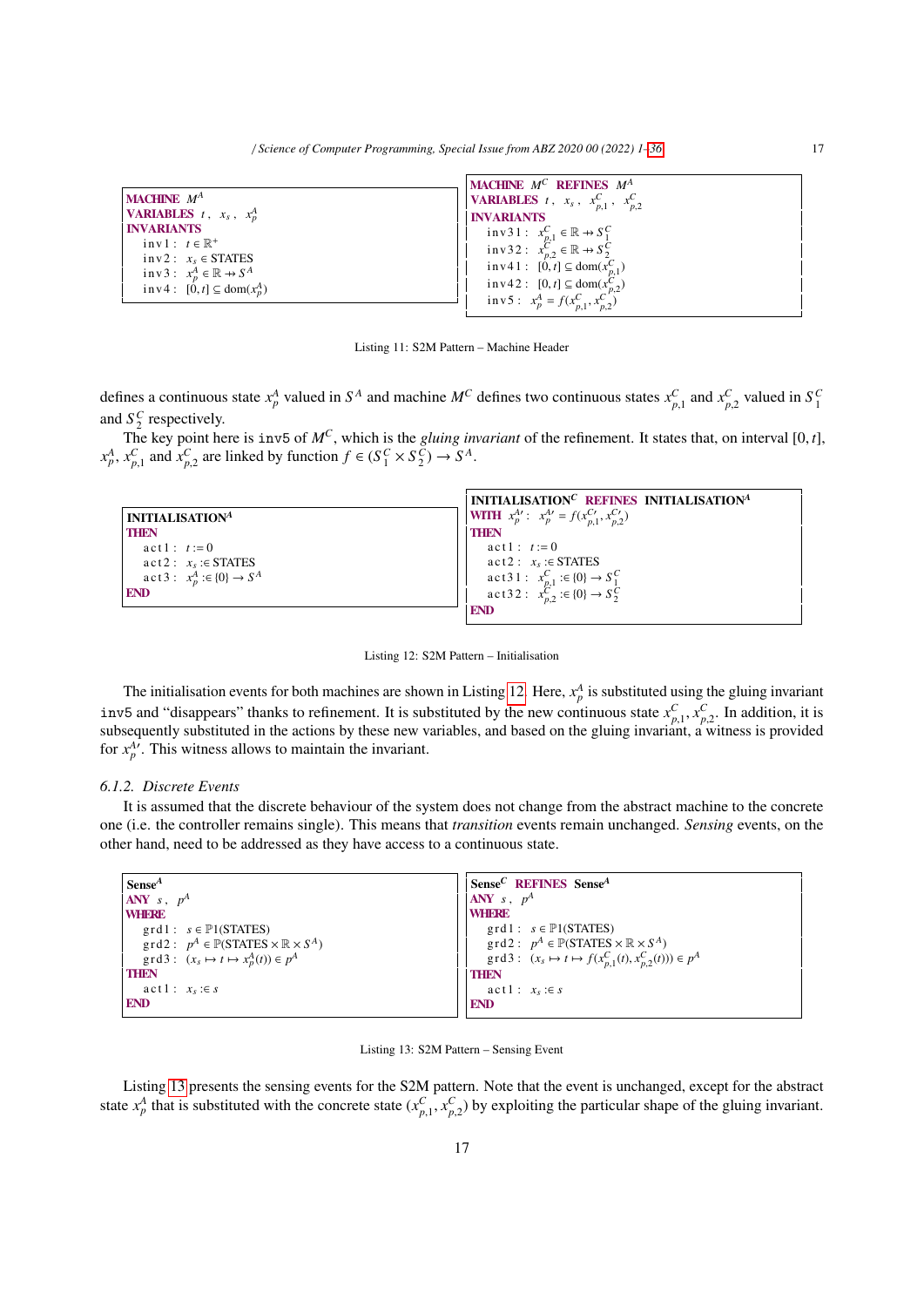| <b>MACHINE</b> $M^A$                                | <b>MACHINE</b> $M^C$ <b>REFINES</b> $M^A$                                                                  |
|-----------------------------------------------------|------------------------------------------------------------------------------------------------------------|
| <b>VARIABLES</b> $t$ , $x_s$ , $x_p^A$              | <b>VARIABLES</b> $t$ , $x_s$ , $x_{p,1}^C$ , $x_{p,2}^C$                                                   |
| <b>INVARIANTS</b>                                   | <b>INVARIANTS</b>                                                                                          |
| $inv1: t \in \mathbb{R}^+$                          | inv31: $x_{p,1}^C \in \mathbb{R} \rightarrow S_1^C$<br>inv32: $x_{p,2}^C \in \mathbb{R} \rightarrow S_2^C$ |
| $inv2: x_s \in STATES$                              | inv41: $[0,t] \subseteq \text{dom}(x_{p,1}^C)$                                                             |
| inv3: $x_p^A \in \mathbb{R} \rightarrow S^A$        | inv42: $[0, t] \subseteq \text{dom}(x_{n,2}^C)$                                                            |
| $\text{inv } 4: [0, t] \subseteq \text{dom}(x_n^A)$ | inv 5 : $x_p^A = f(x_{n,1}^C, x_{n,2}^{C'})$                                                               |

Listing 11: S2M Pattern – Machine Header

defines a continuous state  $x_p^A$  valued in  $S^A$  and machine  $M^C$  defines two continuous states  $x_{p,1}^C$  and  $x_{p,2}^C$  valued in  $S_1^C$ and  $S_2^C$  respectively.

The key point here is inv5 of  $M^C$ , which is the *gluing invariant* of the refinement. It states that, on interval [0, t],<br>  $x_p^A$ ,  $x_{p,1}^C$  and  $x_{p,2}^C$  are linked by function  $f \in (S_1^C \times S_2^C) \rightarrow S^A$ .

|                                            | INITIALISATION <sup>C</sup> REFINES INITIALISATION <sup>A</sup>                                |
|--------------------------------------------|------------------------------------------------------------------------------------------------|
| <b>INITIALISATIONA</b>                     | <b>WITH</b> $x_p^{A\prime}$ : $x_p^{A\prime} = f(x_{n,1}^{C\prime}, x_{n,2}^{C\prime})$        |
| <b>THEN</b>                                | <b>THEN</b>                                                                                    |
| $act1: t := 0$                             | $act1: t := 0$                                                                                 |
| $act2: x_s : \in STATES$                   | $act2: x_s : \in STATES$                                                                       |
| $\text{act } 3: x_p^A : \in \{0\} \to S^A$ |                                                                                                |
| <b>END</b>                                 | act31: $x_{p,1}^C := \{0\} \rightarrow S_1^C$<br>act32: $x_{p,2}^C := \{0\} \rightarrow S_2^C$ |
|                                            | <b>END</b>                                                                                     |

Listing 12: S2M Pattern – Initialisation

The initialisation events for both machines are shown in Listing 12. Here,  $x_p^A$  is substituted using the gluing invariant inv5 and "disappears" thanks to refinement. It is substituted by the new continuous state  $x_{p,1}^C, x_{p,2}^C$ . In addition, it is subsequently substituted in the actions by these new variables, and based on the gluing inv subsequently substituted in the actions by these new variables, and based on the gluing invariant, a witness is provided subsequently substituted in the actions by these new variables, and based on the gluing invariant, a for  $x_p^A$ . This witness allows to maintain the invariant.

## *6.1.2. Discrete Events*

It is assumed that the discrete behaviour of the system does not change from the abstract machine to the concrete one (i.e. the controller remains single). This means that *transition* events remain unchanged. *Sensing* events, on the other hand, need to be addressed as they have access to a continuous state.

| $\sqrt{\text{Sense}^A}$                                                       | Sense <sup>C</sup> REFINES Sense <sup>A</sup>                                 |
|-------------------------------------------------------------------------------|-------------------------------------------------------------------------------|
| $\vert$ ANY s, $p^A$                                                          | ANY $s, p^A$                                                                  |
| <b>WHERE</b>                                                                  | <b>WHERE</b>                                                                  |
| $grd1: s \in \mathbb{P}1(STATES)$                                             | $grd1: s \in \mathbb{P}1(STATES)$                                             |
| $\text{grd2}: p^A \in \mathbb{P}(\text{STATES} \times \mathbb{R} \times S^A)$ | $\text{grd2}: p^A \in \mathbb{P}(\text{STATES} \times \mathbb{R} \times S^A)$ |
| $\text{grd3}: (x_s \mapsto t \mapsto x_p^A(t)) \in p^A$                       | $\text{grd3}: (x_s \mapsto t \mapsto f(x_{n,1}^C(t), x_{n,2}^C(t))) \in p^A$  |
| <b>THEN</b>                                                                   | <b>THEN</b>                                                                   |
| $act1: x_s : \in s$                                                           | $act1: x_s : \in s$                                                           |
| <b>END</b>                                                                    | <b>END</b>                                                                    |
|                                                                               |                                                                               |

#### Listing 13: S2M Pattern – Sensing Event

Listing 13 presents the sensing events for the S2M pattern. Note that the event is unchanged, except for the abstract state  $x_p^A$  that is substituted with the concrete state  $(x_{p,1}^C, x_{p,2}^C)$  by exploiting the particular shape of the gluing invariant.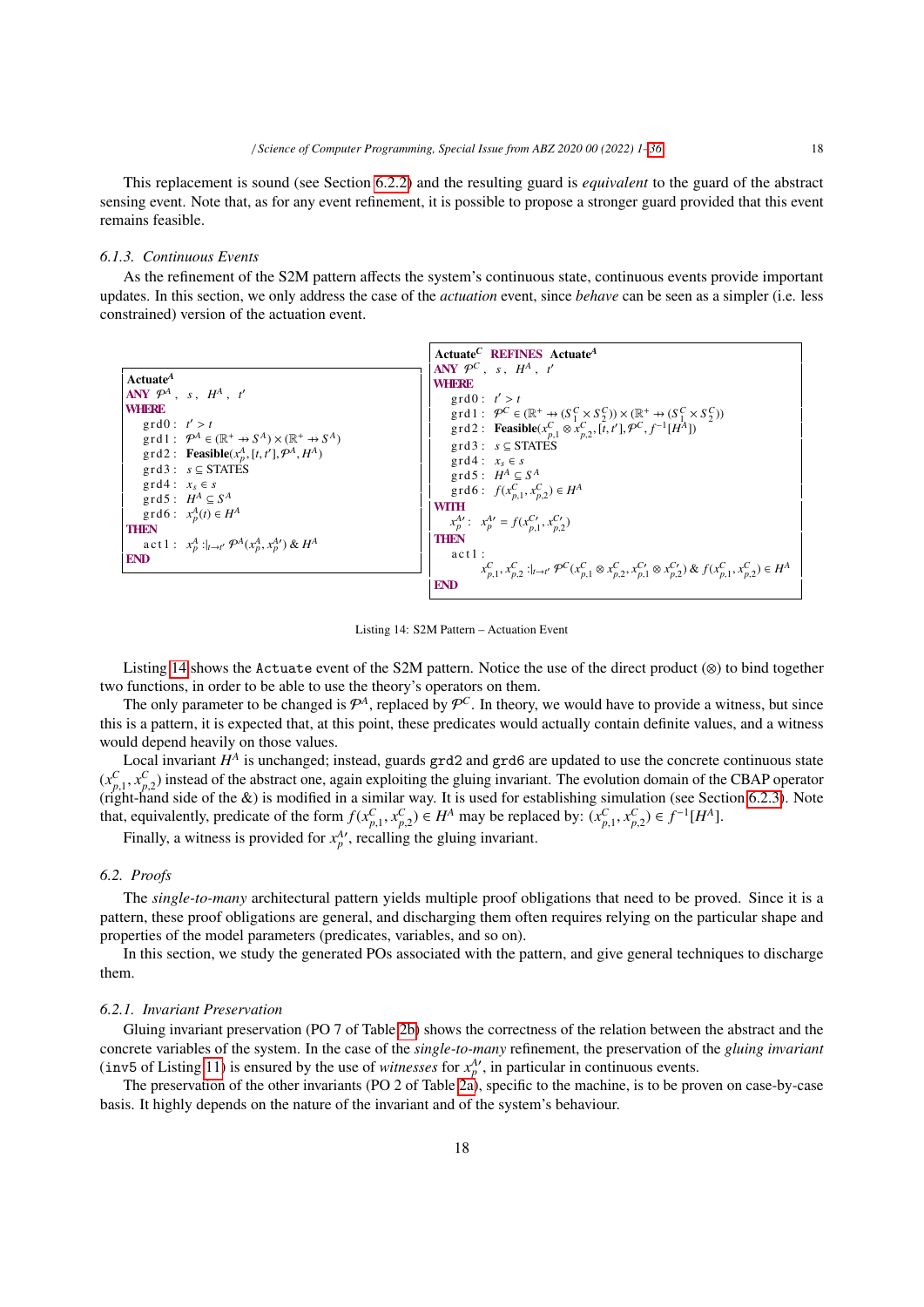This replacement is sound (see Section 6.2.2) and the resulting guard is *equivalent* to the guard of the abstract sensing event. Note that, as for any event refinement, it is possible to propose a stronger guard provided that this event remains feasible.

## *6.1.3. Continuous Events*

As the refinement of the S2M pattern affects the system's continuous state, continuous events provide important updates. In this section, we only address the case of the *actuation* event, since *behave* can be seen as a simpler (i.e. less constrained) version of the actuation event.

|                                                                                        | Actuate <sup>C</sup> REFINES Actuate <sup>A</sup>                                                                                                                                                                                         |
|----------------------------------------------------------------------------------------|-------------------------------------------------------------------------------------------------------------------------------------------------------------------------------------------------------------------------------------------|
|                                                                                        | ANY $\mathcal{P}^C$ , s, $H^A$ , t'                                                                                                                                                                                                       |
| Actuate <sup>A</sup>                                                                   | <b>WHERE</b>                                                                                                                                                                                                                              |
| ANY $\mathcal{P}^A$ , s, $H^A$ , t'                                                    | $\text{grd0}: t' > t$                                                                                                                                                                                                                     |
| <b>WHERE</b>                                                                           |                                                                                                                                                                                                                                           |
| $\text{grd0}: t' > t$                                                                  | grd1 : $\mathcal{P}^C \in (\mathbb{R}^+ \to (S_1^C \times S_2^C)) \times (\mathbb{R}^+ \to (S_1^C \times S_2^C))$<br>grd2 : <b>Feasible</b> ( $x_{p,1}^C \otimes x_{p,2}^C$ , [ <i>t</i> , <i>t</i> '], $\mathcal{P}^C$ , $f^{-1}[H^A]$ ] |
| $\text{grd} 1: \mathcal{P}^A \in (\mathbb{R}^+ \to S^A) \times (\mathbb{R}^+ \to S^A)$ | $grd3: s \subseteq STATES$                                                                                                                                                                                                                |
| $\text{grd2}:$ <b>Feasible</b> $(x_p^A, [t, t'], \mathcal{P}^A, H^A)$                  |                                                                                                                                                                                                                                           |
| $grd3: s \subseteq STATES$                                                             | $\text{grd} 4: x_s \in s$<br>$\text{grd} 5: H^A \subseteq S^A$<br>$\text{grd} 6: f(x_{p,1}^C, x_{p,2}^C) \in H^A$                                                                                                                         |
| $grd4: x_s \in s$                                                                      |                                                                                                                                                                                                                                           |
| grd5: $H^A \subseteq S^A$                                                              |                                                                                                                                                                                                                                           |
| $\text{grd} 6: x_p^A(t) \in H^A$                                                       | <b>WITH</b>                                                                                                                                                                                                                               |
|                                                                                        | $x_p^{A'}$ : $x_p^{A'} = f(x_{p,1}^{C'} , x_{p,2}^{C'})$                                                                                                                                                                                  |
| <b>THEN</b>                                                                            | <b>THEN</b>                                                                                                                                                                                                                               |
| act1: $x_p^A:_{t\to t'} \mathcal{P}^A(x_p^A, x_p^A') \& H^A$                           | $act1$ :                                                                                                                                                                                                                                  |
| <b>END</b>                                                                             |                                                                                                                                                                                                                                           |
|                                                                                        | $x_{n,1}^C, x_{n,2}^C :  _{t \to t'} \mathcal{P}^C(x_{n,1}^C \otimes x_{n,2}^C, x_{n,1}^{C'} \otimes x_{n,2}^{C'}) \& f(x_{n,1}^C, x_{n,2}^C) \in H^A$                                                                                    |
|                                                                                        | <b>END</b>                                                                                                                                                                                                                                |

Listing 14: S2M Pattern – Actuation Event

Listing 14 shows the Actuate event of the S2M pattern. Notice the use of the direct product (⊗) to bind together two functions, in order to be able to use the theory's operators on them.

The only parameter to be changed is  $\mathcal{P}^A$ , replaced by  $\mathcal{P}^C$ . In theory, we would have to provide a witness, but since this is a pattern, it is expected that, at this point, these predicates would actually contain definite values, and a witness would depend heavily on those values.

Local invariant  $H^A$  is unchanged; instead, guards grd2 and grd6 are updated to use the concrete continuous state  $(x_{p,1}^C, x_{p,2}^C)$  instead of the abstract one, again exploiting the gluing invariant. The evolution domain of the CBAP operator<br>(right-hand side of the *&*) is modified in a similar way. It is used for establishing sim  $\binom{x_{p,1}, x_{p,2}}{p,1}$  instead of the *&*) is modified in a similar way. It is used for establishing simulation (see Section 6.2.3). Note that, equivalently, predicate of the form  $f(x_{p,1}^C, x_{p,2}^C) \in H^A$  may be replaced by:  $(x_{p,1}^C, x_{p,2}^C) \in f^{-1}[H^A]$ .<br>Finally, a witness is provided for  $x_1^A$ , resulting the gluing inversiont.

Finally, a witness is provided for  $x_p^A$ , recalling the gluing invariant.

### *6.2. Proofs*

The *single-to-many* architectural pattern yields multiple proof obligations that need to be proved. Since it is a pattern, these proof obligations are general, and discharging them often requires relying on the particular shape and properties of the model parameters (predicates, variables, and so on).

In this section, we study the generated POs associated with the pattern, and give general techniques to discharge them.

## *6.2.1. Invariant Preservation*

Gluing invariant preservation (PO 7 of Table 2b) shows the correctness of the relation between the abstract and the concrete variables of the system. In the case of the *single-to-many* refinement, the preservation of the *gluing invariant* (inv5 of Listing 11) is ensured by the use of *witnesses* for  $x_p^A$ , in particular in continuous events.

The preservation of the other invariants (PO 2 of Table 2a), specific to the machine, is to be proven on case-by-case basis. It highly depends on the nature of the invariant and of the system's behaviour.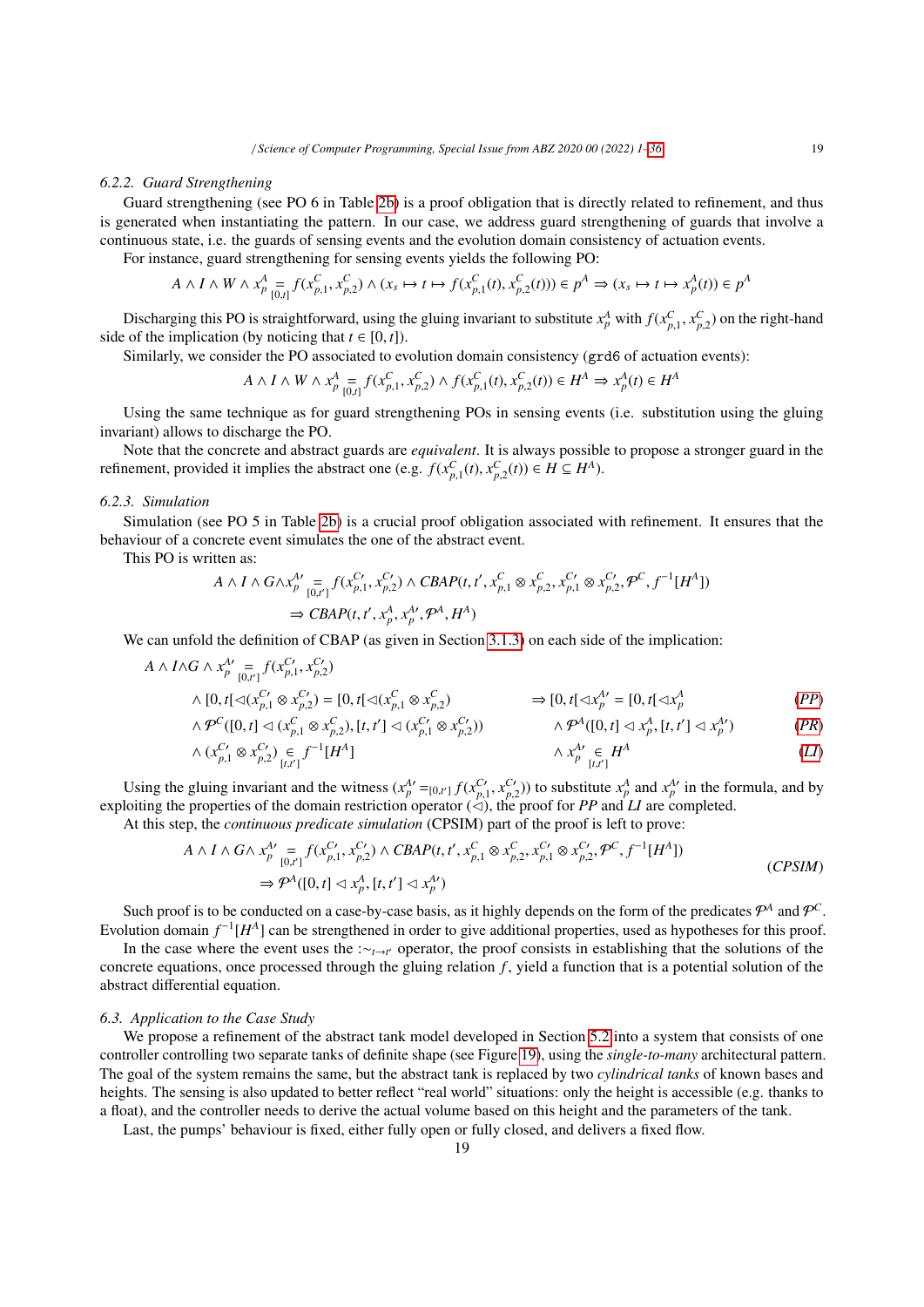#### *6.2.2. Guard Strengthening*

Guard strengthening (see PO 6 in Table 2b) is a proof obligation that is directly related to refinement, and thus is generated when instantiating the pattern. In our case, we address guard strengthening of guards that involve a continuous state, i.e. the guards of sensing events and the evolution domain consistency of actuation events.

For instance, guard strengthening for sensing events yields the following PO:

$$
A \wedge I \wedge W \wedge x_{p}^{A} = f(x_{p,1}^{C}, x_{p,2}^{C}) \wedge (x_{s} \mapsto t \mapsto f(x_{p,1}^{C}(t), x_{p,2}^{C}(t))) \in p^{A} \Rightarrow (x_{s} \mapsto t \mapsto x_{p}^{A}(t)) \in p^{A}
$$

Discharging this PO is straightforward, using the gluing invariant to substitute  $x_p^A$  with  $f(x_{p,1}^C, x_{p,2}^C)$  on the right-hand side of the implication (by noticing that  $t \in [0, t]$ ).

Similarly, we consider the PO associated to evolution domain consistency (grd6 of actuation events):

$$
A \wedge I \wedge W \wedge x_{p}^{A} = f(x_{p,1}^{C}, x_{p,2}^{C}) \wedge f(x_{p,1}^{C}(t), x_{p,2}^{C}(t)) \in H^{A} \Rightarrow x_{p}^{A}(t) \in H^{A}
$$

Using the same technique as for guard strengthening POs in sensing events (i.e. substitution using the gluing invariant) allows to discharge the PO.

Note that the concrete and abstract guards are *equivalent*. It is always possible to propose a stronger guard in the refinement, provided it implies the abstract one (e.g.  $f(x_{p,1}^C(t), x_{p,2}^C(t)) \in H \subseteq H^A$ ).

## *6.2.3. Simulation*

Simulation (see PO 5 in Table 2b) is a crucial proof obligation associated with refinement. It ensures that the behaviour of a concrete event simulates the one of the abstract event.

This PO is written as:

$$
A \wedge I \wedge G \wedge x_{p}^{A'} = f(x_{p,1}^{C'}, x_{p,2}^{C'}) \wedge CBAP(t, t', x_{p,1}^{C} \otimes x_{p,2}^{C'}, x_{p,1}^{C'} \otimes x_{p,2}^{C'}, \mathcal{P}^{C}, f^{-1}[H^{A}])
$$
  

$$
\Rightarrow CBAP(t, t', x_{p}^{A}, x_{p}^{A'}, \mathcal{P}^{A}, H^{A})
$$

We can unfold the definition of CBAP (as given in Section 3.1.3) on each side of the implication:

$$
A \wedge I \wedge G \wedge x_{p}^{A\prime} = f(x_{p,1}^{C\prime}, x_{p,2}^{C\prime})
$$
  
\n
$$
\wedge [0, t] \triangleleft (x^{C\prime}, \otimes x^{C\prime}) = [0, t] \triangleleft (x^{C}, \otimes x^{C}, \otimes x^{C}) \qquad \Rightarrow [0, t] \triangleleft x^{A\prime} = [0, t] \triangleleft x^{A}
$$
 (PP)

$$
\wedge [0, t] \triangleleft (x_{p,1}^{C'} \otimes x_{p,2}^{C'}) = [0, t] \triangleleft (x_{p,1}^{C} \otimes x_{p,2}^{C'}) \qquad \Rightarrow [0, t] \triangleleft x_p^{A'} = [0, t] \triangleleft x_p^{A} \qquad (PP)
$$
\n
$$
\wedge \mathcal{P}^C([0, t] \triangleleft (x_{p,1}^{C} \otimes x_{p,1}^{C'}) \setminus [t, t'] \triangleleft (x_{p,1}^{C'} \otimes x_{p,1}^{C'}) \rangle \qquad \wedge \mathcal{P}^A([0, t] \triangleleft x_p^{A'} \setminus [t, t'] \triangleq x_p^{A'}) \qquad (PP)
$$

$$
\wedge \mathcal{P}^C([0, t] \triangleleft (x_{p,1}^C \otimes x_{p,2}^C), [t, t'] \triangleleft (x_{p,1}^{C'} \otimes x_{p,2}^{C'}) ) \qquad \qquad \wedge \mathcal{P}^A([0, t] \triangleleft x_p^A, [t, t'] \triangleleft x_p^{A'}) \qquad (PR)
$$

$$
\wedge \ (x_{p,1}^{C'} \otimes x_{p,2}^{C'}) \underset{[t,t']}{\in} f^{-1}[H^A] \qquad \qquad \wedge \ x_p^{A'} \underset{[t,t']}{\in} H^A \qquad (LI)
$$

Using the gluing invariant and the witness  $(x_p^{A\prime} =_{[0,t']}\n\tilde{f}(x_p^{C\prime}, x_{p,2}^{C\prime}))$  to substitute  $x_p^A$  and  $x_p^{A\prime}$  in the formula, and by<br>loiting the properties of the domain restriction operator (<) the proof for *P* exploiting the graing invariant and the writess  $(x_p - [0,r] \int (x_{p,1}, x_{p,2})^T)$  to substitute  $x_p$  and  $x_p$  in the roughling the properties of the domain restriction operator ( $\triangleleft$ ), the proof for *PP* and *LI* are completed

At this step, the *continuous predicate simulation* (CPSIM) part of the proof is left to prove:

$$
A \wedge I \wedge G \wedge x_{p}^{A'} = f(x_{p,1}^{C'}, x_{p,2}^{C'}) \wedge CBAP(t, t', x_{p,1}^{C} \otimes x_{p,2}^{C}, x_{p,1}^{C'} \otimes x_{p,2}^{C'}, \mathcal{P}^{C}, f^{-1}[H^{A}])
$$
  
\n
$$
\Rightarrow \mathcal{P}^{A}([0, t] \triangleleft x_{p}^{A}, [t, t'] \triangleleft x_{p}^{A'})
$$
\n(CPSIM)

Such proof is to be conducted on a case-by-case basis, as it highly depends on the form of the predicates  $\mathcal{P}^A$  and  $\mathcal{P}^C$ . Evolution domain  $f^{-1}[H^A]$  can be strengthened in order to give additional properties, used as hypotheses for this proof.

In the case where the event uses the :∼*t*→*<sup>t</sup>* ′ operator, the proof consists in establishing that the solutions of the concrete equations, once processed through the gluing relation *f* , yield a function that is a potential solution of the abstract differential equation.

## *6.3. Application to the Case Study*

We propose a refinement of the abstract tank model developed in Section 5.2 into a system that consists of one controller controlling two separate tanks of definite shape (see Figure 19), using the *single-to-many* architectural pattern. The goal of the system remains the same, but the abstract tank is replaced by two *cylindrical tanks* of known bases and heights. The sensing is also updated to better reflect "real world" situations: only the height is accessible (e.g. thanks to a float), and the controller needs to derive the actual volume based on this height and the parameters of the tank.

Last, the pumps' behaviour is fixed, either fully open or fully closed, and delivers a fixed flow.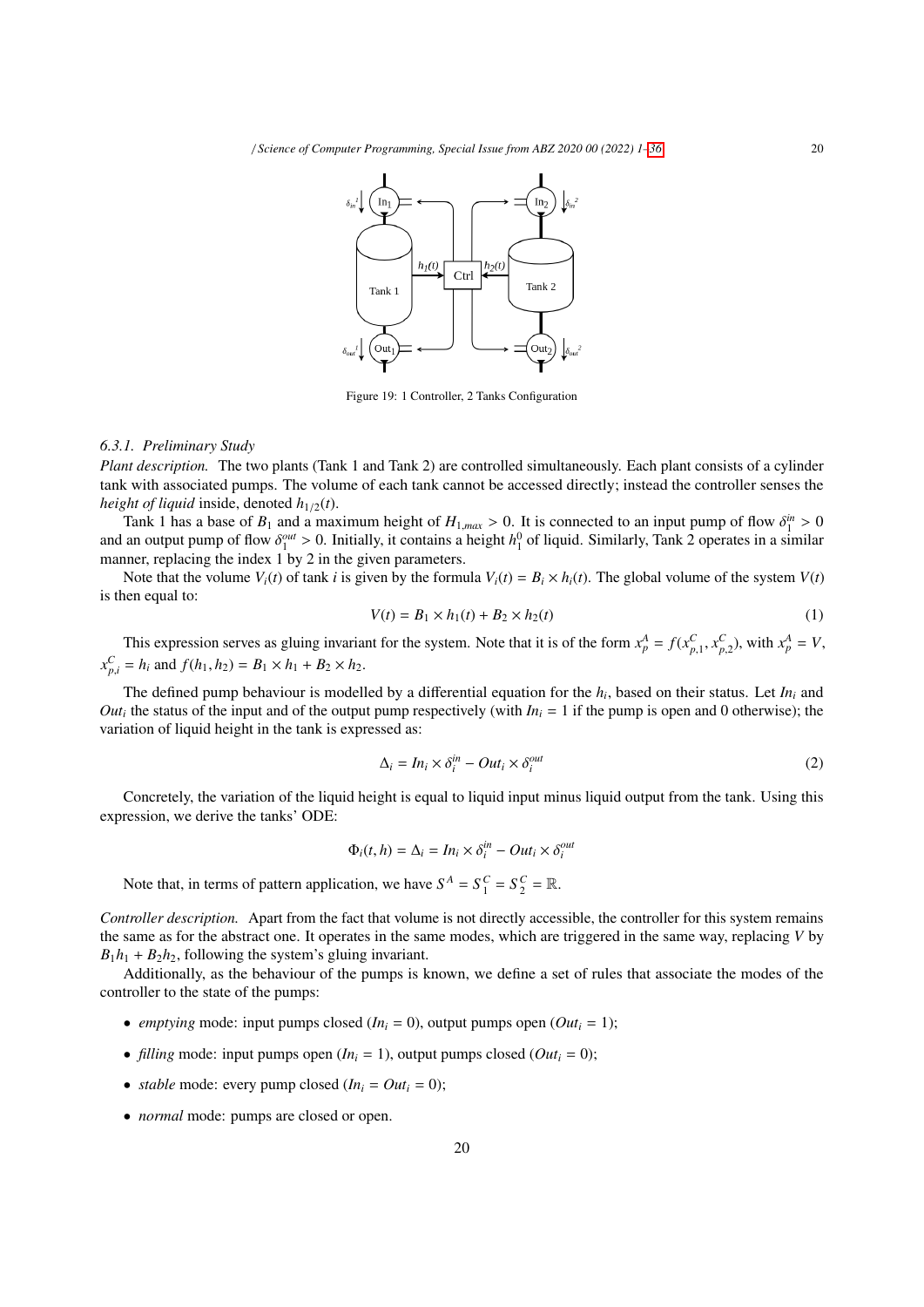

Figure 19: 1 Controller, 2 Tanks Configuration

#### *6.3.1. Preliminary Study*

*Plant description.* The two plants (Tank 1 and Tank 2) are controlled simultaneously. Each plant consists of a cylinder tank with associated pumps. The volume of each tank cannot be accessed directly; instead the controller senses the *height of liquid* inside, denoted  $h_{1/2}(t)$ .

Tank 1 has a base of  $B_1$  and a maximum height of  $H_{1,max} > 0$ . It is connected to an input pump of flow  $\delta_1^m > 0$ <br>an output pump of flow  $\delta_1^{out} > 0$ . Initially it contains a height  $h^0$  of liquid. Similarly Tank 2 ope and an output pump of flow  $\delta_1^{out} > 0$ . Initially, it contains a height  $h_1^0$  of liquid. Similarly, Tank 2 operates in a similar manner replacing the index 1 by 2 in the given parameters manner, replacing the index 1 by 2 in the given parameters.

Note that the volume  $V_i(t)$  of tank *i* is given by the formula  $V_i(t) = B_i \times h_i(t)$ . The global volume of the system  $V(t)$ is then equal to:

$$
V(t) = B_1 \times h_1(t) + B_2 \times h_2(t)
$$
 (1)

This expression serves as gluing invariant for the system. Note that it is of the form  $x_p^A = f(x_{p,1}^C, x_{p,2}^C)$ , with  $x_p^A = V$ ,  $x_{p,i}^C = h_i$  and  $f(h_1, h_2) = B_1 \times h_1 + B_2 \times h_2$ .

The defined pump behaviour is modelled by a differential equation for the *h<sup>i</sup>* , based on their status. Let *In<sup>i</sup>* and *Out<sub>i</sub>* the status of the input and of the output pump respectively (with  $In<sub>i</sub> = 1$  if the pump is open and 0 otherwise); the variation of liquid height in the tank is expressed as:

$$
\Delta_i = In_i \times \delta_i^{in} - Out_i \times \delta_i^{out}
$$
\n(2)

Concretely, the variation of the liquid height is equal to liquid input minus liquid output from the tank. Using this expression, we derive the tanks' ODE:

$$
\Phi_i(t, h) = \Delta_i = In_i \times \delta_i^{in} - Out_i \times \delta_i^{out}
$$

Note that, in terms of pattern application, we have  $S^A = S_1^C = S_2^C = \mathbb{R}$ .

*Controller description.* Apart from the fact that volume is not directly accessible, the controller for this system remains the same as for the abstract one. It operates in the same modes, which are triggered in the same way, replacing *V* by  $B_1h_1 + B_2h_2$ , following the system's gluing invariant.

Additionally, as the behaviour of the pumps is known, we define a set of rules that associate the modes of the controller to the state of the pumps:

- *emptying* mode: input pumps closed  $(In_i = 0)$ , output pumps open  $(Out_i = 1)$ ;
- *filling* mode: input pumps open  $(In_i = 1)$ , output pumps closed  $(Out_i = 0)$ ;
- *stable* mode: every pump closed  $(In_i = Out_i = 0)$ ;
- *normal* mode: pumps are closed or open.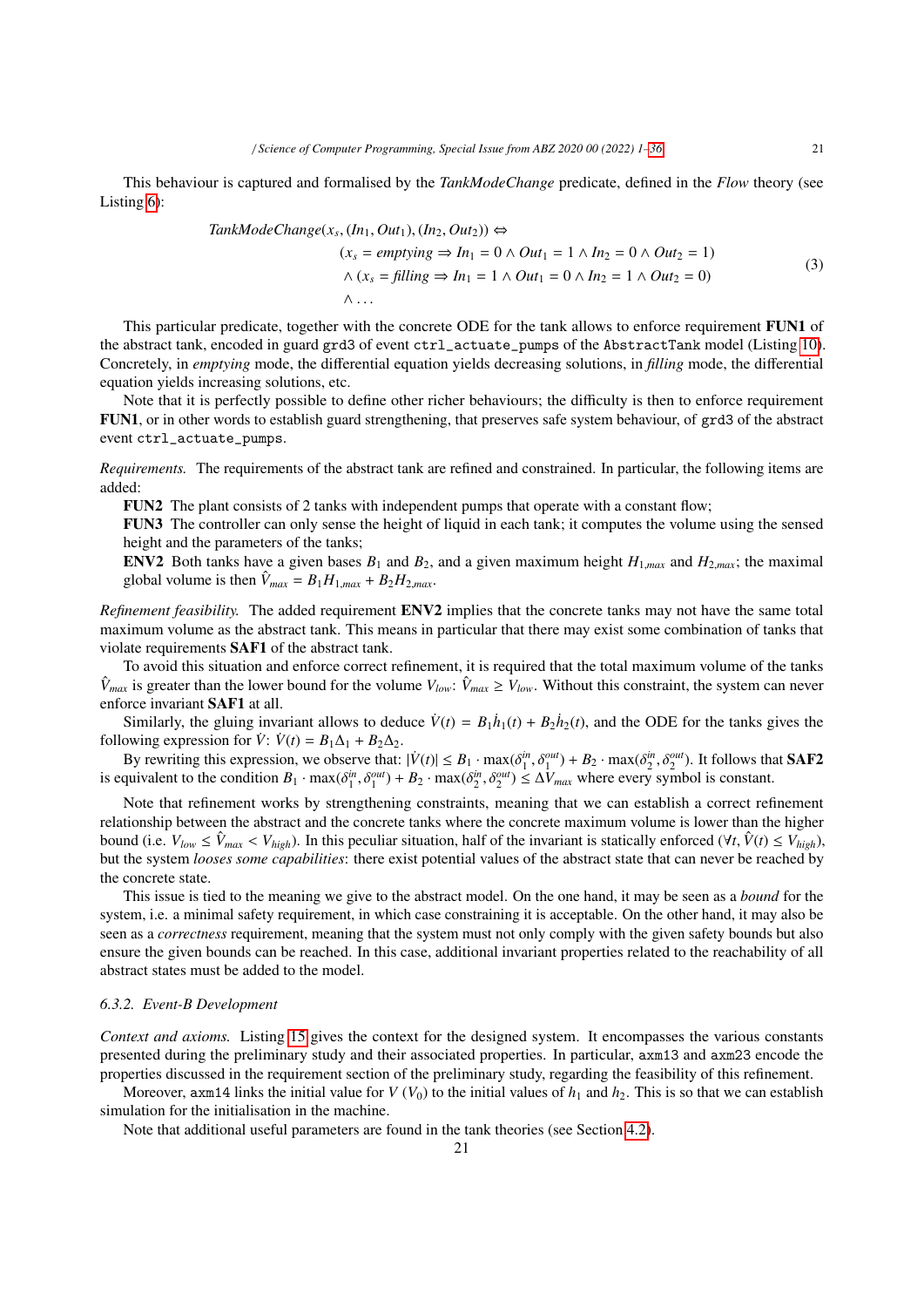This behaviour is captured and formalised by the *TankModeChange* predicate, defined in the *Flow* theory (see Listing 6):

$$
TankModeChange(x_s, (In_1, Out_1), (In_2, Out_2)) \Leftrightarrow
$$
  
\n
$$
(x_s = emptying \Rightarrow In_1 = 0 \land Out_1 = 1 \land In_2 = 0 \land Out_2 = 1)
$$
  
\n
$$
\land (x_s = filling \Rightarrow In_1 = 1 \land Out_1 = 0 \land In_2 = 1 \land Out_2 = 0)
$$
  
\n
$$
\land \dots
$$
\n(3)

This particular predicate, together with the concrete ODE for the tank allows to enforce requirement **FUN1** of the abstract tank, encoded in guard grd3 of event ctrl\_actuate\_pumps of the AbstractTank model (Listing 10). Concretely, in *emptying* mode, the differential equation yields decreasing solutions, in *filling* mode, the differential equation yields increasing solutions, etc.

Note that it is perfectly possible to define other richer behaviours; the difficulty is then to enforce requirement FUN1, or in other words to establish guard strengthening, that preserves safe system behaviour, of grd3 of the abstract event ctrl\_actuate\_pumps.

*Requirements.* The requirements of the abstract tank are refined and constrained. In particular, the following items are added:

FUN2 The plant consists of 2 tanks with independent pumps that operate with a constant flow;

FUN3 The controller can only sense the height of liquid in each tank; it computes the volume using the sensed height and the parameters of the tanks;

ENV2 Both tanks have a given bases  $B_1$  and  $B_2$ , and a given maximum height  $H_{1,max}$  and  $H_{2,max}$ ; the maximal global volume is then  $\hat{V}_{max} = B_1 H_{1,max} + B_2 H_{2,max}$ .

*Refinement feasibility.* The added requirement ENV2 implies that the concrete tanks may not have the same total maximum volume as the abstract tank. This means in particular that there may exist some combination of tanks that violate requirements SAF1 of the abstract tank.

To avoid this situation and enforce correct refinement, it is required that the total maximum volume of the tanks  $\hat{V}_{max}$  is greater than the lower bound for the volume  $V_{low}$ :  $\hat{V}_{max} \ge V_{low}$ . Without this constraint, the system can never enforce invariant SAF1 at all.

Similarly, the gluing invariant allows to deduce  $\dot{V}(t) = B_1 \dot{h}_1(t) + B_2 \dot{h}_2(t)$ , and the ODE for the tanks gives the following expression for  $\dot{V}$ :  $\dot{V}(t) = B_1 \Delta_1 + B_2 \Delta_2$ .

By rewriting this expression, we observe that:  $|\dot{V}(t)| \leq B_1 \cdot \max(\delta_1^{in}, \delta_1^{out}) + B_2 \cdot \max(\delta_2^{in}, \delta_2^{out})$ . It follows that **SAF2** is constant to the condition  $B_1 \cdot \max(\delta_1^{in}, \delta_1^{out}) + B_2 \cdot \max(\delta_1^{in}, \delta_1^{out}) < \Delta V$  where every sym is equivalent to the condition  $B_1 \cdot \max(\delta_1^{in}, \delta_1^{out}) + B_2 \cdot \max(\delta_2^{in}, \delta_2^{out}) \leq \Delta V_{max}$  where every symbol is constant.

Note that refinement works by strengthening constraints, meaning that we can establish a correct refinement relationship between the abstract and the concrete tanks where the concrete maximum volume is lower than the higher bound (i.e.  $V_{low} \le \hat{V}_{max} < V_{high}$ ). In this peculiar situation, half of the invariant is statically enforced ( $\forall t, \hat{V}(t) \le V_{high}$ ), but the system *looses some capabilities*: there exist potential values of the abstract state that can never be reached by the concrete state.

This issue is tied to the meaning we give to the abstract model. On the one hand, it may be seen as a *bound* for the system, i.e. a minimal safety requirement, in which case constraining it is acceptable. On the other hand, it may also be seen as a *correctness* requirement, meaning that the system must not only comply with the given safety bounds but also ensure the given bounds can be reached. In this case, additional invariant properties related to the reachability of all abstract states must be added to the model.

#### *6.3.2. Event-B Development*

*Context and axioms.* Listing 15 gives the context for the designed system. It encompasses the various constants presented during the preliminary study and their associated properties. In particular, axm13 and axm23 encode the properties discussed in the requirement section of the preliminary study, regarding the feasibility of this refinement.

Moreover, axm14 links the initial value for *V* ( $V_0$ ) to the initial values of  $h_1$  and  $h_2$ . This is so that we can establish simulation for the initialisation in the machine.

Note that additional useful parameters are found in the tank theories (see Section 4.2).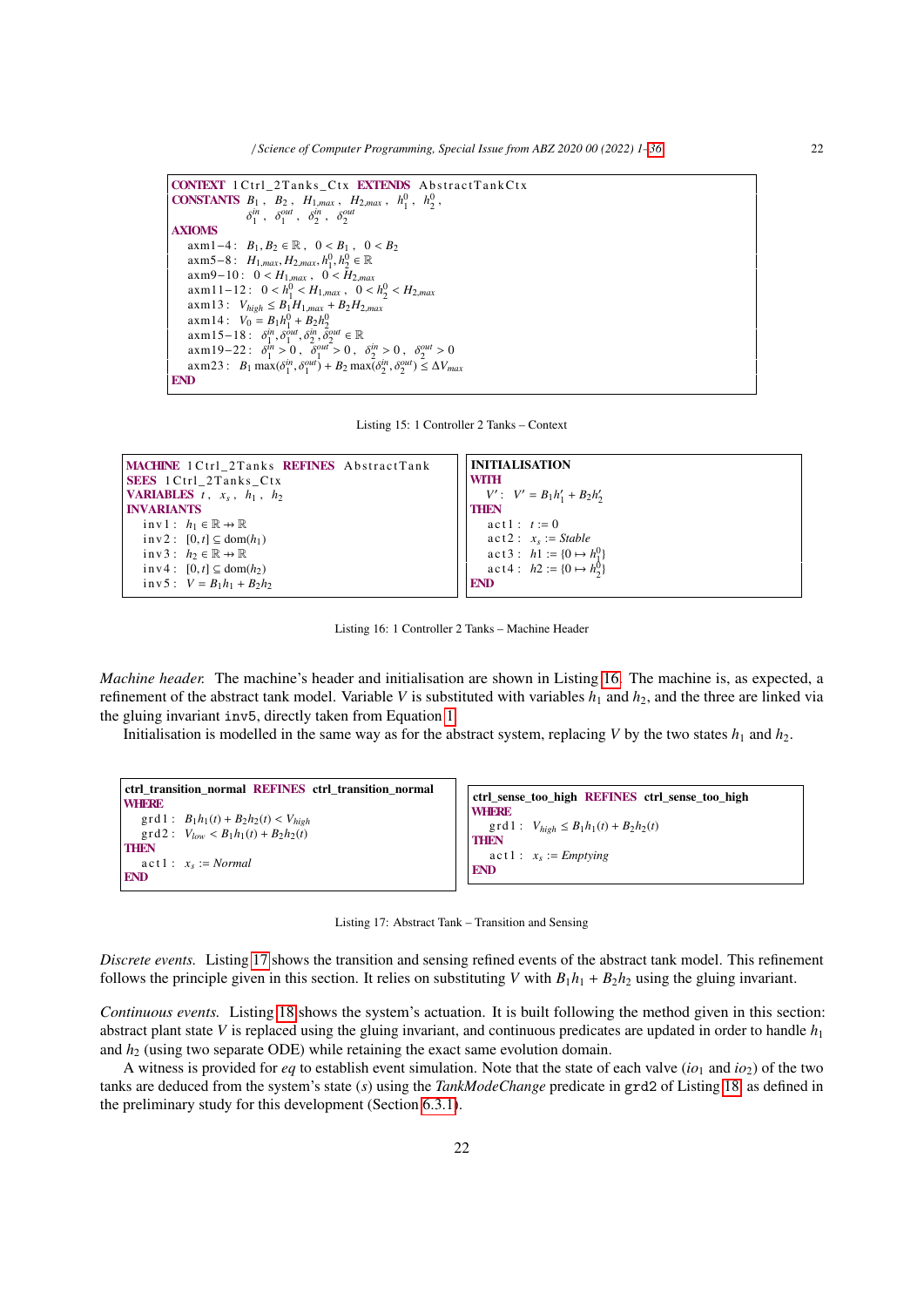/ *Science of Computer Programming, Special Issue from ABZ 2020 00 (2022) 1–36* 22

CONTEXT 1 Ctrl\_2 Tanks\_Ctx EXTENDS Abstract Tank Ctx **CONSTANTS**  $B_1$ ,  $B_2$ ,  $H_{1,max}$ ,  $H_{2,max}$ ,  $h_1^0$ ,  $h_2^0$ ,  $\sin^2$  *sout*  $\sin^2$  *sout*  $\delta_1^{in}$ ,  $\delta_1^{out}$ ,  $\delta_2^{in}$ ,  $\delta_2^{out}$ AXIOMS axm1−4:  $B_1, B_2 \in \mathbb{R}$ ,  $0 < B_1$ ,  $0 < B_2$  $\text{a}\text{xm5}-8: H_{1,max}, H_{2,max}, h_1^0, h_2^0 \in \mathbb{R}$ <br> $\text{a}\text{xm9}-10: 0 < H_1, 0 < H_2$  $\lim_{n \to \infty} 3 \cdot \frac{1}{1, \max} \cdot \frac{1}{1, \max} \cdot \frac{1}{1, \max} \cdot \frac{1}{2} \cdot \frac{1}{2}$ <br>  $\lim_{n \to \infty} 3 \times m \cdot 1 - 1$ <br>  $\lim_{n \to \infty} 1 - 1$ <br>  $\lim_{n \to \infty} 0 \leq H$ <br>  $0 \leq$  $\text{a} \times m11-12: \quad 0 < h_1^0 < H_{1,max}, \quad 0 < h_2^0 < H_{2,max}$ <br> $\text{a} \times m13: \quad V_{1,1} < B_1H_1 + B_2H_2$  $a$ xm13 :  $V_{high} \leq B_1 H_{1,max} + B_2 H_{2,max}$  $axm14: V_0 = B_1h_1^0 + B_2h_2^0$  $\alpha x m 15-18$ :  $\delta_1^{in}$ ,  $\delta_2^{out}$ ,  $\delta_2^{in}$ ,  $\delta_2^{out}$  ∈ ℝ<br> $\alpha x m 19-22$ :  $\delta_1^{in} > 0$ ,  $\delta_2^{out} > 0$  $\alpha x m 19-22$ :  $\delta_1^{in} > 0$ ,  $\delta_2^{out} > 0$ ,  $\delta_2^{in} > 0$ ,  $\delta_2^{out} > 0$ <br> $\alpha y m 23$ :  $\beta$ ,  $m y (\delta_1^{in} \delta_2^{out}) + \beta_2^{out} xy (\delta_1^{in} \delta_2^{out}) < \Delta V$ axm23:  $B_1 \max(\delta_1^{in}, \delta_1^{out}) + B_2 \max(\delta_2^{in}, \delta_2^{out}) \le \Delta V_{max}$ END

Listing 15: 1 Controller 2 Tanks – Context

| MACHINE 1 Ctrl 2 Tanks REFINES Abstract Tank      | <b>INITIALISATION</b>                                                  |  |  |
|---------------------------------------------------|------------------------------------------------------------------------|--|--|
| <b>SEES</b> 1 Ctrl 2 Tanks Ctx                    | WITH                                                                   |  |  |
| <b>VARIABLES</b> $t$ , $x_s$ , $h_1$ , $h_2$      | $V'$ : $V' = B_1 h'_1 + B_2 h'_2$                                      |  |  |
| <b>INVARIANTS</b>                                 | <b>THEN</b>                                                            |  |  |
| inv1: $h_1 \in \mathbb{R} \rightarrow \mathbb{R}$ | $act1: t := 0$                                                         |  |  |
| $inv2: [0, t] \subseteq dom(h_1)$                 | $\text{act2}: x_s := \text{Stable}$                                    |  |  |
| inv3: $h_2 \in \mathbb{R} \rightarrow \mathbb{R}$ | act3: $h1 := \{0 \mapsto h_1^0\}$<br>act4: $h2 := \{0 \mapsto h_2^0\}$ |  |  |
| $inv4: [0, t] \subseteq dom(h_2)$                 |                                                                        |  |  |
| inv5: $V = B_1 h_1 + B_2 h_2$                     | <b>END</b>                                                             |  |  |
|                                                   |                                                                        |  |  |

Listing 16: 1 Controller 2 Tanks – Machine Header

*Machine header.* The machine's header and initialisation are shown in Listing 16. The machine is, as expected, a refinement of the abstract tank model. Variable *V* is substituted with variables  $h_1$  and  $h_2$ , and the three are linked via the gluing invariant inv5, directly taken from Equation 1.

Initialisation is modelled in the same way as for the abstract system, replacing *V* by the two states  $h_1$  and  $h_2$ .

```
ctrl_transition_normal REFINES ctrl_transition_normal
WHERE
   \text{grd1}: B_1h_1(t) + B_2h_2(t) < V_{high}\text{grad2}: V_{low} < B_1 h_1(t) + B_2 h_2(t)THEN
    \text{act 1}: \quad x_s := \text{Normal}END
                                                                                ctrl_sense_too_high REFINES ctrl_sense_too_high
                                                                                WHERE
                                                                                   \text{grd1}: V_{high} \leq B_1 h_1(t) + B_2 h_2(t)THEN
                                                                                    \text{act 1}: x_s := \text{Emptying}END
```
Listing 17: Abstract Tank – Transition and Sensing

*Discrete events.* Listing 17 shows the transition and sensing refined events of the abstract tank model. This refinement follows the principle given in this section. It relies on substituting *V* with  $B_1h_1 + B_2h_2$  using the gluing invariant.

*Continuous events.* Listing 18 shows the system's actuation. It is built following the method given in this section: abstract plant state *V* is replaced using the gluing invariant, and continuous predicates are updated in order to handle *h*<sup>1</sup> and  $h<sub>2</sub>$  (using two separate ODE) while retaining the exact same evolution domain.

A witness is provided for *eq* to establish event simulation. Note that the state of each valve ( $io<sub>1</sub>$  and  $io<sub>2</sub>$ ) of the two tanks are deduced from the system's state (*s*) using the *TankModeChange* predicate in grd2 of Listing 18, as defined in the preliminary study for this development (Section 6.3.1).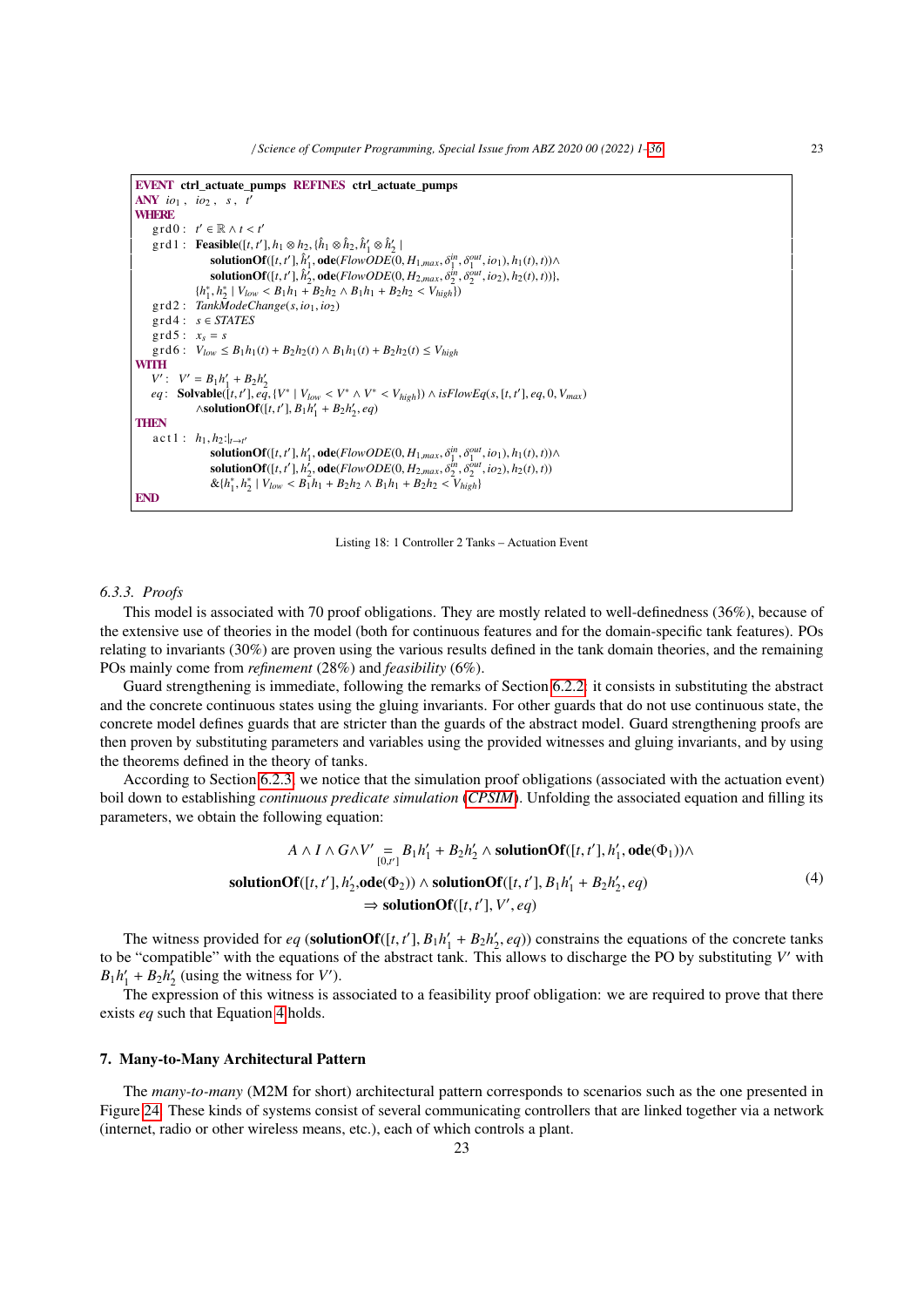```
EVENT ctrl_actuate_pumps REFINES ctrl_actuate_pumps
ANY io1 , io2 , s , t
′
WHERE
        grd0: t' \in \mathbb{R} \wedge t < t'<br>ord1: Foosible(f t')
        \text{grad} : \text{Feasible}([t, t'], h_1 \otimes h_2, \hat{h}_1 \otimes \hat{h}_2, \hat{h}_1' \otimes \hat{h}_2']<br>
solution \text{Qf}(t, t') | \hat{h}' ado(\text{Edew}(\text{DE}(0)\mathbf{solutionOf}([t, t'], \hat{h}'_1, \mathbf{ode}(FlowODE(0, H_{1,max}, \delta_1^{in}, \delta_1^{out}, io_1), h_1(t), t)) \wedge \mathbf{solutionOf}([t, t'], \hat{h}'_1, \mathbf{ode}(FlowODE(0, H_{2,max}, \delta_1^{in}, \delta_1^{out}, io_1), h_2(t), t))){\bf solutionOf}([t, t'], \hat{h}'_2, {\bf ode}(FlowODE(0, H_{2, max}, \delta_2^{\hat{h}_1}, \delta_2^{\hat{h}_1}, io_2), h_2(t), t))\},<br>
h^* | V_1 \leq R_1 h_1 + R_2 h_2 \leq R_1 h_1 + R_2 h_2 \leq V_1 \leq 1\{h_1^*, h_2^* \mid V_{low} < B_1 h_1 + B_2 h_2 \wedge B_1 h_1 + B_2 h_2 < V_{high}\}grd2 : TankModeChange(s, io1, io2)
       grd4: s \in STATES\text{grd}5: x_{s} = s\int \text{grad } \theta: V_{low} \leq B_1 h_1(t) + B_2 h_2(t) \wedge B_1 h_1(t) + B_2 h_2(t) \leq V_{high}WITH
       V' : V' = B_1 h'_1 + B_2 h'_2eq: Solvable([t, t'], eq. \{V^* | V_{low} < V^* \land V^* < V_{high}\}\wedge \text{isFlowEq}(s, [t, t'], eq, 0, V_{max})<br>Asolution Of (t, t'], R, b' + R, b' \neq q\wedgesolutionOf([t, t'], B<sub>1</sub>h'<sub>1</sub></sub> + B<sub>2</sub>h'<sub>2</sub>, eq)
THEN
        \text{act 1}: \ \ h_1, h_2: \big|_{t \to t'}\text{solutionOf}([t, t'], h'_1, \text{ode}(FlowODE(0, H_{1, max}, \delta_1^{in}, \delta_1^{out}, io_1), h_1(t), t)) \wedge \text{solutionOf}([t, t'], h'_2, \text{ode}(FlowODE(0, H_2, \delta_1^{in}, \delta_1^{out}, io_2), h_2(t), t))\text{solutionOf}([t, t'], h_2^{'}, \text{ode}(FlowODE(0, H_{2,max}, \delta_2^{in}, \delta_2^{out}, io_2), h_2(t), t))<br>
\&h^*h^* + V_1 \leq R_1h_1 + R_2h_2 \leq R_1h_1 + R_2h_2 \leq V_1, 1\& {h_1^*, h_2^* \mid V_{low} < B_1 \mid h_1 + B_2 \mid h_2 \wedge B_1 \mid h_1 + B_2 \mid h_2 < V_{high}}
END
```
Listing 18: 1 Controller 2 Tanks – Actuation Event

#### *6.3.3. Proofs*

This model is associated with 70 proof obligations. They are mostly related to well-definedness (36%), because of the extensive use of theories in the model (both for continuous features and for the domain-specific tank features). POs relating to invariants (30%) are proven using the various results defined in the tank domain theories, and the remaining POs mainly come from *refinement* (28%) and *feasibility* (6%).

Guard strengthening is immediate, following the remarks of Section 6.2.2: it consists in substituting the abstract and the concrete continuous states using the gluing invariants. For other guards that do not use continuous state, the concrete model defines guards that are stricter than the guards of the abstract model. Guard strengthening proofs are then proven by substituting parameters and variables using the provided witnesses and gluing invariants, and by using the theorems defined in the theory of tanks.

According to Section 6.2.3, we notice that the simulation proof obligations (associated with the actuation event) boil down to establishing *continuous predicate simulation* (*CPSIM*). Unfolding the associated equation and filling its parameters, we obtain the following equation:

$$
A \wedge I \wedge G \wedge V' = B_1 h'_1 + B_2 h'_2 \wedge \text{ solutionOf}([t, t'], h'_1, \text{ode}(\Phi_1)) \wedge
$$
  
solutionOf([t, t'], h'\_2, \text{ode}(\Phi\_2))  $\wedge$  solutionOf([t, t'], B\_1 h'\_1 + B\_2 h'\_2, eq)  
 $\Rightarrow$  solutionOf([t, t'], V', eq) (4)

The witness provided for *eq* (solutionOf([*t*, *t'*],  $B_1 h'_1 + B_2 h'_2$ , *eq*)) constrains the equations of the concrete tanks<br>is "compatible" with the equations of the abstract tank. This allows to discharge the PO by su to be "compatible" with the equations of the abstract tank. This allows to discharge the PO by substituting *V* ′ with  $B_1 h'_1 + B_2 h'_2$  (using the witness for *V*').

The expression of this witness is associated to a feasibility proof obligation: we are required to prove that there exists *eq* such that Equation 4 holds.

## 7. Many-to-Many Architectural Pattern

The *many-to-many* (M2M for short) architectural pattern corresponds to scenarios such as the one presented in Figure 24. These kinds of systems consist of several communicating controllers that are linked together via a network (internet, radio or other wireless means, etc.), each of which controls a plant.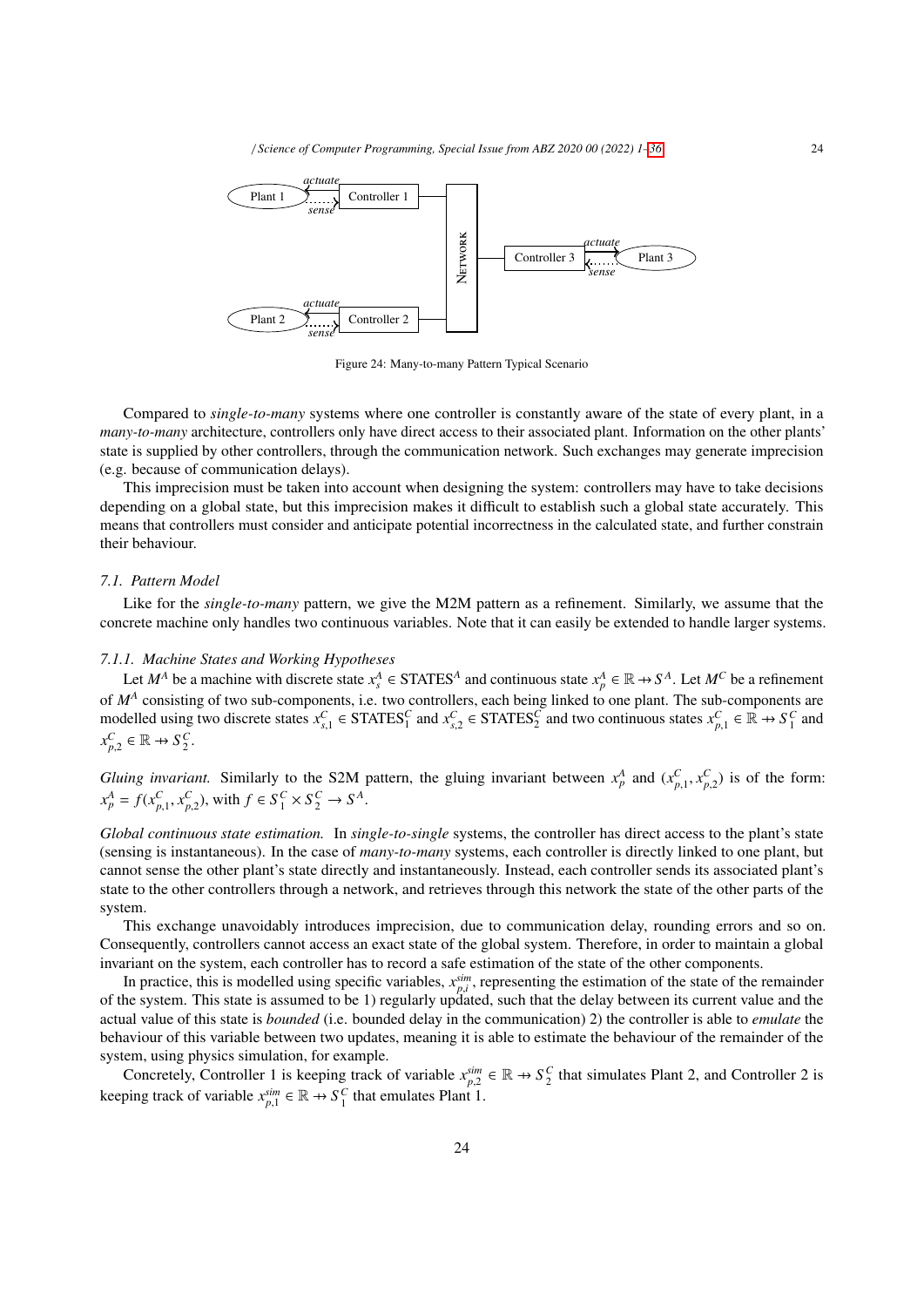

Figure 24: Many-to-many Pattern Typical Scenario

Compared to *single-to-many* systems where one controller is constantly aware of the state of every plant, in a *many-to-many* architecture, controllers only have direct access to their associated plant. Information on the other plants' state is supplied by other controllers, through the communication network. Such exchanges may generate imprecision (e.g. because of communication delays).

This imprecision must be taken into account when designing the system: controllers may have to take decisions depending on a global state, but this imprecision makes it difficult to establish such a global state accurately. This means that controllers must consider and anticipate potential incorrectness in the calculated state, and further constrain their behaviour.

## *7.1. Pattern Model*

Like for the *single-to-many* pattern, we give the M2M pattern as a refinement. Similarly, we assume that the concrete machine only handles two continuous variables. Note that it can easily be extended to handle larger systems.

## *7.1.1. Machine States and Working Hypotheses*

Let  $M^A$  be a machine with discrete state  $x_s^A \in \text{STATES}^A$  and continuous state  $x_p^A \in \mathbb{R} \to S^A$ . Let  $M^C$  be a refinement of  $M^A$  consisting of two sub-components, i.e. two controllers, each being linked to one plant. The sub-components are modelled using two discrete states  $x_{s,1}^C \in \text{STATES}_1^C$  and  $x_{s,2}^C \in \text{STATES}_2^C$  and two continuous states  $x_{p,1}^C$  $\in \mathbb{R} \to S_1^C$  and *x C p*,2  $\in \mathbb{R} \rightarrow S_2^C$ .

*Gluing invariant.* Similarly to the S2M pattern, the gluing invariant between  $x_p^A$  and  $(x_{p,1}^C, x_{p,2}^C)$  is of the form:<br>  $x_p^A = f(x_p^C, x_p^C)$  with  $f \in S_p^C \times S_p^C$ .  $x_p^A = f(x_{p,1}^C, x_{p,2}^C)$ , with  $f \in S_1^C \times S_2^C \to S^A$ .

*Global continuous state estimation.* In *single-to-single* systems, the controller has direct access to the plant's state (sensing is instantaneous). In the case of *many-to-many* systems, each controller is directly linked to one plant, but cannot sense the other plant's state directly and instantaneously. Instead, each controller sends its associated plant's state to the other controllers through a network, and retrieves through this network the state of the other parts of the system.

This exchange unavoidably introduces imprecision, due to communication delay, rounding errors and so on. Consequently, controllers cannot access an exact state of the global system. Therefore, in order to maintain a global invariant on the system, each controller has to record a safe estimation of the state of the other components.

In practice, this is modelled using specific variables,  $x_{p,i}^{sim}$ , representing the estimation of the state of the remainder  $p_i$  and the system. This state is assumed to be 1) requirity undated, such that the delay betw of the system. This state is assumed to be 1) regularly updated, such that the delay between its current value and the actual value of this state is *bounded* (i.e. bounded delay in the communication) 2) the controller is able to *emulate* the behaviour of this variable between two updates, meaning it is able to estimate the behaviour of the remainder of the system, using physics simulation, for example.

Concretely, Controller 1 is keeping track of variable  $x_{p,2}^{sim} \in \mathbb{R} \to S_2^C$  that simulates Plant 2, and Controller 2 is keeping track of variable  $x_{p,1}^{sim} \in \mathbb{R} \to S_1^C$  that emulates Plant 1.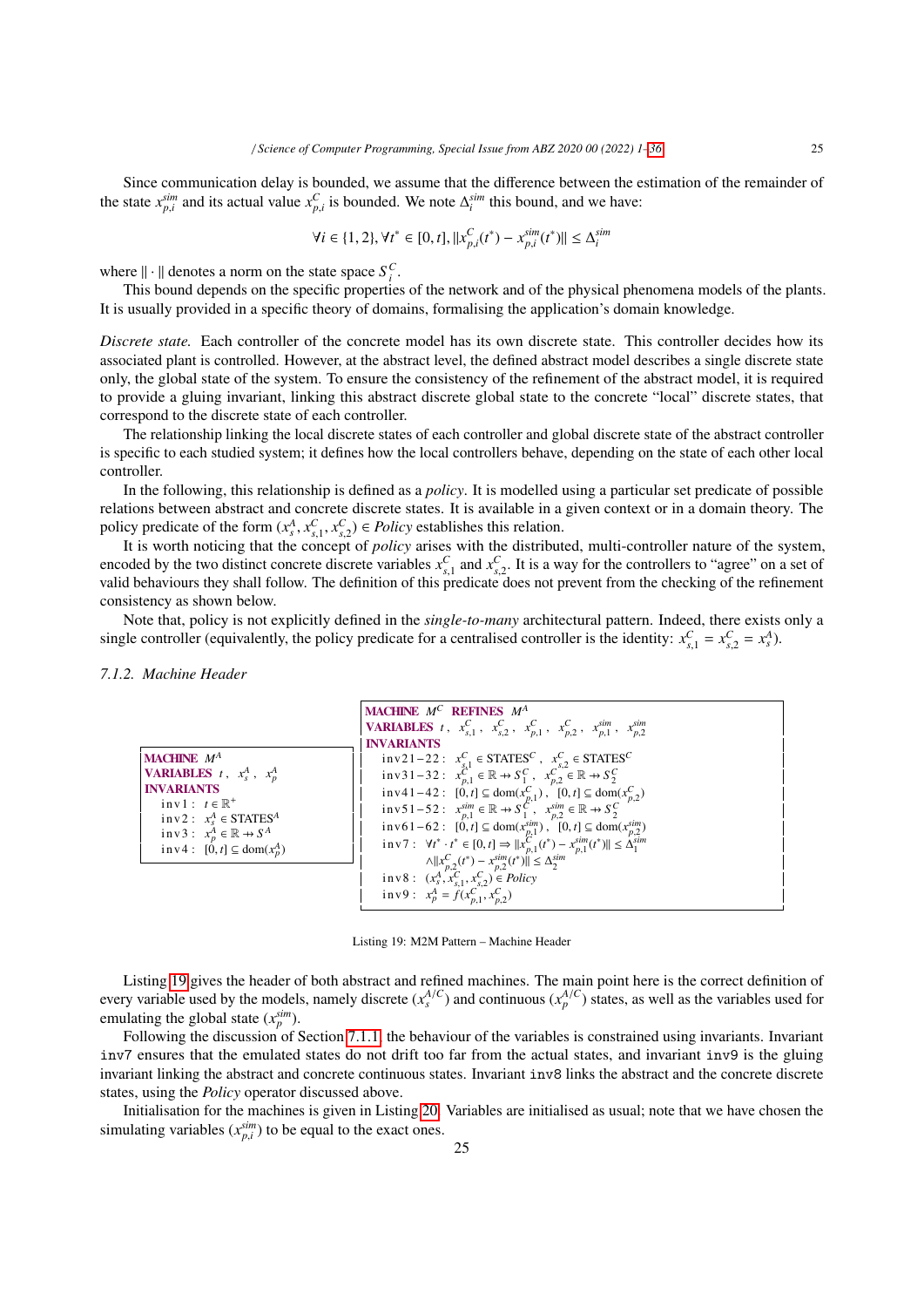Since communication delay is bounded, we assume that the difference between the estimation of the remainder of the state  $x_{p,i}^{sim}$  and its actual value  $x_{p,i}^C$  is bounded. We note  $\Delta_i^{sim}$  this bound, and we have:

$$
\forall i \in \{1, 2\}, \forall t^* \in [0, t], ||x_{p,i}^C(t^*) - x_{p,i}^{sim}(t^*)|| \leq \Delta_i^{sim}
$$

where  $\|\cdot\|$  denotes a norm on the state space  $S_i^C$ .

This bound depends on the specific properties of the network and of the physical phenomena models of the plants. It is usually provided in a specific theory of domains, formalising the application's domain knowledge.

*Discrete state.* Each controller of the concrete model has its own discrete state. This controller decides how its associated plant is controlled. However, at the abstract level, the defined abstract model describes a single discrete state only, the global state of the system. To ensure the consistency of the refinement of the abstract model, it is required to provide a gluing invariant, linking this abstract discrete global state to the concrete "local" discrete states, that correspond to the discrete state of each controller.

The relationship linking the local discrete states of each controller and global discrete state of the abstract controller is specific to each studied system; it defines how the local controllers behave, depending on the state of each other local controller.

In the following, this relationship is defined as a *policy*. It is modelled using a particular set predicate of possible relations between abstract and concrete discrete states. It is available in a given context or in a domain theory. The policy predicate of the form  $(x_s^A, x_{s,1}^C, x_{s,2}^C) \in Policy$  establishes this relation.<br>It is worth noticing that the concent of *policy* grises with the distribut

It is worth noticing that the concept of *policy* arises with the distributed, multi-controller nature of the system, encoded by the two distinct concrete discrete variables  $x<sub>s1</sub><sup>C</sup>$  and  $x<sub>s2</sub><sup>C</sup>$ . It is a way for the controllers to "agree" on a set of valid behaviours they shall follow. The definition of this predicate does not prevent from the checking of the refinement valid behaviours they shall follow. The definition of this predicate does not prevent from the chec consistency as shown below.

Note that, policy is not explicitly defined in the *single-to-many* architectural pattern. Indeed, there exists only a single controller (equivalently, the policy predicate for a centralised controller is the identity:  $x_{s,1}^C = x_{s,2}^C = x_s^A$ ).

*7.1.2. Machine Header*



Listing 19: M2M Pattern – Machine Header

Listing 19 gives the header of both abstract and refined machines. The main point here is the correct definition of every variable used by the models, namely discrete  $(x_s^{A/C})$  and continuous  $(x_p^{A/C})$  states, as well as the variables used for emulating the global state  $(x_p^{sim})$ .

Following the discussion of Section 7.1.1, the behaviour of the variables is constrained using invariants. Invariant inv7 ensures that the emulated states do not drift too far from the actual states, and invariant inv9 is the gluing invariant linking the abstract and concrete continuous states. Invariant inv8 links the abstract and the concrete discrete states, using the *Policy* operator discussed above.

Initialisation for the machines is given in Listing 20. Variables are initialised as usual; note that we have chosen the simulating variables  $(x_{p,i}^{sim})$  to be equal to the exact ones.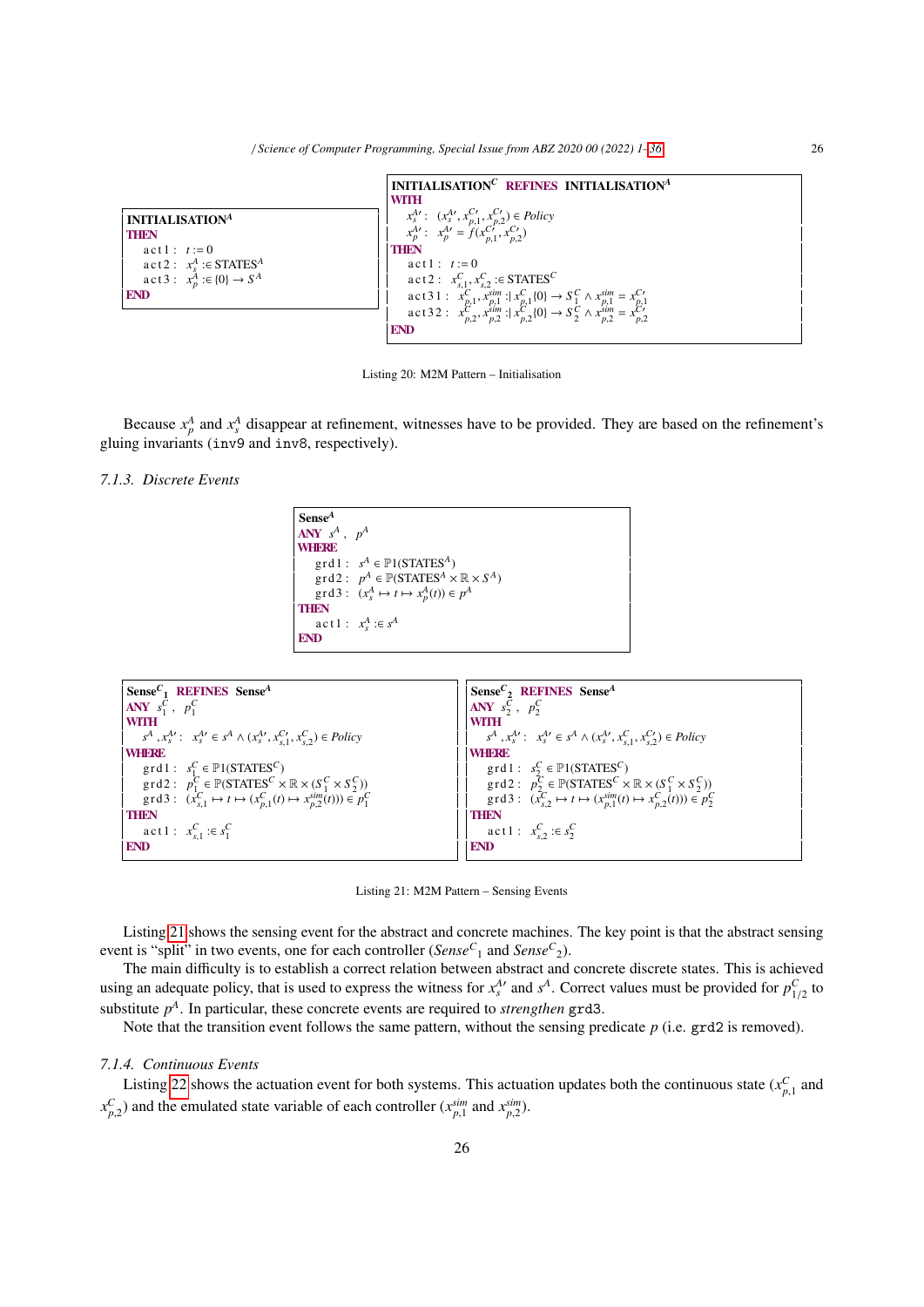|                                                    | INITIALISATION <sup>C</sup> REFINES INITIALISATION <sup>A</sup>                                                                                                                                                                            |
|----------------------------------------------------|--------------------------------------------------------------------------------------------------------------------------------------------------------------------------------------------------------------------------------------------|
|                                                    | <b>WITH</b>                                                                                                                                                                                                                                |
| <b>INITIALISATION</b> <sup>4</sup>                 |                                                                                                                                                                                                                                            |
| <b>THEN</b>                                        | $x_1^{A\prime}$ : $(x_3^{A\prime}, x_{p,1}^{C\prime}, x_{p,2}^{C\prime}) \in Policy$<br>$x_p^{A\prime}$ : $x_p^{A\prime} = f(x_{p,1}^{C\prime}, x_{p,2}^{C\prime})$                                                                        |
| $act 1 : t := 0$                                   | <b>THEN</b>                                                                                                                                                                                                                                |
| $\text{act2}: x_s^A \text{ : } \text{STATES}^A$    | $act 1 : t := 0$                                                                                                                                                                                                                           |
| $\text{act3}: x_p^{\tilde{A}} : \in \{0\} \to S^A$ | $\text{act2}: x_{s,1}^C, x_{s,2}^C \in \text{STATES}^C$                                                                                                                                                                                    |
| <b>END</b>                                         |                                                                                                                                                                                                                                            |
|                                                    | act31: $x_{p,1}^C, x_{p,1}^{\text{sim}};   x_{p,1}^C (0) \rightarrow S_1^C \wedge x_{p,1}^{\text{sim}} = x_{p,1}^C$<br>act32: $x_{p,2}^C, x_{p,2}^{\text{sim}};   x_{p,2}^C (0) \rightarrow S_2^C \wedge x_{p,2}^{\text{sim}} = x_{p,2}^C$ |
|                                                    | <b>END</b>                                                                                                                                                                                                                                 |

Listing 20: M2M Pattern – Initialisation

Because  $x_p^A$  and  $x_s^A$  disappear at refinement, witnesses have to be provided. They are based on the refinement's gluing invariants (inv9 and inv8, respectively).

*7.1.3. Discrete Events*

Sense*<sup>A</sup>*  $\mathbf{A}\mathbf{N}\mathbf{Y}$   $s^A$  ,  $p^A$ **WHERE**  $\text{grd1}: s^A \in \mathbb{P}1(\text{STATES}^A)$  $\text{grd2}: p^A \in \mathbb{P}(\text{STATES}^A \times \mathbb{R} \times S^A)$  $\text{grad } 3: (x_s^A \mapsto t \mapsto x_p^A(t)) \in p^A$ **THEN**  $\text{act } 1: x_s^A := s^A$ **END** 

```
SenseC
1 REFINES SenseA
ANY s_1^C, p_1^CWITH
      s^A, x_s^{A'}: x_s^{A'} \in s^A \wedge (x_s^{A'}, x_{s,1}^{C'}, x_{s,2}^C) \in PolicyWHERE
      \text{grd1}: s_1^C \in \mathbb{P}1(\text{STATES}^C)\text{grad } 2: p_{1_c}^C \in \mathbb{P}(\text{STATE}_{C}^{C} \times \mathbb{R} \times (S_1^C \times S_2^C))grd3: (x_{s,1}^C \mapsto t \mapsto (x_{p,1}^C(t) \mapsto x_{p,2}^{sim}(t))) \in p_1^CTHEN
      \mathbf{a} \in \mathbf{t} \cdot \mathbf{1} : x_{s,1}^C : \in s_1^CEND
                                                                                                                             SenseC
2 REFINES SenseA
                                                                                                                            ANY s_2^C, p_2^CWITH
                                                                                                                                  s^A, x_s^A{}': x_s^A{}' \in s^A \wedge (x_s^A{}', x_{s,1}^C, x_{s,2}^C) \in Policy<br>IFRE
                                                                                                                            WHERE
                                                                                                                                   grd1: s^C_2 \in \mathbb{P}1(\text{STATES}^C)\text{grad } 2: p_{2c}^C \in \mathbb{P}(\text{STATES}^C \times \mathbb{R} \times (S_1^C \times S_2^C))\text{grad } f: (\bar{x}_{s,2}^C \mapsto t \mapsto (x_{p,1}^{\text{sim}}(t) \mapsto x_{p,2}^C(t))) \in p_2^CTHEN
                                                                                                                                   \textbf{a} \text{ct} 1: x_{s,2}^C : \in s_2^CEND
```
Listing 21: M2M Pattern – Sensing Events

Listing 21 shows the sensing event for the abstract and concrete machines. The key point is that the abstract sensing event is "split" in two events, one for each controller (*Sense<sup>C</sup>* <sup>1</sup> and *Sense<sup>C</sup>* 2).

The main difficulty is to establish a correct relation between abstract and concrete discrete states. This is achieved using an adequate policy, that is used to express the witness for  $x_3^A$  and  $s^A$ . Correct values must be provided for  $p_{1/2}^C$  to expective and *a*<sup>1</sup>. Provided for *p*<sup>C</sup><sub>1/2</sub> to substitute  $p^A$ . In particular, these concrete events are required to *strengthen* grd3.

Note that the transition event follows the same pattern, without the sensing predicate *p* (i.e. grd2 is removed).

## *7.1.4. Continuous Events*

Listing 22 shows the actuation event for both systems. This actuation updates both the continuous state ( $x_{p,1}^C$  and  $x_{p,1}^C$ ) and the convicted state variable of each controller ( $x_{p,1}^{SIR}$ )  $x_{p,2}^C$  and the emulated state variable of each controller  $(x_{p,1}^{sim}$  and  $x_{p,2}^{sim}$ ).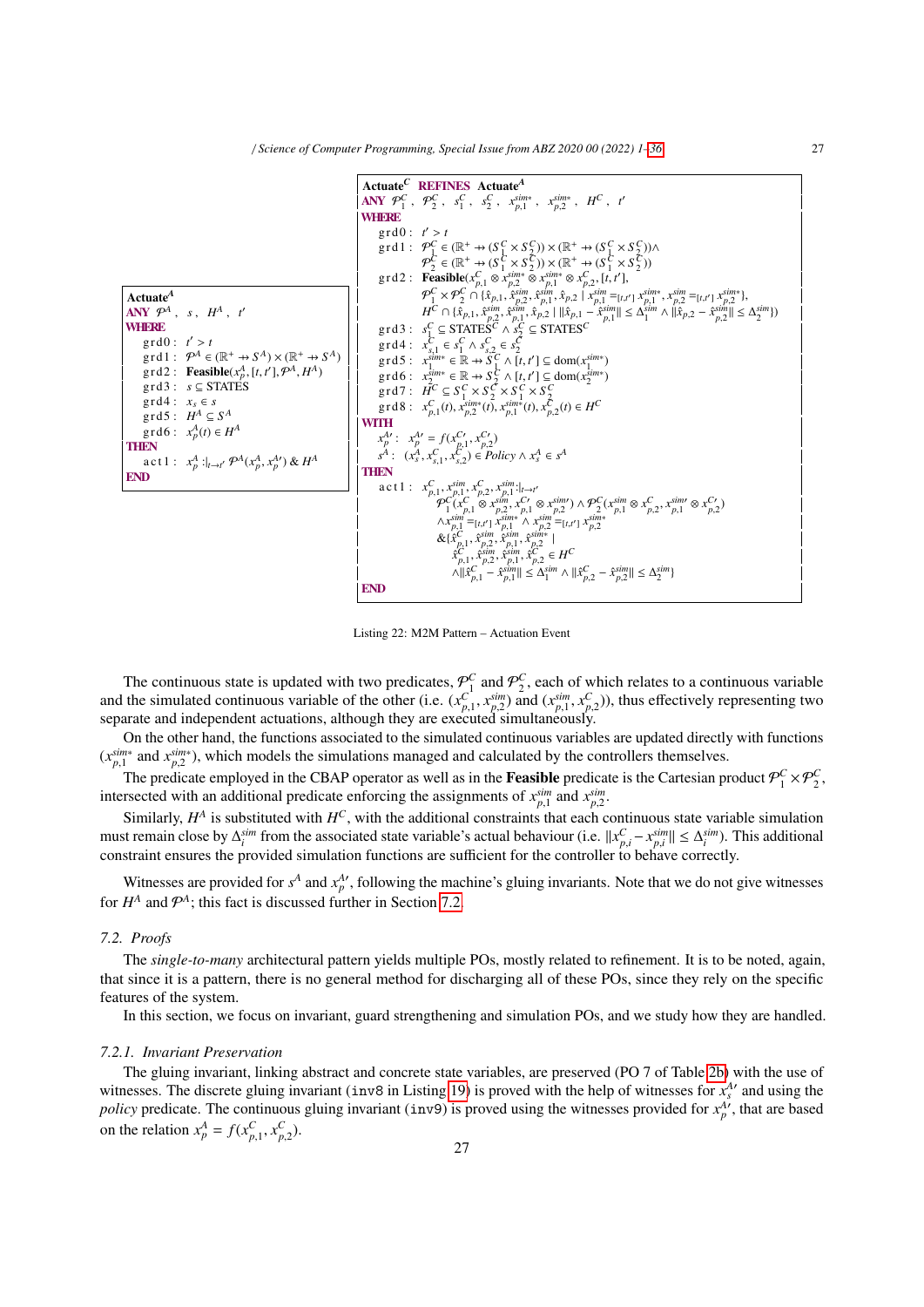

Listing 22: M2M Pattern – Actuation Event

The continuous state is updated with two predicates,  $\mathcal{P}_1^C$  and  $\mathcal{P}_2^C$ , each of which relates to a continuous variable and the simulated continuous variable of the other (i.e.  $(x_{p,1}^C, x_{p,2}^{sim})$  and  $(x_{p,1}^{sim}, x_{p,2}^C)$ ), thus effectively representing two<br>senarate and independent actuations, although they are executed simultaneously separate and independent actuations, although they are executed simultaneously.

On the other hand, the functions associated to the simulated continuous variables are updated directly with functions  $(x_{p,1}^{sim*})$  and  $x_{p,2}^{sim*}$ ), which models the simulations managed and calculated by the controllers themselves.

The predicate employed in the CBAP operator as well as in the **Feasible** predicate is the Cartesian product  $\mathcal{P}_1^C \times \mathcal{P}_2^C$ , intersected with an additional predicate enforcing the assignments of  $x_{n_1}^{sim}$  and  $x_n^{sim}$ .

Similarly, *H*<sup>A</sup> is substituted with *H<sup>C</sup>*, with the additional constraints that each continuous state variable simulation Similarly, *H*<sup>A</sup> is substituted with *H<sup>C</sup>*, with the additional constraints that each continuo must remain close by  $\Delta_i^{sim}$  from the associated state variable's actual behaviour (i.e.  $||x_{p,i}^C - x_{p,i}^{sim}|| \leq \Delta_i^{sim}$ ). This additional *p*, *p*,*i* **p**, *p*,*i* **p**, *p*,*i* **p** *p*, *p*<sub>*i*</sub> *p p*<sub>*i*</sub> *pi <i>p*<sub>*i*</sub> *pi <i>p*<sub>*i*</sub> *pi <i>p*<sub>*i*</sub> *pi <i>p*<sub>*i*</sub> *<i>pi <i>p<i><i>p***<sub>***i***</sub></del>***<i>n***<sub>***i***</sub>***<b><i><i>i<i><i>n<i>f* 

Witnesses are provided for  $s^A$  and  $x^A_p$ , following the machine's gluing invariants. Note that we do not give witnesses for  $H^A$  and  $\mathcal{P}^A$ ; this fact is discussed further in Section 7.2.

#### *7.2. Proofs*

The *single-to-many* architectural pattern yields multiple POs, mostly related to refinement. It is to be noted, again, that since it is a pattern, there is no general method for discharging all of these POs, since they rely on the specific features of the system.

In this section, we focus on invariant, guard strengthening and simulation POs, and we study how they are handled.

## *7.2.1. Invariant Preservation*

The gluing invariant, linking abstract and concrete state variables, are preserved (PO 7 of Table 2b) with the use of witnesses. The discrete gluing invariant (inv8 in Listing 19) is proved with the help of witnesses for  $x_s^A$ <sup>*'*</sup> and using the *policy* predicate. The continuous gluing invariant (inv9) is proved using the witnesses provided for  $x_p^A$ , that are based on the relation  $x_p^A = f(x_{p,1}^C, x_{p,2}^C)$ .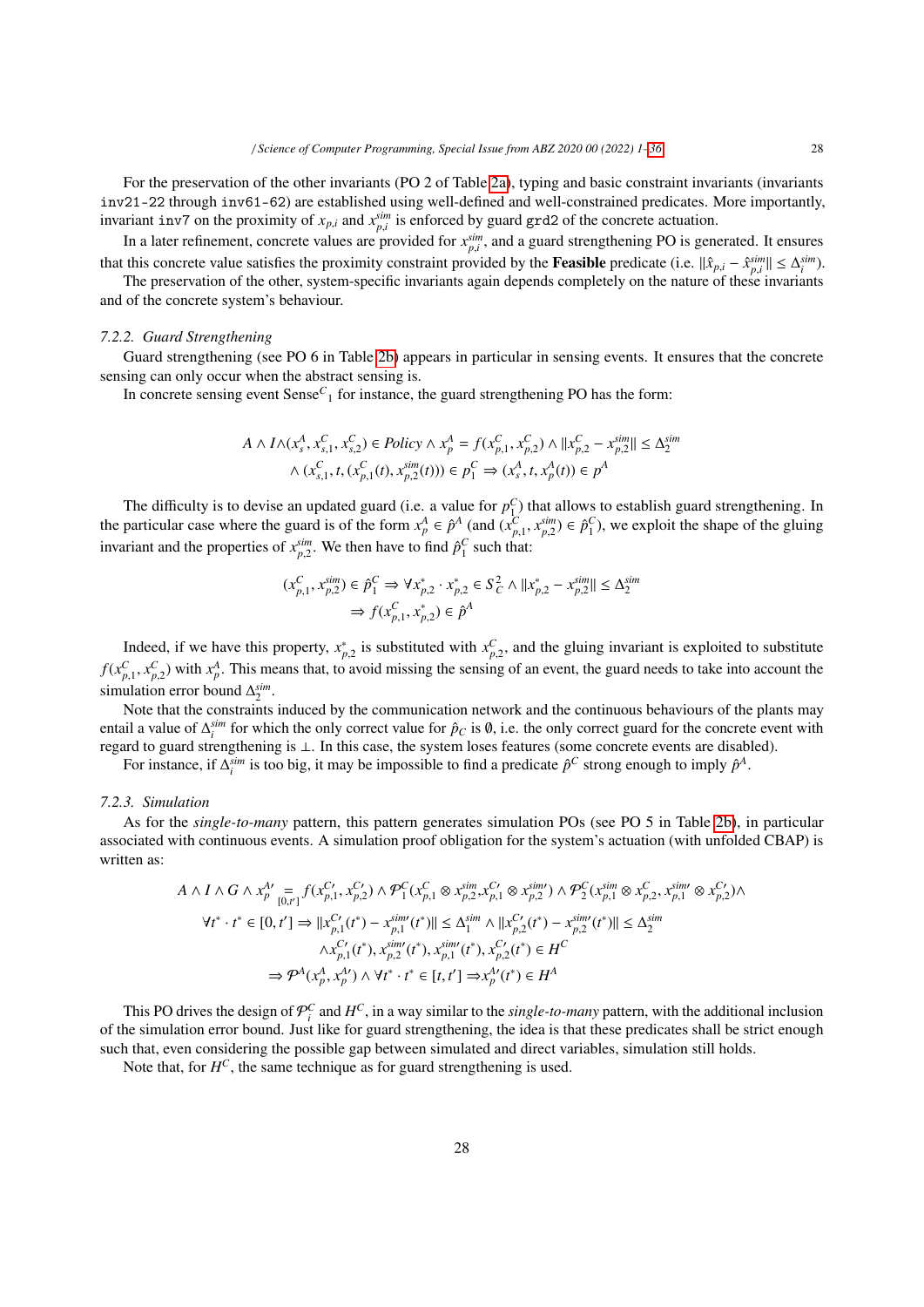For the preservation of the other invariants (PO 2 of Table 2a), typing and basic constraint invariants (invariants inv21-22 through inv61-62) are established using well-defined and well-constrained predicates. More importantly, invariant inv7 on the proximity of  $x_{p,i}$  and  $x_{p,i}^{sim}$  is enforced by guard grd2 of the concrete actuation.

*p*,*i* and  $x_{p,i}$  and  $x_{p,i}$  is emotion by guard graz of the concrete actuation.<br>In a later refinement, concrete values are provided for  $x_{p,i}^{sim}$ , and a guard strengthening PO is generated. It ensures that this concrete value satisfies the proximity constraint provided by the **Feasible** predicate (i.e.  $\|\hat{x}_{p,i} - \hat{x}_{p,i}^{sim}\| \leq \Delta_i^{sim}$ ).<br>The precentation of the other system creatify invertionts exain depends completely o

The preservation of the other, system-specific invariants again depends completely on the nature of these invariants and of the concrete system's behaviour.

#### *7.2.2. Guard Strengthening*

Guard strengthening (see PO 6 in Table 2b) appears in particular in sensing events. It ensures that the concrete sensing can only occur when the abstract sensing is.

In concrete sensing event Sense<sup>C</sup><sub>1</sub> for instance, the guard strengthening PO has the form:

$$
A \wedge I \wedge (x_s^A, x_{s,1}^C, x_{s,2}^C) \in Policy \wedge x_p^A = f(x_{p,1}^C, x_{p,2}^C) \wedge ||x_{p,2}^C - x_{p,2}^{sim}|| \le \Delta_2^{sim}
$$
  

$$
\wedge (x_{s,1}^C, t, (x_{p,1}^C(t), x_{p,2}^{sim}(t))) \in p_1^C \Rightarrow (x_s^A, t, x_p^A(t)) \in p^A
$$

The difficulty is to devise an updated guard (i.e. a value for  $p_1^C$ ) that allows to establish guard strengthening. In the particular case where the guard is of the form  $x_p^A \in \hat{p}^A$  (and  $(x_p^C, x_{p,2}^{sim}) \in \hat{p}_1^C$ ), we exploit the shape of the gluing<br>invariant and the generation of  $\hat{slm}$ . We then have to find  $\hat{sl}^C$  such that. invariant and the properties of  $x_{p,2}^{sim}$ . We then have to find  $\hat{p}_1^C$  such that:

$$
(x_{p,1}^C, x_{p,2}^{\text{sim}}) \in \hat{p}_1^C \Rightarrow \forall x_{p,2}^* \cdot x_{p,2}^* \in S_C^2 \land ||x_{p,2}^* - x_{p,2}^{\text{sim}}|| \le \Delta_2^{\text{sim}} \Rightarrow f(x_{p,1}^C, x_{p,2}^*) \in \hat{p}^A
$$

Indeed, if we have this property,  $x_{p,2}^*$  is substituted with  $x_{p,2}^C$ , and the gluing invariant is exploited to substitute  $f(x_{p,1}^C, x_{p,2}^C)$  with  $x_p^A$ . This means that, to avoid missing the sensing of an event, the guard needs to take into account the simulation are hound  $\Delta \sinh$ simulation error bound  $\Delta_2^{sim}$ .

Note that the constraints induced by the communication network and the continuous behaviours of the plants may entail a value of  $\Delta_i^{sim}$  for which the only correct value for  $\hat{p}_C$  is  $\emptyset$ , i.e. the only correct guard for the concrete event with regard to guard strengthening is ⊥. In this case, the system loses features (some concrete events are disabled).

For instance, if  $\Delta_i^{sim}$  is too big, it may be impossible to find a predicate  $\hat{p}^C$  strong enough to imply  $\hat{p}^A$ .

#### *7.2.3. Simulation*

As for the *single-to-many* pattern, this pattern generates simulation POs (see PO 5 in Table 2b), in particular associated with continuous events. A simulation proof obligation for the system's actuation (with unfolded CBAP) is written as:

$$
A \wedge I \wedge G \wedge x_{p}^{A\prime} = f(x_{p,1}^{C\prime}, x_{p,2}^{C\prime}) \wedge \mathcal{P}_{1}^{C}(x_{p,1}^{C} \otimes x_{p,2}^{sim}, x_{p,1}^{C\prime} \otimes x_{p,2}^{sim}) \wedge \mathcal{P}_{2}^{C}(x_{p,1}^{sim} \otimes x_{p,2}^{C\prime}, x_{p,1}^{sim} \otimes x_{p,2}^{C\prime}) \wedge \forall t^{*} \cdot t^{*} \in [0, t'] \Rightarrow ||x_{p,1}^{C\prime}(t^{*}) - x_{p,1}^{sim\prime}(t^{*})|| \leq \Delta_{1}^{sim} \wedge ||x_{p,2}^{C\prime}(t^{*}) - x_{p,2}^{sim\prime}(t^{*})|| \leq \Delta_{2}^{sim} \wedge x_{p,1}^{C\prime}(t^{*}), x_{p,2}^{sim\prime}(t^{*}), x_{p,1}^{sim\prime}(t^{*}), x_{p,2}^{C\prime}(t^{*}) \in H^{C} \Rightarrow \mathcal{P}^{A}(x_{p}^{A}, x_{p}^{A\prime}) \wedge \forall t^{*} \cdot t^{*} \in [t, t'] \Rightarrow x_{p}^{A\prime}(t^{*}) \in H^{A}
$$

This PO drives the design of  $\mathcal{P}_i^C$  and  $H^C$ , in a way similar to the *single-to-many* pattern, with the additional inclusion of the simulation error bound. Just like for guard strengthening, the idea is that these predicates shall be strict enough such that, even considering the possible gap between simulated and direct variables, simulation still holds.

Note that, for  $H^C$ , the same technique as for guard strengthening is used.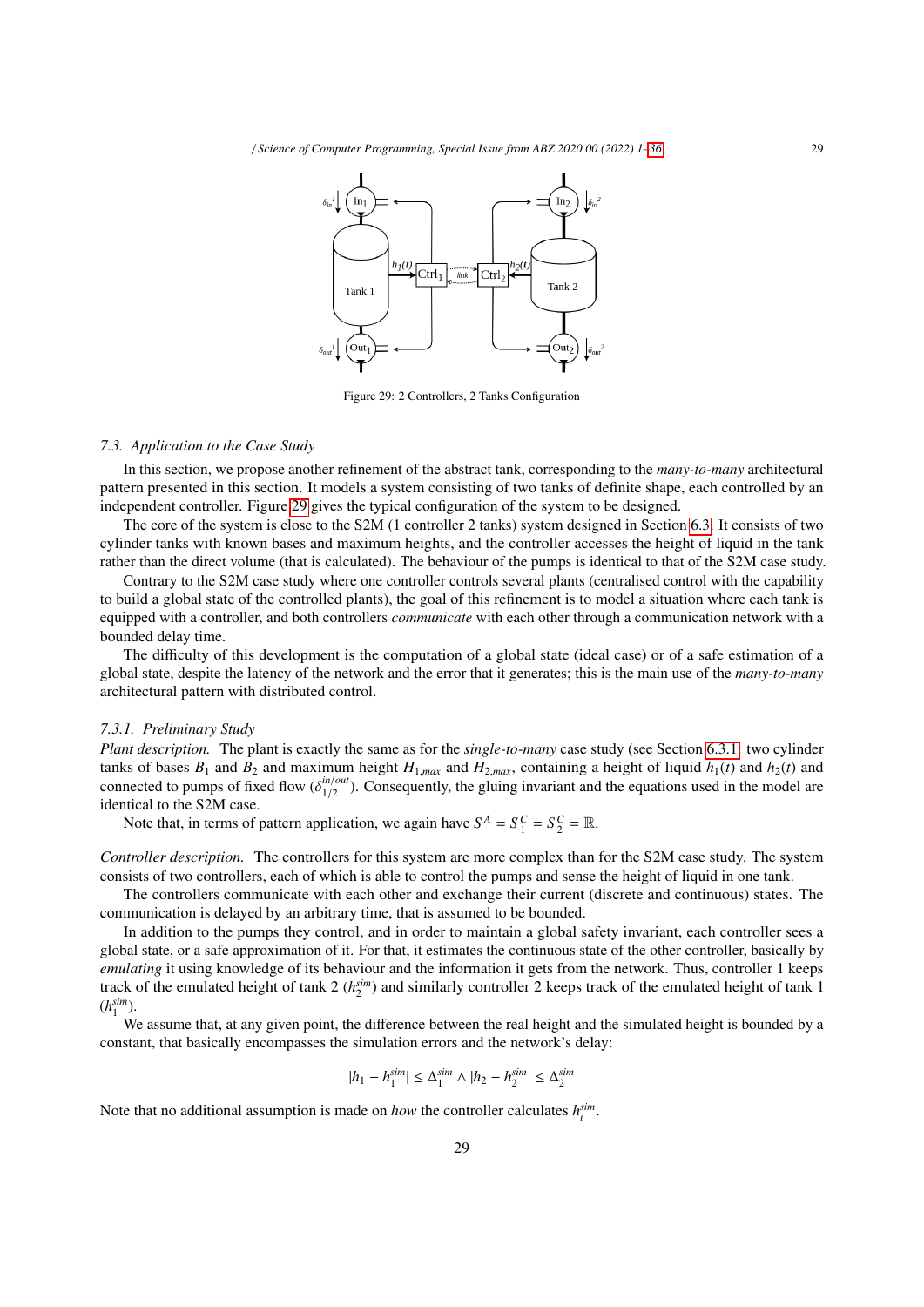

Figure 29: 2 Controllers, 2 Tanks Configuration

#### *7.3. Application to the Case Study*

In this section, we propose another refinement of the abstract tank, corresponding to the *many-to-many* architectural pattern presented in this section. It models a system consisting of two tanks of definite shape, each controlled by an independent controller. Figure 29 gives the typical configuration of the system to be designed.

The core of the system is close to the S2M (1 controller 2 tanks) system designed in Section 6.3. It consists of two cylinder tanks with known bases and maximum heights, and the controller accesses the height of liquid in the tank rather than the direct volume (that is calculated). The behaviour of the pumps is identical to that of the S2M case study.

Contrary to the S2M case study where one controller controls several plants (centralised control with the capability to build a global state of the controlled plants), the goal of this refinement is to model a situation where each tank is equipped with a controller, and both controllers *communicate* with each other through a communication network with a bounded delay time.

The difficulty of this development is the computation of a global state (ideal case) or of a safe estimation of a global state, despite the latency of the network and the error that it generates; this is the main use of the *many-to-many* architectural pattern with distributed control.

#### *7.3.1. Preliminary Study*

*Plant description.* The plant is exactly the same as for the *single-to-many* case study (see Section 6.3.1: two cylinder tanks of bases  $B_1$  and  $B_2$  and maximum height  $H_{1,max}$  and  $H_{2,max}$ , containing a height of liquid  $h_1(t)$  and  $h_2(t)$  and connected to numerical flow  $\zeta^{in/out}$ . Concernently, the cluims investigated the continue weed i connected to pumps of fixed flow  $(\delta_{1/2}^{in/out})$ <br>identical to the S2M case  $\frac{m/out}{1/2}$ ). Consequently, the gluing invariant and the equations used in the model are identical to the S2M case.

Note that, in terms of pattern application, we again have  $S^A = S^C_1 = S^C_2 = \mathbb{R}$ .

*Controller description.* The controllers for this system are more complex than for the S2M case study. The system consists of two controllers, each of which is able to control the pumps and sense the height of liquid in one tank.

The controllers communicate with each other and exchange their current (discrete and continuous) states. The communication is delayed by an arbitrary time, that is assumed to be bounded.

In addition to the pumps they control, and in order to maintain a global safety invariant, each controller sees a global state, or a safe approximation of it. For that, it estimates the continuous state of the other controller, basically by *emulating* it using knowledge of its behaviour and the information it gets from the network. Thus, controller 1 keeps track of the emulated height of tank  $2(h_2^{sim})$  and similarly controller 2 keeps track of the emulated height of tank 1  $(h_1^{sim}).$ 

We assume that, at any given point, the difference between the real height and the simulated height is bounded by a constant, that basically encompasses the simulation errors and the network's delay:

$$
|h_1 - h_1^{sim}| \le \Delta_1^{sim} \wedge |h_2 - h_2^{sim}| \le \Delta_2^{sim}
$$

Note that no additional assumption is made on *how* the controller calculates  $h_i^{sim}$ .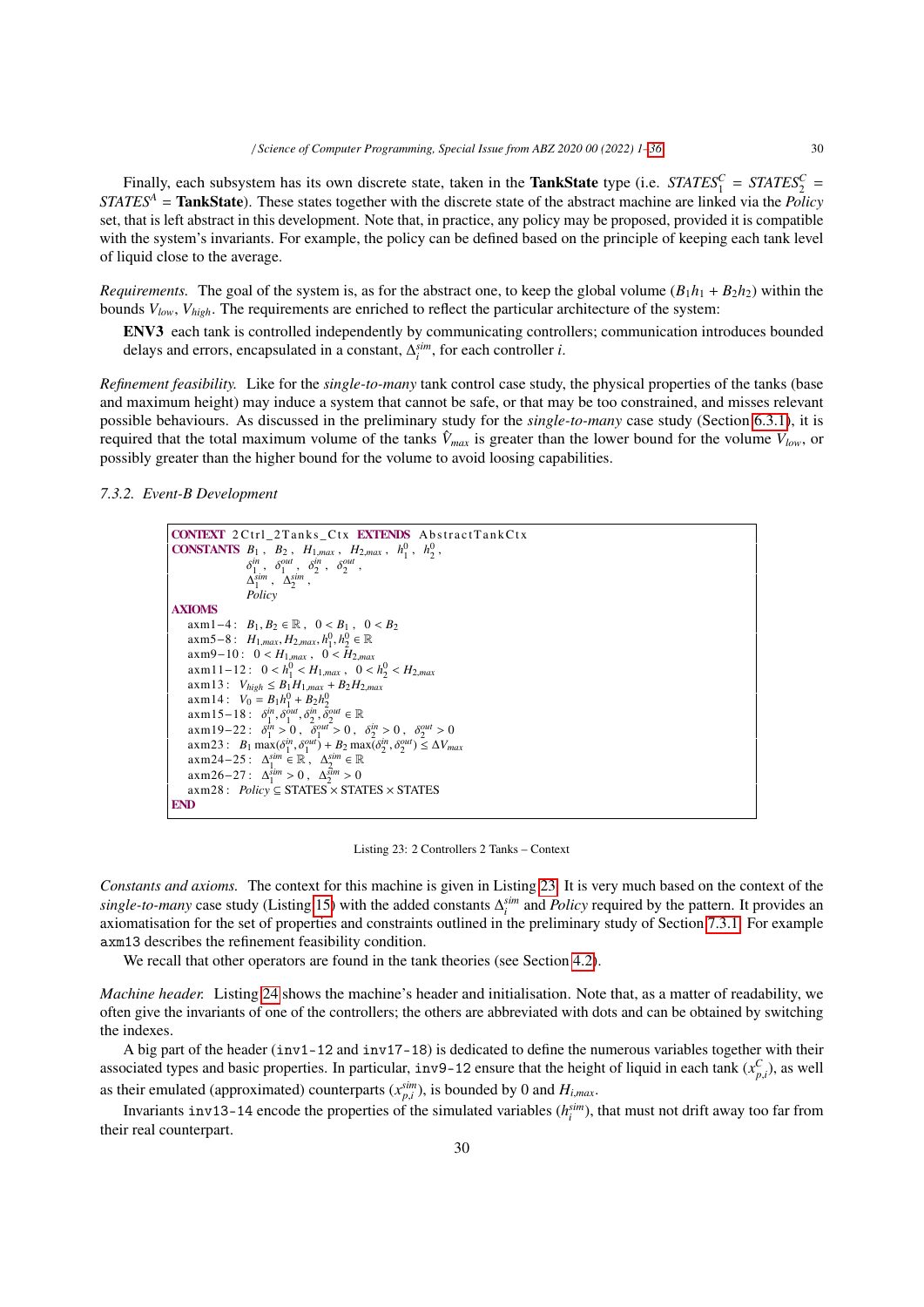Finally, each subsystem has its own discrete state, taken in the **TankState** type (i.e. *STATES*<sup>*C*</sup><sub>1</sub> = *STATES*<sup>*C*</sup><sub>2</sub> = *STATES<sup>A</sup>* = TankState). These states together with the discrete state of the abstract machine are linked via the *Policy* set, that is left abstract in this development. Note that, in practice, any policy may be proposed, provided it is compatible with the system's invariants. For example, the policy can be defined based on the principle of keeping each tank level of liquid close to the average.

*Requirements.* The goal of the system is, as for the abstract one, to keep the global volume  $(B_1h_1 + B_2h_2)$  within the bounds *Vlow*, *Vhigh*. The requirements are enriched to reflect the particular architecture of the system:

ENV3 each tank is controlled independently by communicating controllers; communication introduces bounded delays and errors, encapsulated in a constant,  $\Delta_i^{sim}$ , for each controller *i*.

*Refinement feasibility.* Like for the *single-to-many* tank control case study, the physical properties of the tanks (base and maximum height) may induce a system that cannot be safe, or that may be too constrained, and misses relevant possible behaviours. As discussed in the preliminary study for the *single-to-many* case study (Section 6.3.1), it is required that the total maximum volume of the tanks  $\hat{V}_{max}$  is greater than the lower bound for the volume  $V_{low}$ , or possibly greater than the higher bound for the volume to avoid loosing capabilities.

*7.3.2. Event-B Development*



Listing 23: 2 Controllers 2 Tanks – Context

*Constants and axioms.* The context for this machine is given in Listing 23. It is very much based on the context of the *single-to-many* case study (Listing 15) with the added constants ∆ *sim i* and *Policy* required by the pattern. It provides an axiomatisation for the set of properties and constraints outlined in the preliminary study of Section 7.3.1. For example axm13 describes the refinement feasibility condition.

We recall that other operators are found in the tank theories (see Section 4.2).

*Machine header.* Listing 24 shows the machine's header and initialisation. Note that, as a matter of readability, we often give the invariants of one of the controllers; the others are abbreviated with dots and can be obtained by switching the indexes.

A big part of the header  $(inv1-12$  and  $inv17-18$ ) is dedicated to define the numerous variables together with their associated types and basic properties. In particular, inv9-12 ensure that the height of liquid in each tank  $(x_{p,i}^C)$ , as well as their emulated (approximated) counterparts  $(x_{pi}^{sim})$ , is bounded by 0 and  $H_{i,max}$ .<br> **proximate** inset 2, 1.4 appeals the approximately eximinate (*x*<sup>sim</sup>).

Invariants inv13-14 encode the properties of the simulated variables  $(h_i^{sim})$ , that must not drift away too far from their real counterpart.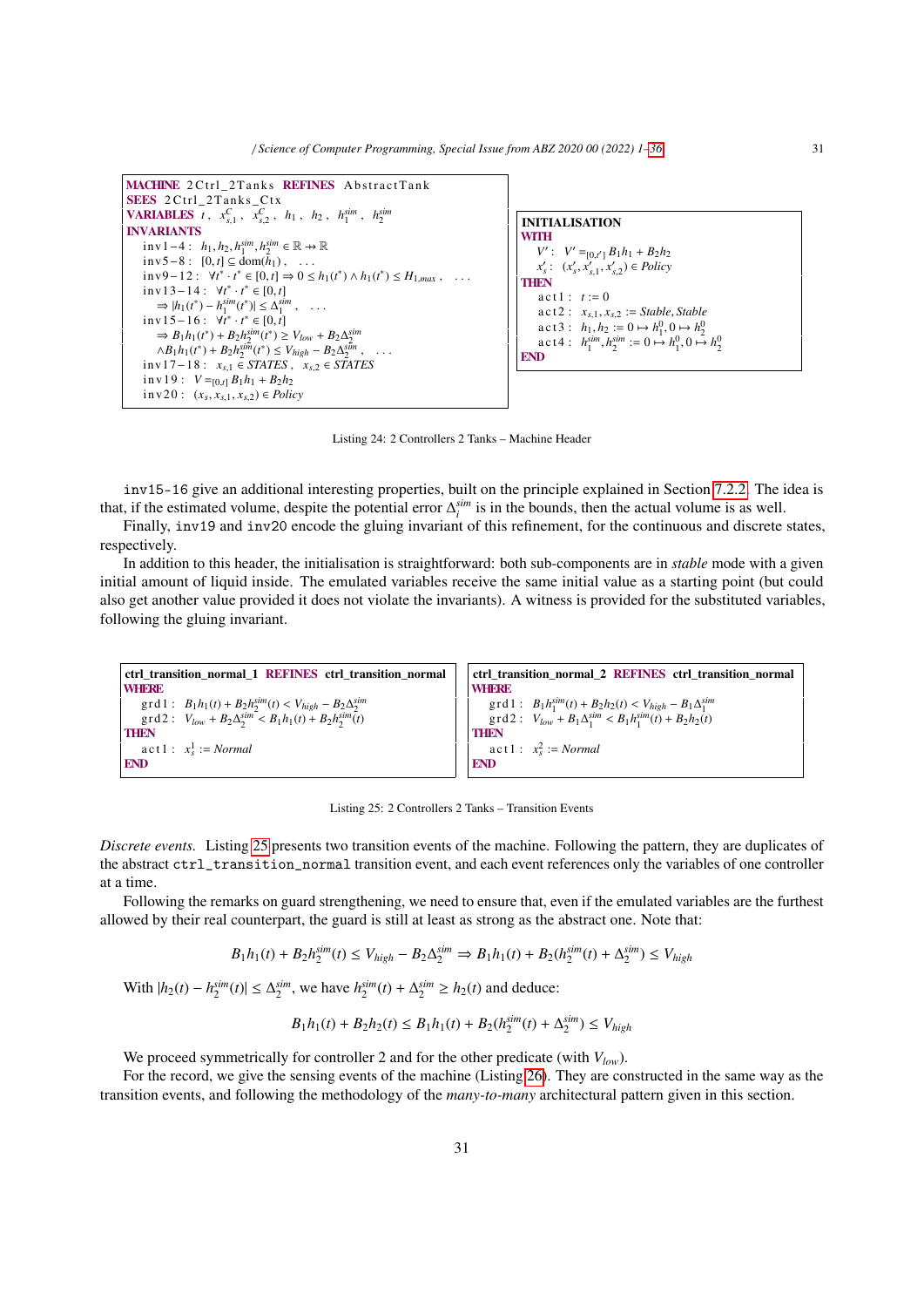/ *Science of Computer Programming, Special Issue from ABZ 2020 00 (2022) 1–36* 31



Listing 24: 2 Controllers 2 Tanks – Machine Header

inv15-16 give an additional interesting properties, built on the principle explained in Section 7.2.2. The idea is that, if the estimated volume, despite the potential error  $\Delta_i^{sim}$  is in the bounds, then the actual volume is as well.

Finally, inv19 and inv20 encode the gluing invariant of this refinement, for the continuous and discrete states, respectively.

In addition to this header, the initialisation is straightforward: both sub-components are in *stable* mode with a given initial amount of liquid inside. The emulated variables receive the same initial value as a starting point (but could also get another value provided it does not violate the invariants). A witness is provided for the substituted variables, following the gluing invariant.

```
ctrl_transition_normal_1 REFINES ctrl_transition_normal
WHERE
      \text{grad } f: B_1 h_1(t) + B_2 h_2^{sim}(t) < V_{high} - B_2 \Delta_2^{sim}<br>
\text{grad } f: V_t \to B_2 \Delta_2^{sim} \times B_1 h_1(t) + B_2 h_2^{sim}(t)\text{grad } 2: V_{low} + B_2 \Delta_2^{sim} < B_1 h_1(t) + B_2 h_2^{sim}(t)THEN
       \text{act } 1: x_s^1 := \text{Normal}END
                                                                                                                               ctrl_transition_normal_2 REFINES ctrl_transition_normal
                                                                                                                               WHERE
                                                                                                                                     \text{grad } f: B_1 h_1^{\text{sim}}(t) + B_2 h_2(t) < V_{high} - B_1 \Delta_1^{\text{sim}}(t)<br>
\text{grad } f: V_t \to B_1 \Delta_2^{\text{sim}} < B_1 h_2^{\text{sim}}(t) + B_2 h_2(t)\text{grad } 2: V_{low} + B_1 \Delta_1^{sim} < B_1 h_1^{sim}(t) + B_2 h_2(t)THEN
                                                                                                                                     \text{act } 1: x_s^2 := \text{Normal}END
```
Listing 25: 2 Controllers 2 Tanks – Transition Events

*Discrete events.* Listing 25 presents two transition events of the machine. Following the pattern, they are duplicates of the abstract ctrl\_transition\_normal transition event, and each event references only the variables of one controller at a time.

Following the remarks on guard strengthening, we need to ensure that, even if the emulated variables are the furthest allowed by their real counterpart, the guard is still at least as strong as the abstract one. Note that:

$$
B_1 h_1(t) + B_2 h_2^{sim}(t) \le V_{high} - B_2 \Delta_2^{sim} \Rightarrow B_1 h_1(t) + B_2(h_2^{sim}(t) + \Delta_2^{sim}) \le V_{high}
$$

With  $|h_2(t) - h_2^{sim}(t)|$  ≤  $\Delta_2^{sim}$ , we have  $h_2^{sim}(t) + \Delta_2^{sim} \ge h_2(t)$  and deduce:

$$
B_1h_1(t) + B_2h_2(t) \le B_1h_1(t) + B_2(h_2^{sim}(t) + \Delta_2^{sim}) \le V_{high}
$$

We proceed symmetrically for controller 2 and for the other predicate (with *Vlow*).

For the record, we give the sensing events of the machine (Listing 26). They are constructed in the same way as the transition events, and following the methodology of the *many-to-many* architectural pattern given in this section.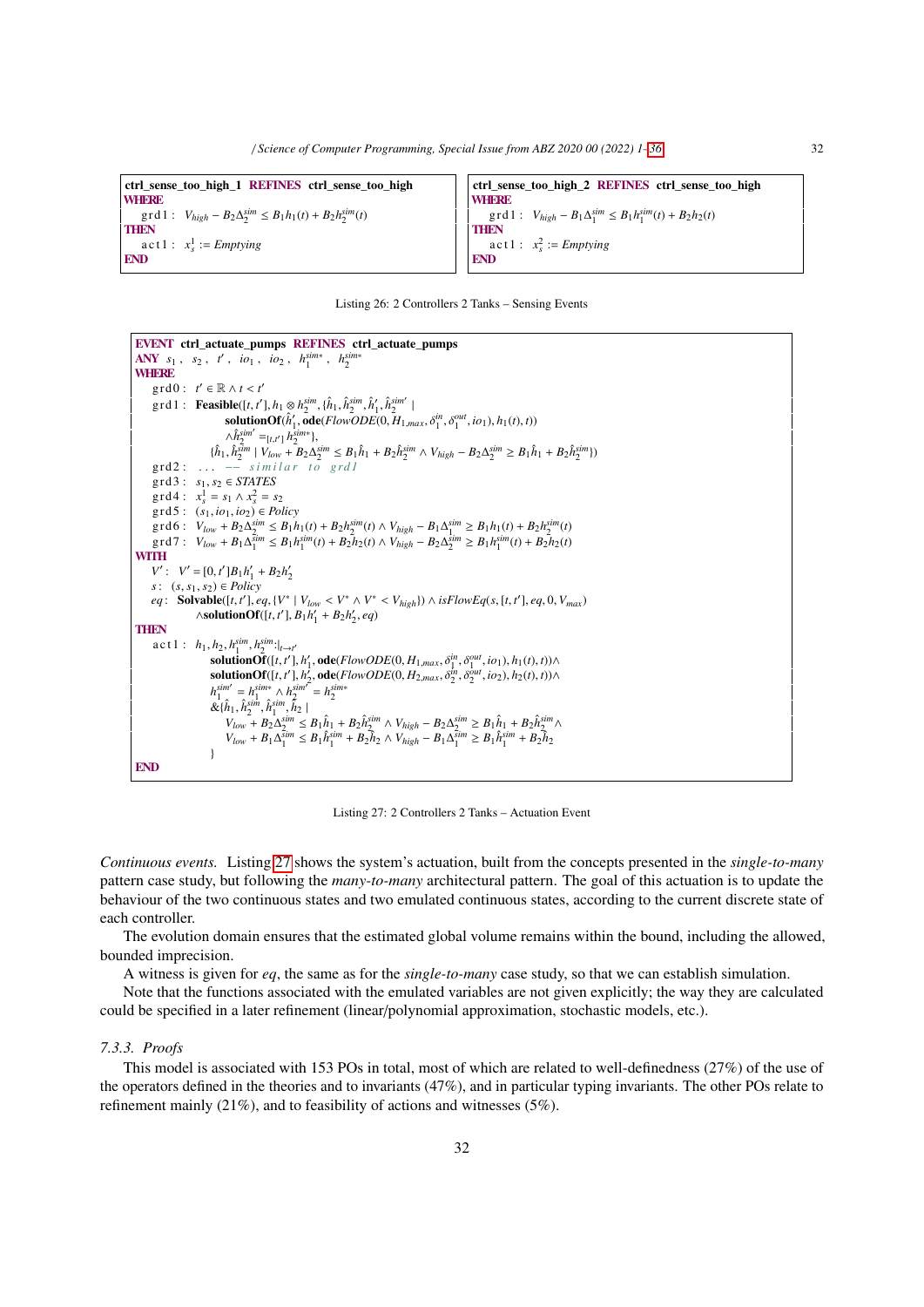ctrl\_sense\_too\_high\_1 REFINES ctrl\_sense\_too\_high **WHERE**  $\text{grad } f: V_{high} - B_2 \Delta_2^{sim} \leq B_1 h_1(t) + B_2 h_2^{sim}(t)$ **THEN**  $\text{act } 1: \quad x_s^1 := \text{Emptying}$ END

ctrl\_sense\_too\_high\_2 REFINES ctrl\_sense\_too\_high **WHERE**  $\text{gr d1:} \quad V_{high} - B_1 \Delta_1^{sim} \leq B_1 h_1^{sim}(t) + B_2 h_2(t)$ **THEN** a c t 1 :  $x_s^2 := Emptying$ END

|  |  |  | Listing 26: 2 Controllers 2 Tanks – Sensing Events |  |  |  |  |
|--|--|--|----------------------------------------------------|--|--|--|--|
|--|--|--|----------------------------------------------------|--|--|--|--|

```
EVENT ctrl_actuate_pumps REFINES ctrl_actuate_pumps
ANY s_1, s_2, t', io_1, io_2, h_1^{sim*}, h_2^{sim*}WHERE
       grd0: t' \in \mathbb{R} \wedge t < t'<br>ord1:Foosible(f t'\text{grad} : \text{Feasible}([t, t'], h_1 \otimes h_2^{sim}, \{\hat{h}_1, \hat{h}_2^{sim}, \hat{h}'_1, \hat{h}_2^{sim}\}<br>
\text{solutionOf}(\hat{k}') \text{odd}(ElowODEC) H\delta_{1}solutionOf(\hat{h}'_{1}, \overline{\text{ode}}(FlowODE(0, H_{1,max}, \delta_{1}^{in}, \delta_{1}^{out}, io_{1}), h_{1}(t), t))\wedge \hat{h}_{2}^{sim'} =_{[t,t']} h_{2}^{sim*},<br>
\hat{h}_{s}^{sim} \vee v_{k}^{sim} + R_{2} \wedge v_{k}^{sim*}\{\hat{h}_1, \hat{h}_2^{sim} | V_{low} - B_2 \Delta_2^{sim} \leq B_1 \hat{h}_1 + B_2 \hat{h}_2^{sim} \wedge V_{high} - B_2 \Delta_2^{sim} \geq B_1 \hat{h}_1 + B_2 \hat{h}_2^{sim} \}grd2 : . . . −− s i m i l a r t o grd1
      grd3 : s1, s2 ∈ STATES
       \text{grad } 4: x_s^1 = s_1 \wedge x_s^2 = s_2grd5 : (s1, io1, io2) ∈ Policy
       \text{grd}6: V_{low} + B_2 \Delta_2^{sim} \leq B_1 h_1(t) + B_2 h_2^{sim}(t) \wedge V_{high} - B_1 \Delta_1^{sim} \geq B_1 h_1(t) + B_2 h_2^{sim}(t)\text{grd } 7: V_{low} + B_1 \Delta_1^{\text{sim}} \leq B_1 h_1^{\text{sim}}(t) + B_2 \bar{h}_2(t) \wedge V_{high} - B_2 \Delta_2^{\text{sim}} \geq B_1 h_1^{\text{sim}}(t) + B_2 \bar{h}_2(t)WITH
       V' : V' = [0, t']B_1h'_1 + B_2h'_2<br>
V' : (s, s_1, s_2) \in Policys: (s, s1, s2) ∈ Policy
       eq: Solvable([t, t'], eq, {V^* | V_{low} < V^* \wedge V^* < V_{high}}) \wedge is Flow Eq(s, [t, t'], eq, 0, V_{max})
                          \wedgesolutionOf([t, t'], B<sub>1</sub>h'<sub>1</sub></sub> + B<sub>2</sub>h'<sub>2</sub>, eq)
THEN
        \text{a c t 1}: \ \ h_1, h_2, h_1^{\text{sim}}, h_2^{\text{sim}}:|_{t \to t'}<br>
solutionOf ([t, t']
                                \text{solutionOf}([t, t'], h'_1, \text{ode}(FlowODE(0, H_{1, max}, \delta_1^{in}, \delta_1^{out}, io_1), h_1(t), t)) \wedge \text{solutionOf}([t, t']) \text{ode}(F\text{lowODE}(0, H_2, \delta_1^{in}, \delta_1^{out}, io_1), h_2(t), t)) \wedge \text{rightOf}([t, t'])1
1
1
solutionOf([t, t
′
], h
′
2
, ode(FlowODE(0, H2,max, δin
2
, δout
2
, io2), h2(t), t))∧
                                h_1^{sim'} = h_1^{sim*} \wedge h_2^{sim'} = h_2^{sim*}\mathcal{R}\{\hat{h}_1, \hat{h}_2^{\text{sim}}, \hat{h}_1^{\text{sim}}, \hat{h}_2\}<br>
V_1 + R_2 \Delta^{\text{sim}}V_{low} + B_2 \Delta_2^{sim} \leq B_1 \hat{h}_1 + B_2 \hat{h}_2^{sim} \wedge V_{high} - B_2 \Delta_2^{sim} \geq B_1 \hat{h}_1 + B_2 \hat{h}_2^{sim} \wedgeV_{low} + B_1 \Delta_1^{\overline{sim}} \leq B_1 \hat{h}_1^{\overline{sim}} + B_2 \hat{h}_2 \wedge V_{high} - B_1 \Delta_1^{\overline{sim}} \geq B_1 \hat{h}_1^{\overline{sim}} + B_2 \hat{h}_2}
END
```
Listing 27: 2 Controllers 2 Tanks – Actuation Event

*Continuous events.* Listing 27 shows the system's actuation, built from the concepts presented in the *single-to-many* pattern case study, but following the *many-to-many* architectural pattern. The goal of this actuation is to update the behaviour of the two continuous states and two emulated continuous states, according to the current discrete state of each controller.

The evolution domain ensures that the estimated global volume remains within the bound, including the allowed, bounded imprecision.

A witness is given for *eq*, the same as for the *single-to-many* case study, so that we can establish simulation.

Note that the functions associated with the emulated variables are not given explicitly; the way they are calculated could be specified in a later refinement (linear/polynomial approximation, stochastic models, etc.).

## *7.3.3. Proofs*

This model is associated with 153 POs in total, most of which are related to well-definedness (27%) of the use of the operators defined in the theories and to invariants (47%), and in particular typing invariants. The other POs relate to refinement mainly (21%), and to feasibility of actions and witnesses (5%).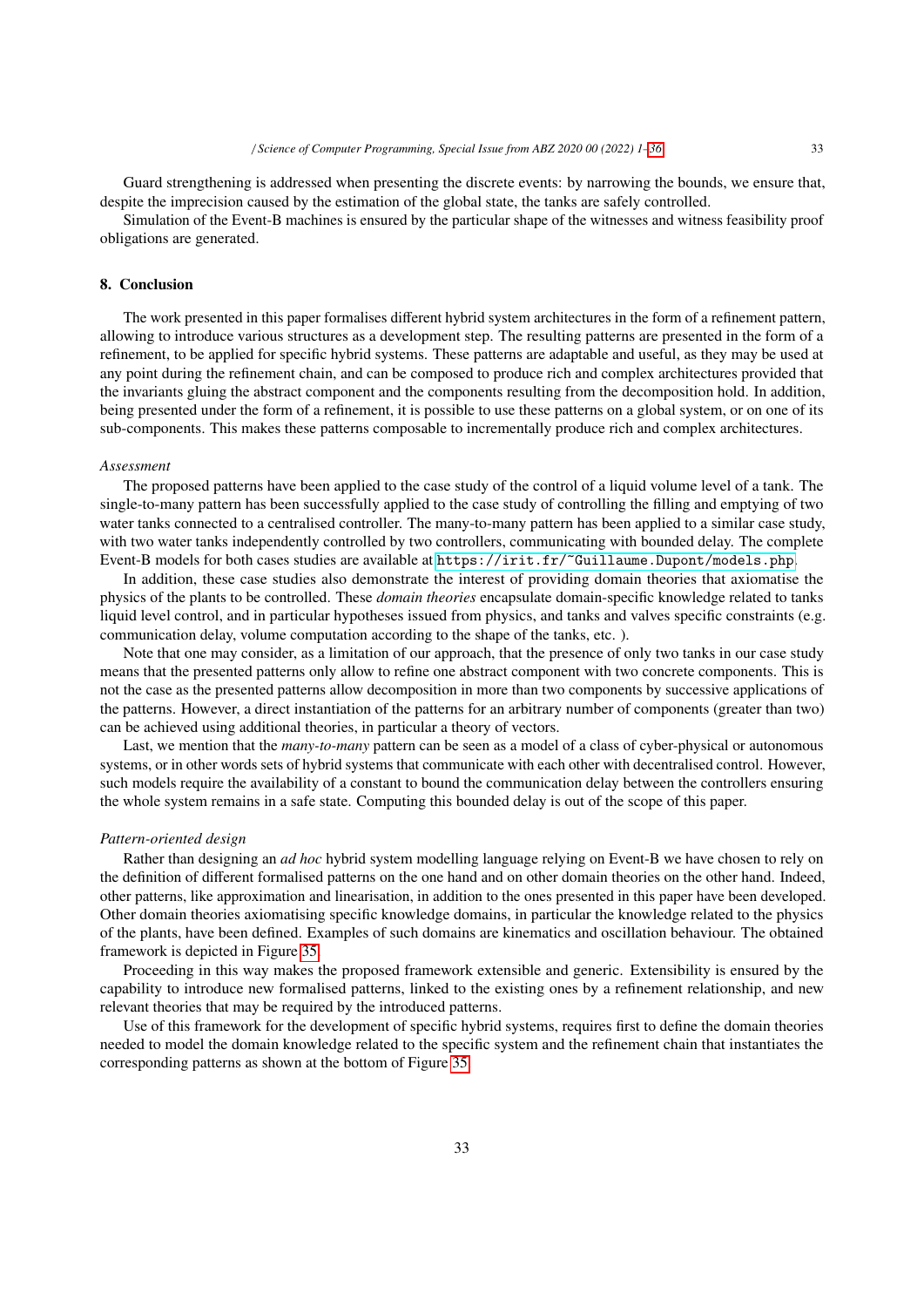Guard strengthening is addressed when presenting the discrete events: by narrowing the bounds, we ensure that, despite the imprecision caused by the estimation of the global state, the tanks are safely controlled.

Simulation of the Event-B machines is ensured by the particular shape of the witnesses and witness feasibility proof obligations are generated.

## 8. Conclusion

The work presented in this paper formalises different hybrid system architectures in the form of a refinement pattern, allowing to introduce various structures as a development step. The resulting patterns are presented in the form of a refinement, to be applied for specific hybrid systems. These patterns are adaptable and useful, as they may be used at any point during the refinement chain, and can be composed to produce rich and complex architectures provided that the invariants gluing the abstract component and the components resulting from the decomposition hold. In addition, being presented under the form of a refinement, it is possible to use these patterns on a global system, or on one of its sub-components. This makes these patterns composable to incrementally produce rich and complex architectures.

## *Assessment*

The proposed patterns have been applied to the case study of the control of a liquid volume level of a tank. The single-to-many pattern has been successfully applied to the case study of controlling the filling and emptying of two water tanks connected to a centralised controller. The many-to-many pattern has been applied to a similar case study, with two water tanks independently controlled by two controllers, communicating with bounded delay. The complete Event-B models for both cases studies are available at <https://irit.fr/~Guillaume.Dupont/models.php>.

In addition, these case studies also demonstrate the interest of providing domain theories that axiomatise the physics of the plants to be controlled. These *domain theories* encapsulate domain-specific knowledge related to tanks liquid level control, and in particular hypotheses issued from physics, and tanks and valves specific constraints (e.g. communication delay, volume computation according to the shape of the tanks, etc. ).

Note that one may consider, as a limitation of our approach, that the presence of only two tanks in our case study means that the presented patterns only allow to refine one abstract component with two concrete components. This is not the case as the presented patterns allow decomposition in more than two components by successive applications of the patterns. However, a direct instantiation of the patterns for an arbitrary number of components (greater than two) can be achieved using additional theories, in particular a theory of vectors.

Last, we mention that the *many-to-many* pattern can be seen as a model of a class of cyber-physical or autonomous systems, or in other words sets of hybrid systems that communicate with each other with decentralised control. However, such models require the availability of a constant to bound the communication delay between the controllers ensuring the whole system remains in a safe state. Computing this bounded delay is out of the scope of this paper.

#### *Pattern-oriented design*

Rather than designing an *ad hoc* hybrid system modelling language relying on Event-B we have chosen to rely on the definition of different formalised patterns on the one hand and on other domain theories on the other hand. Indeed, other patterns, like approximation and linearisation, in addition to the ones presented in this paper have been developed. Other domain theories axiomatising specific knowledge domains, in particular the knowledge related to the physics of the plants, have been defined. Examples of such domains are kinematics and oscillation behaviour. The obtained framework is depicted in Figure 35.

Proceeding in this way makes the proposed framework extensible and generic. Extensibility is ensured by the capability to introduce new formalised patterns, linked to the existing ones by a refinement relationship, and new relevant theories that may be required by the introduced patterns.

Use of this framework for the development of specific hybrid systems, requires first to define the domain theories needed to model the domain knowledge related to the specific system and the refinement chain that instantiates the corresponding patterns as shown at the bottom of Figure 35.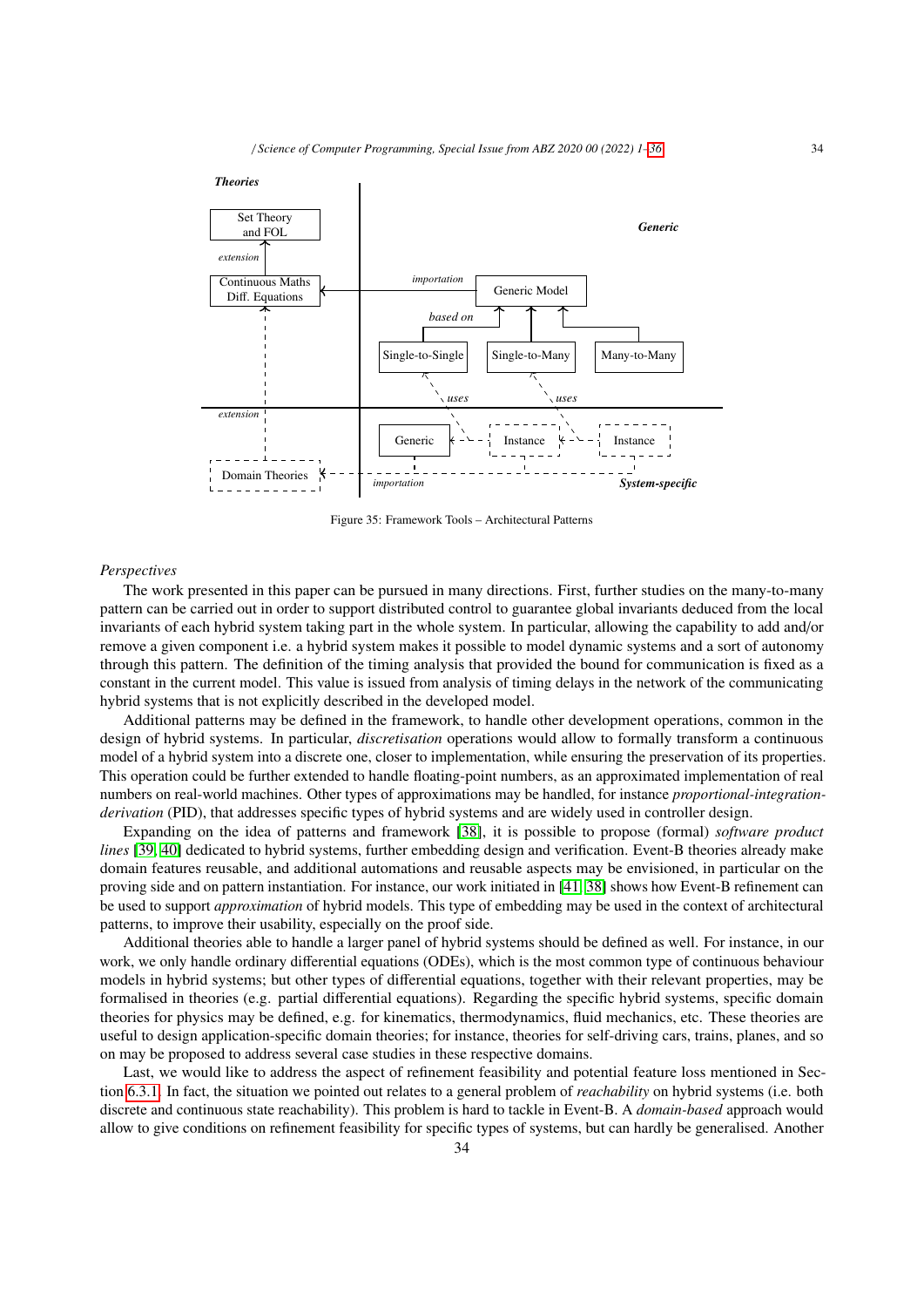

Figure 35: Framework Tools – Architectural Patterns

## *Perspectives*

The work presented in this paper can be pursued in many directions. First, further studies on the many-to-many pattern can be carried out in order to support distributed control to guarantee global invariants deduced from the local invariants of each hybrid system taking part in the whole system. In particular, allowing the capability to add and/or remove a given component i.e. a hybrid system makes it possible to model dynamic systems and a sort of autonomy through this pattern. The definition of the timing analysis that provided the bound for communication is fixed as a constant in the current model. This value is issued from analysis of timing delays in the network of the communicating hybrid systems that is not explicitly described in the developed model.

Additional patterns may be defined in the framework, to handle other development operations, common in the design of hybrid systems. In particular, *discretisation* operations would allow to formally transform a continuous model of a hybrid system into a discrete one, closer to implementation, while ensuring the preservation of its properties. This operation could be further extended to handle floating-point numbers, as an approximated implementation of real numbers on real-world machines. Other types of approximations may be handled, for instance *proportional-integrationderivation* (PID), that addresses specific types of hybrid systems and are widely used in controller design.

Expanding on the idea of patterns and framework [38], it is possible to propose (formal) *software product lines* [39, 40] dedicated to hybrid systems, further embedding design and verification. Event-B theories already make domain features reusable, and additional automations and reusable aspects may be envisioned, in particular on the proving side and on pattern instantiation. For instance, our work initiated in [41, 38] shows how Event-B refinement can be used to support *approximation* of hybrid models. This type of embedding may be used in the context of architectural patterns, to improve their usability, especially on the proof side.

Additional theories able to handle a larger panel of hybrid systems should be defined as well. For instance, in our work, we only handle ordinary differential equations (ODEs), which is the most common type of continuous behaviour models in hybrid systems; but other types of differential equations, together with their relevant properties, may be formalised in theories (e.g. partial differential equations). Regarding the specific hybrid systems, specific domain theories for physics may be defined, e.g. for kinematics, thermodynamics, fluid mechanics, etc. These theories are useful to design application-specific domain theories; for instance, theories for self-driving cars, trains, planes, and so on may be proposed to address several case studies in these respective domains.

Last, we would like to address the aspect of refinement feasibility and potential feature loss mentioned in Section 6.3.1. In fact, the situation we pointed out relates to a general problem of *reachability* on hybrid systems (i.e. both discrete and continuous state reachability). This problem is hard to tackle in Event-B. A *domain-based* approach would allow to give conditions on refinement feasibility for specific types of systems, but can hardly be generalised. Another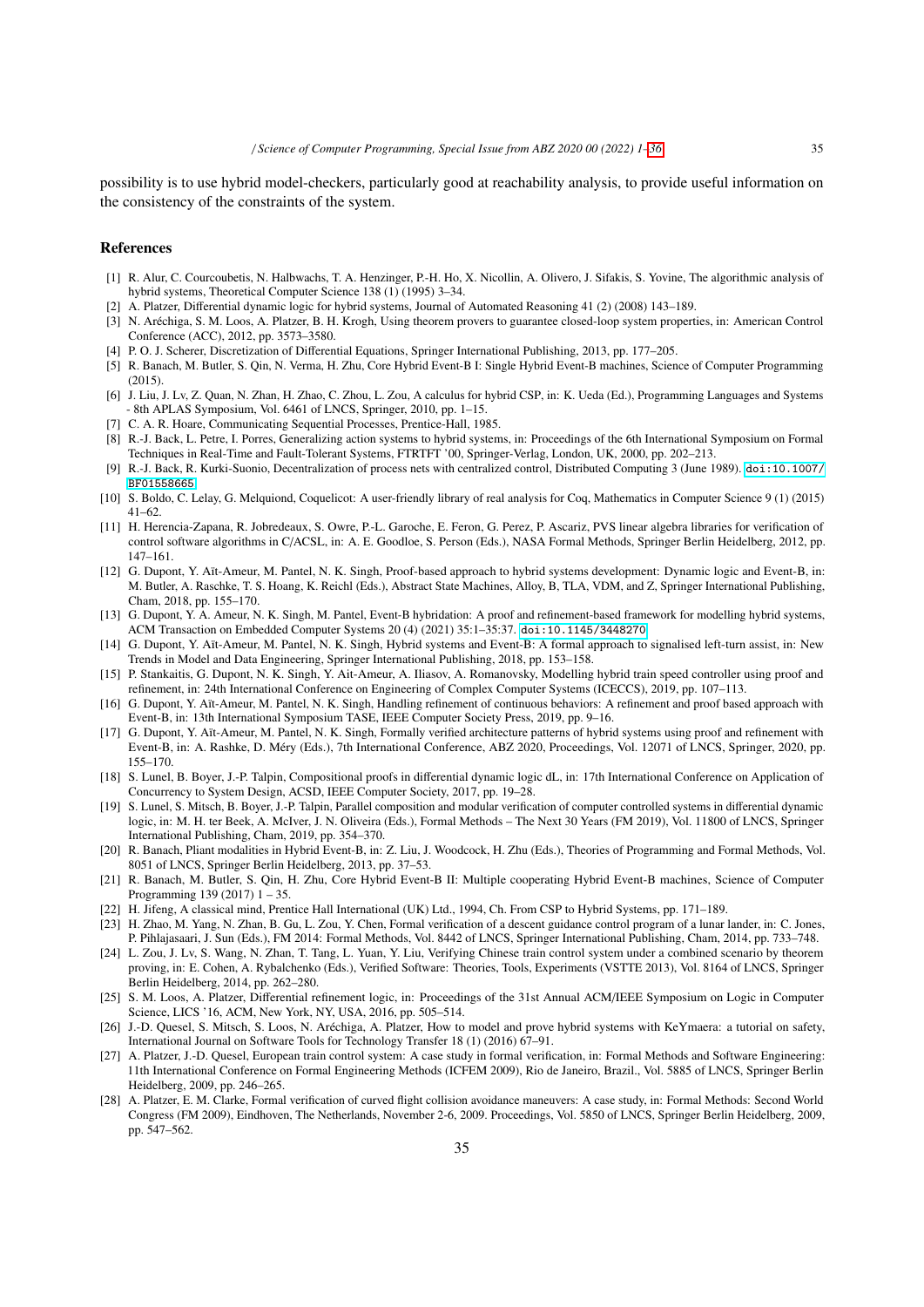possibility is to use hybrid model-checkers, particularly good at reachability analysis, to provide useful information on the consistency of the constraints of the system.

#### References

- [1] R. Alur, C. Courcoubetis, N. Halbwachs, T. A. Henzinger, P.-H. Ho, X. Nicollin, A. Olivero, J. Sifakis, S. Yovine, The algorithmic analysis of hybrid systems, Theoretical Computer Science 138 (1) (1995) 3–34.
- [2] A. Platzer, Differential dynamic logic for hybrid systems, Journal of Automated Reasoning 41 (2) (2008) 143–189.
- [3] N. Aréchiga, S. M. Loos, A. Platzer, B. H. Krogh, Using theorem provers to guarantee closed-loop system properties, in: American Control Conference (ACC), 2012, pp. 3573–3580.
- [4] P. O. J. Scherer, Discretization of Differential Equations, Springer International Publishing, 2013, pp. 177–205.
- [5] R. Banach, M. Butler, S. Qin, N. Verma, H. Zhu, Core Hybrid Event-B I: Single Hybrid Event-B machines, Science of Computer Programming  $(2015)$ .
- [6] J. Liu, J. Lv, Z. Quan, N. Zhan, H. Zhao, C. Zhou, L. Zou, A calculus for hybrid CSP, in: K. Ueda (Ed.), Programming Languages and Systems - 8th APLAS Symposium, Vol. 6461 of LNCS, Springer, 2010, pp. 1–15.
- [7] C. A. R. Hoare, Communicating Sequential Processes, Prentice-Hall, 1985.
- [8] R.-J. Back, L. Petre, I. Porres, Generalizing action systems to hybrid systems, in: Proceedings of the 6th International Symposium on Formal Techniques in Real-Time and Fault-Tolerant Systems, FTRTFT '00, Springer-Verlag, London, UK, 2000, pp. 202–213.
- [9] R.-J. Back, R. Kurki-Suonio, Decentralization of process nets with centralized control, Distributed Computing 3 (June 1989). [doi:10.1007/](https://doi.org/10.1007/BF01558665) [BF01558665](https://doi.org/10.1007/BF01558665).
- [10] S. Boldo, C. Lelay, G. Melquiond, Coquelicot: A user-friendly library of real analysis for Coq, Mathematics in Computer Science 9 (1) (2015) 41–62.
- [11] H. Herencia-Zapana, R. Jobredeaux, S. Owre, P.-L. Garoche, E. Feron, G. Perez, P. Ascariz, PVS linear algebra libraries for verification of control software algorithms in C/ACSL, in: A. E. Goodloe, S. Person (Eds.), NASA Formal Methods, Springer Berlin Heidelberg, 2012, pp. 147–161.
- [12] G. Dupont, Y. Aït-Ameur, M. Pantel, N. K. Singh, Proof-based approach to hybrid systems development: Dynamic logic and Event-B, in: M. Butler, A. Raschke, T. S. Hoang, K. Reichl (Eds.), Abstract State Machines, Alloy, B, TLA, VDM, and Z, Springer International Publishing, Cham, 2018, pp. 155–170.
- [13] G. Dupont, Y. A. Ameur, N. K. Singh, M. Pantel, Event-B hybridation: A proof and refinement-based framework for modelling hybrid systems, ACM Transaction on Embedded Computer Systems 20 (4) (2021) 35:1–35:37. [doi:10.1145/3448270](https://doi.org/10.1145/3448270).
- [14] G. Dupont, Y. Aït-Ameur, M. Pantel, N. K. Singh, Hybrid systems and Event-B: A formal approach to signalised left-turn assist, in: New Trends in Model and Data Engineering, Springer International Publishing, 2018, pp. 153–158.
- [15] P. Stankaitis, G. Dupont, N. K. Singh, Y. Ait-Ameur, A. Iliasov, A. Romanovsky, Modelling hybrid train speed controller using proof and refinement, in: 24th International Conference on Engineering of Complex Computer Systems (ICECCS), 2019, pp. 107–113.
- [16] G. Dupont, Y. Aït-Ameur, M. Pantel, N. K. Singh, Handling refinement of continuous behaviors: A refinement and proof based approach with Event-B, in: 13th International Symposium TASE, IEEE Computer Society Press, 2019, pp. 9–16.
- [17] G. Dupont, Y. Aït-Ameur, M. Pantel, N. K. Singh, Formally verified architecture patterns of hybrid systems using proof and refinement with Event-B, in: A. Rashke, D. Méry (Eds.), 7th International Conference, ABZ 2020, Proceedings, Vol. 12071 of LNCS, Springer, 2020, pp. 155–170.
- [18] S. Lunel, B. Boyer, J.-P. Talpin, Compositional proofs in differential dynamic logic dL, in: 17th International Conference on Application of Concurrency to System Design, ACSD, IEEE Computer Society, 2017, pp. 19–28.
- [19] S. Lunel, S. Mitsch, B. Boyer, J.-P. Talpin, Parallel composition and modular verification of computer controlled systems in differential dynamic logic, in: M. H. ter Beek, A. McIver, J. N. Oliveira (Eds.), Formal Methods – The Next 30 Years (FM 2019), Vol. 11800 of LNCS, Springer International Publishing, Cham, 2019, pp. 354–370.
- [20] R. Banach, Pliant modalities in Hybrid Event-B, in: Z. Liu, J. Woodcock, H. Zhu (Eds.), Theories of Programming and Formal Methods, Vol. 8051 of LNCS, Springer Berlin Heidelberg, 2013, pp. 37–53.
- [21] R. Banach, M. Butler, S. Qin, H. Zhu, Core Hybrid Event-B II: Multiple cooperating Hybrid Event-B machines, Science of Computer Programming 139 (2017) 1 – 35.
- [22] H. Jifeng, A classical mind, Prentice Hall International (UK) Ltd., 1994, Ch. From CSP to Hybrid Systems, pp. 171–189.
- [23] H. Zhao, M. Yang, N. Zhan, B. Gu, L. Zou, Y. Chen, Formal verification of a descent guidance control program of a lunar lander, in: C. Jones, P. Pihlajasaari, J. Sun (Eds.), FM 2014: Formal Methods, Vol. 8442 of LNCS, Springer International Publishing, Cham, 2014, pp. 733–748.
- [24] L. Zou, J. Lv, S. Wang, N. Zhan, T. Tang, L. Yuan, Y. Liu, Verifying Chinese train control system under a combined scenario by theorem proving, in: E. Cohen, A. Rybalchenko (Eds.), Verified Software: Theories, Tools, Experiments (VSTTE 2013), Vol. 8164 of LNCS, Springer Berlin Heidelberg, 2014, pp. 262–280.
- [25] S. M. Loos, A. Platzer, Differential refinement logic, in: Proceedings of the 31st Annual ACM/IEEE Symposium on Logic in Computer Science, LICS '16, ACM, New York, NY, USA, 2016, pp. 505–514.
- [26] J.-D. Quesel, S. Mitsch, S. Loos, N. Aréchiga, A. Platzer, How to model and prove hybrid systems with KeYmaera: a tutorial on safety, International Journal on Software Tools for Technology Transfer 18 (1) (2016) 67–91.
- [27] A. Platzer, J.-D. Quesel, European train control system: A case study in formal verification, in: Formal Methods and Software Engineering: 11th International Conference on Formal Engineering Methods (ICFEM 2009), Rio de Janeiro, Brazil., Vol. 5885 of LNCS, Springer Berlin Heidelberg, 2009, pp. 246–265.
- [28] A. Platzer, E. M. Clarke, Formal verification of curved flight collision avoidance maneuvers: A case study, in: Formal Methods: Second World Congress (FM 2009), Eindhoven, The Netherlands, November 2-6, 2009. Proceedings, Vol. 5850 of LNCS, Springer Berlin Heidelberg, 2009, pp. 547–562.